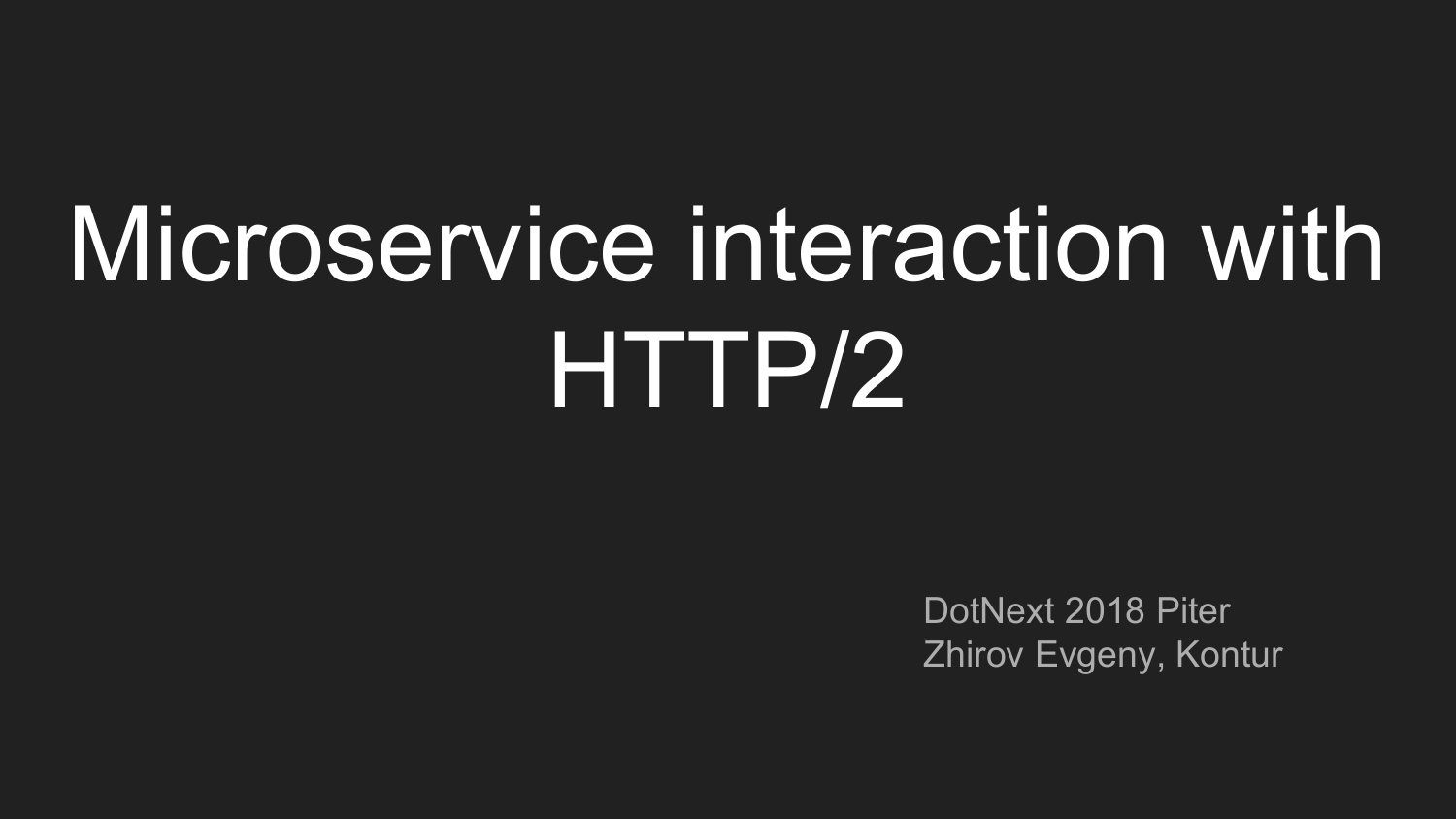# Microservice interaction with HTTP/2

DotNext 2018 Piter Zhirov Evgeny, Kontur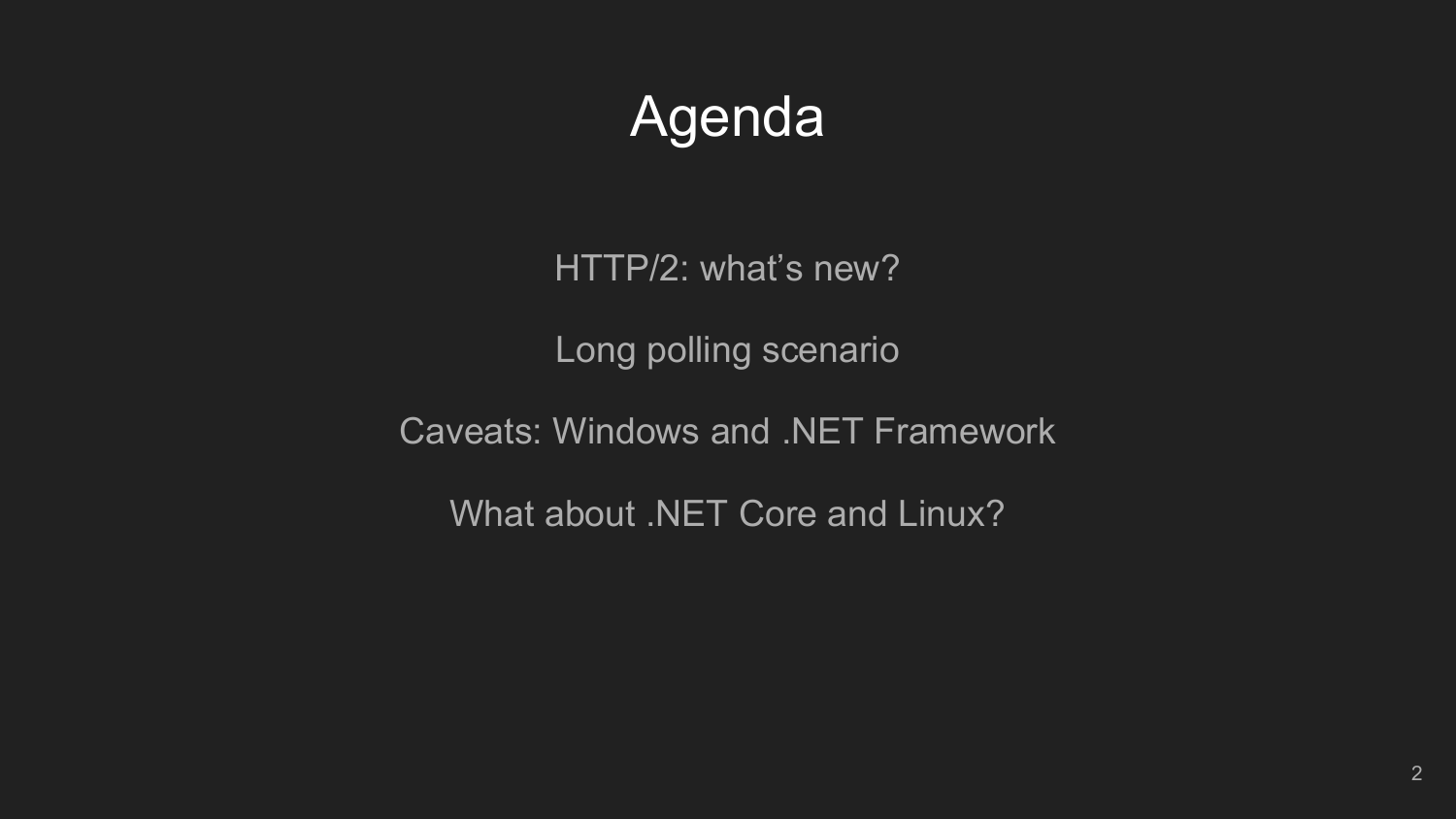# Agenda

HTTP/2: what's new?

Long polling scenario

Caveats: Windows and .NET Framework

What about .NET Core and Linux?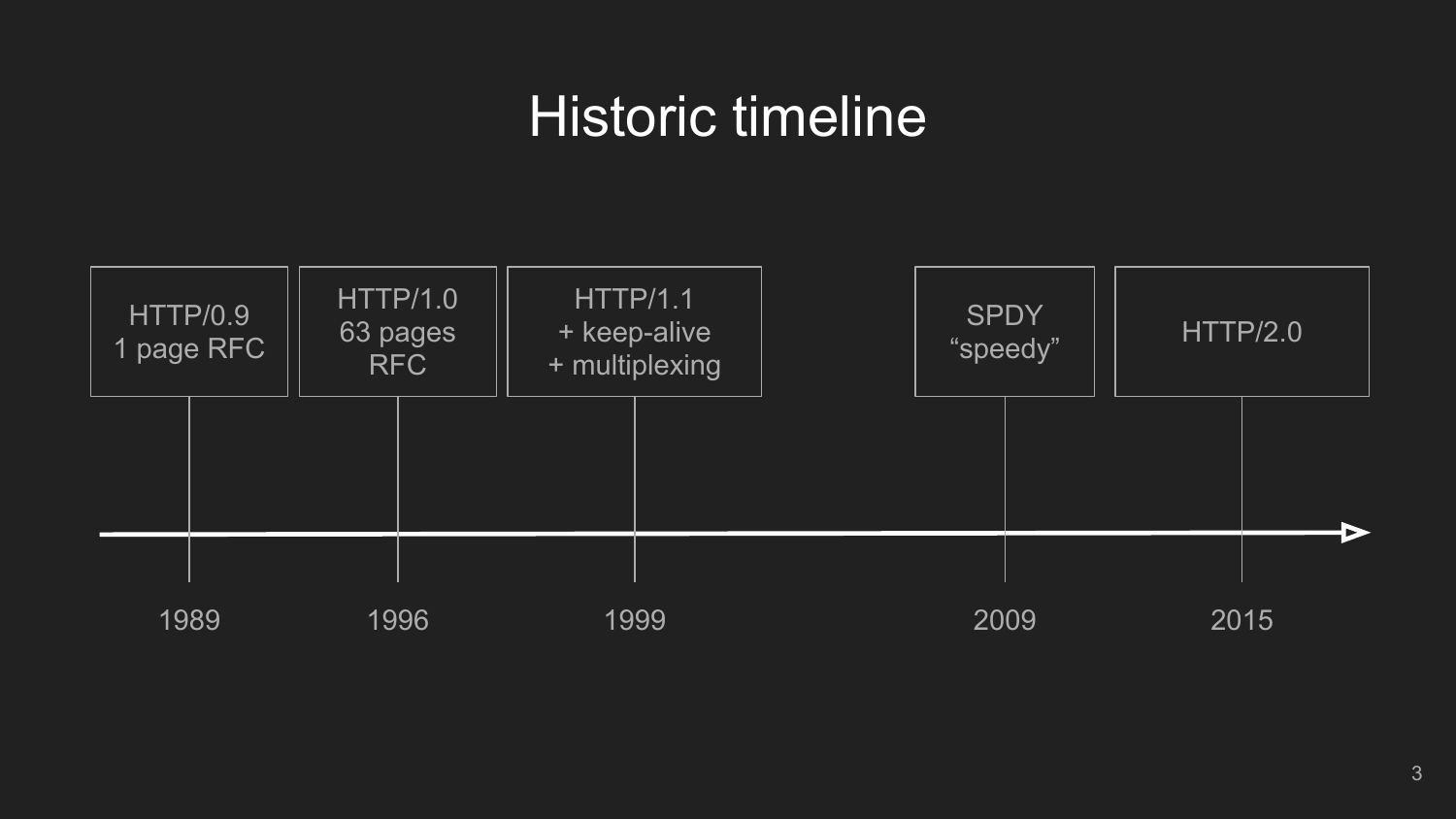### Historic timeline

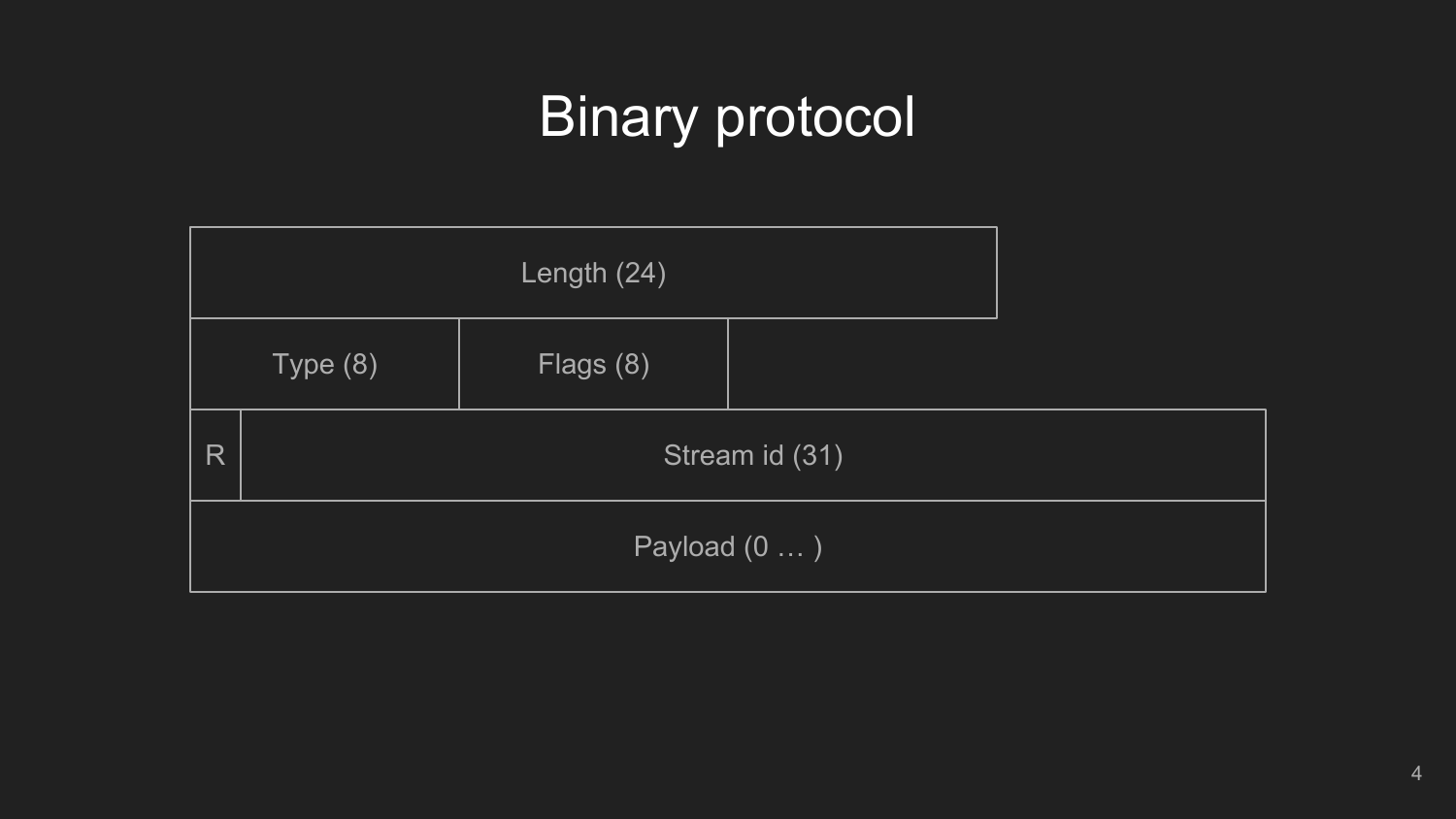# Binary protocol

|                     |         | Length (24) |  |  |  |  |  |  |
|---------------------|---------|-------------|--|--|--|--|--|--|
|                     | Type(8) | Flags (8)   |  |  |  |  |  |  |
| R                   |         |             |  |  |  |  |  |  |
| Payload $(0 \dots)$ |         |             |  |  |  |  |  |  |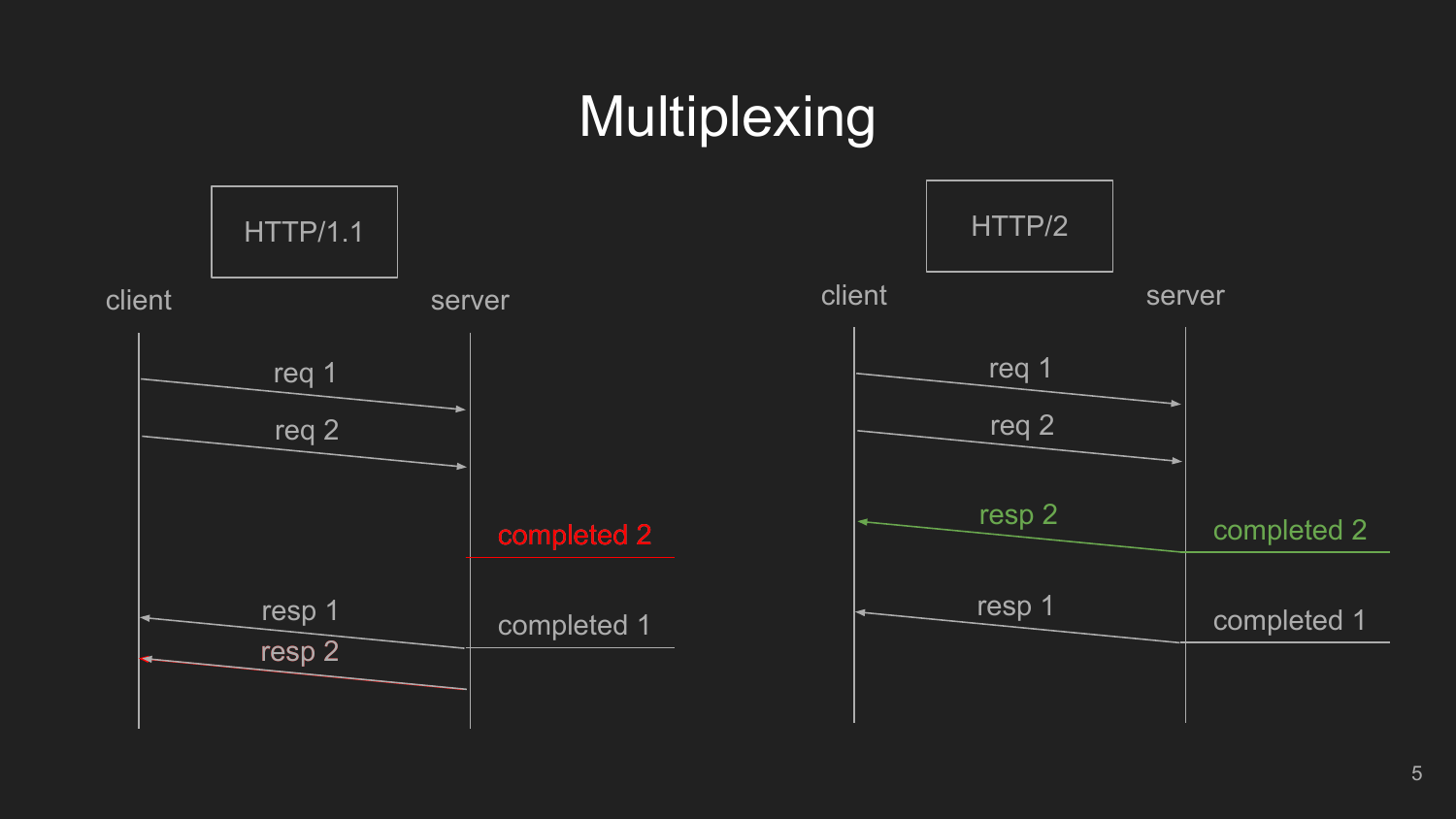# Multiplexing

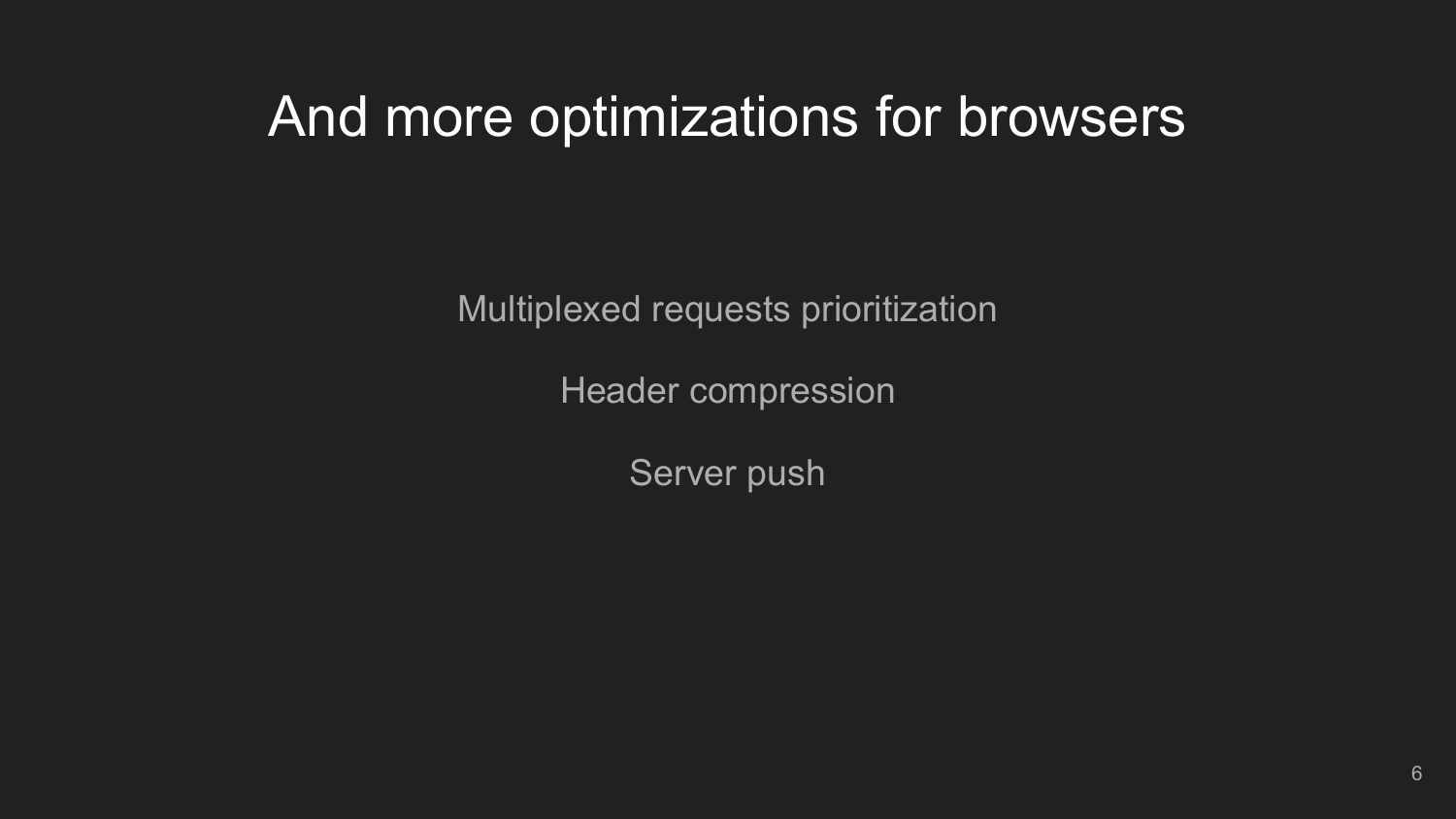### And more optimizations for browsers

Multiplexed requests prioritization

Header compression

Server push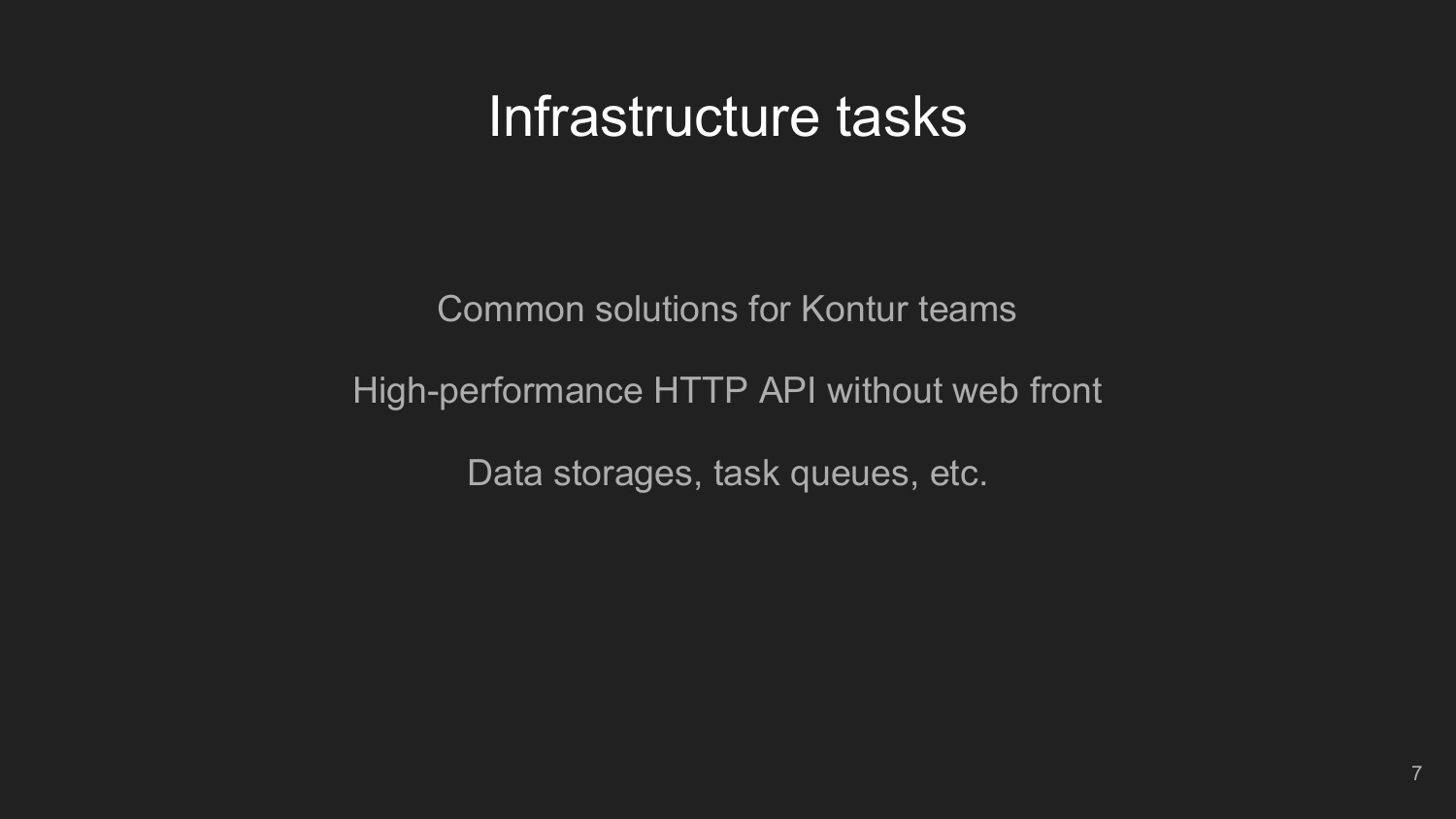### Infrastructure tasks

Common solutions for Kontur teams

### High-performance HTTP API without web front

Data storages, task queues, etc.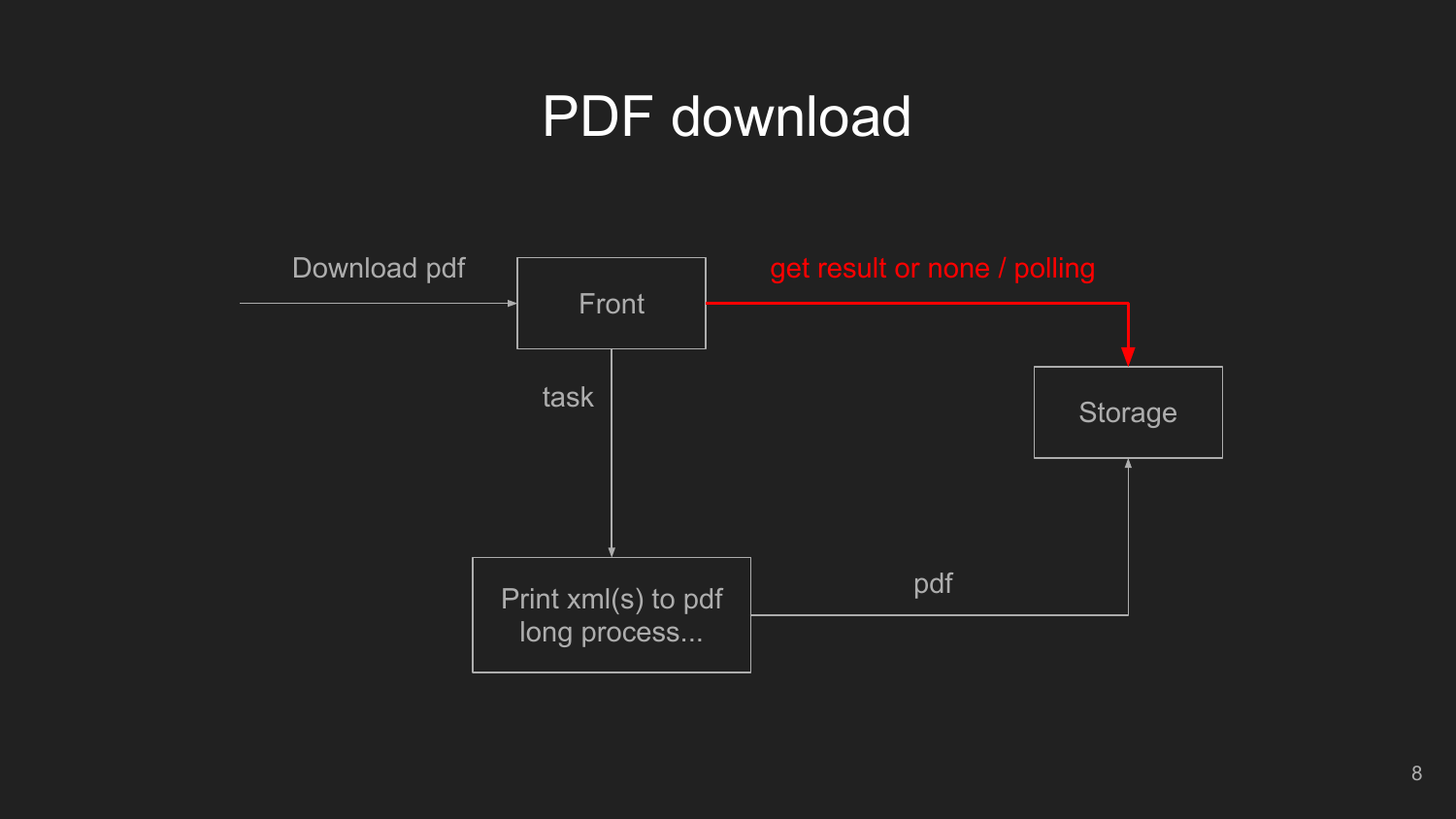### PDF download

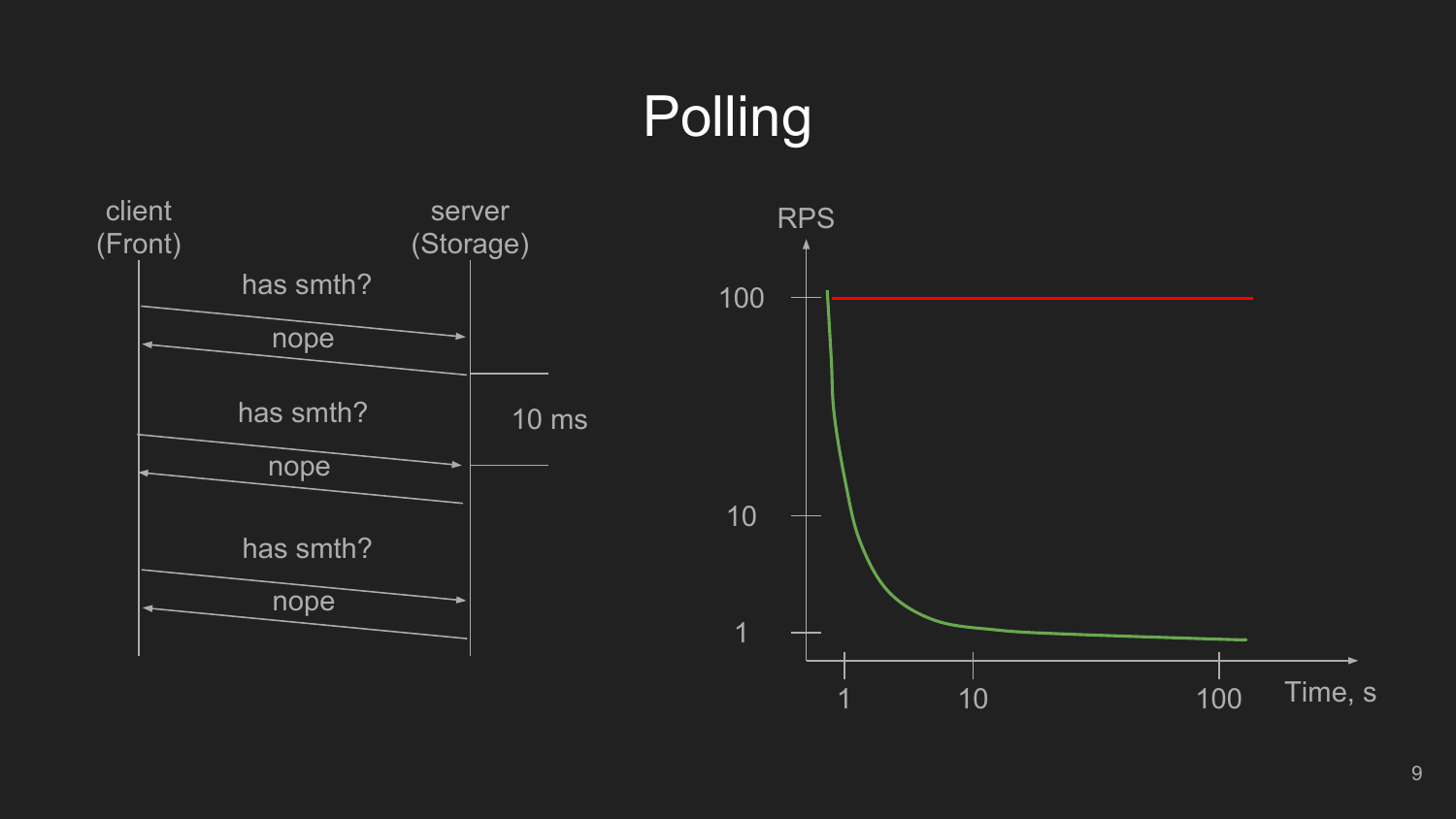# **Polling**

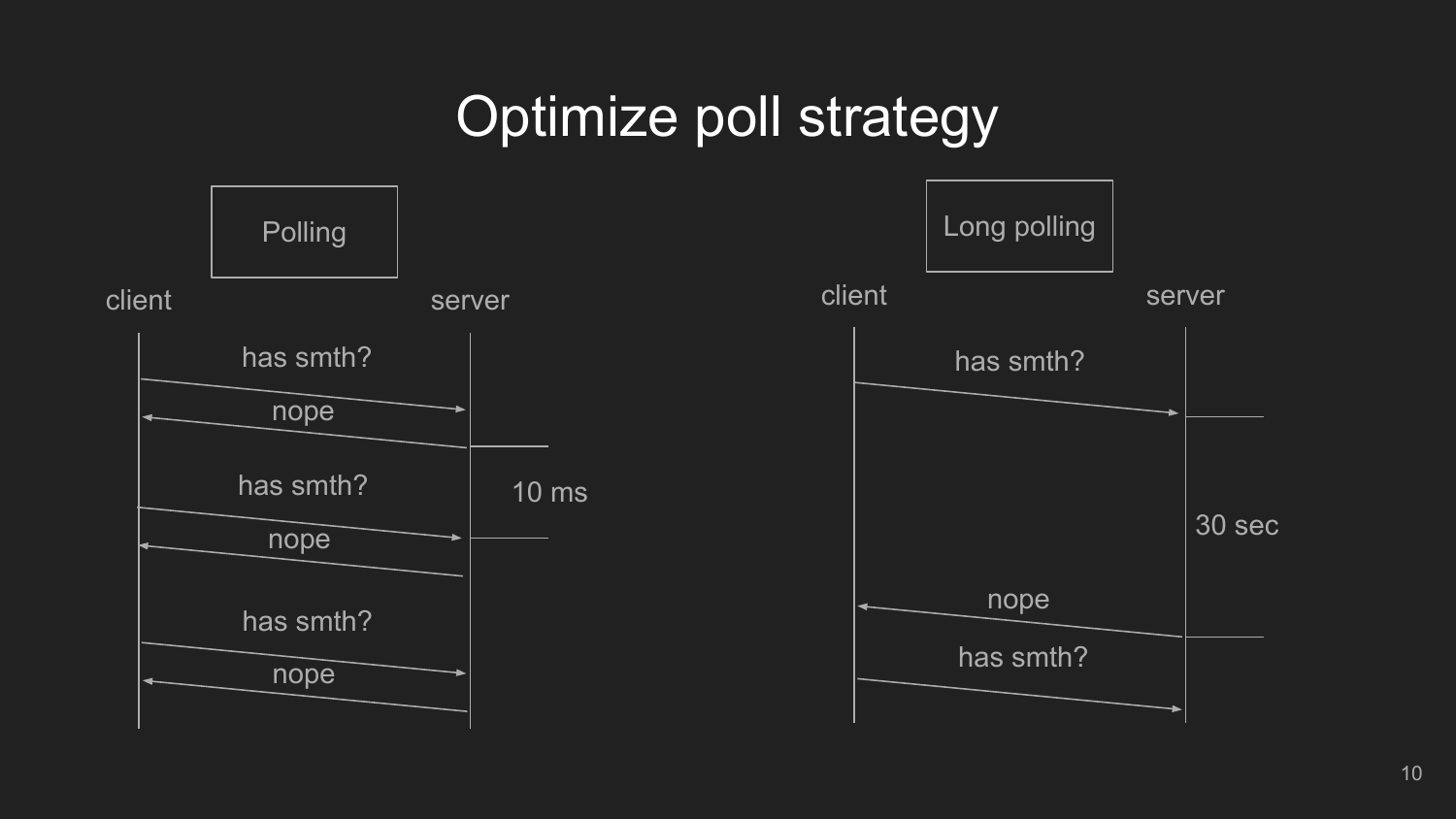## Optimize poll strategy

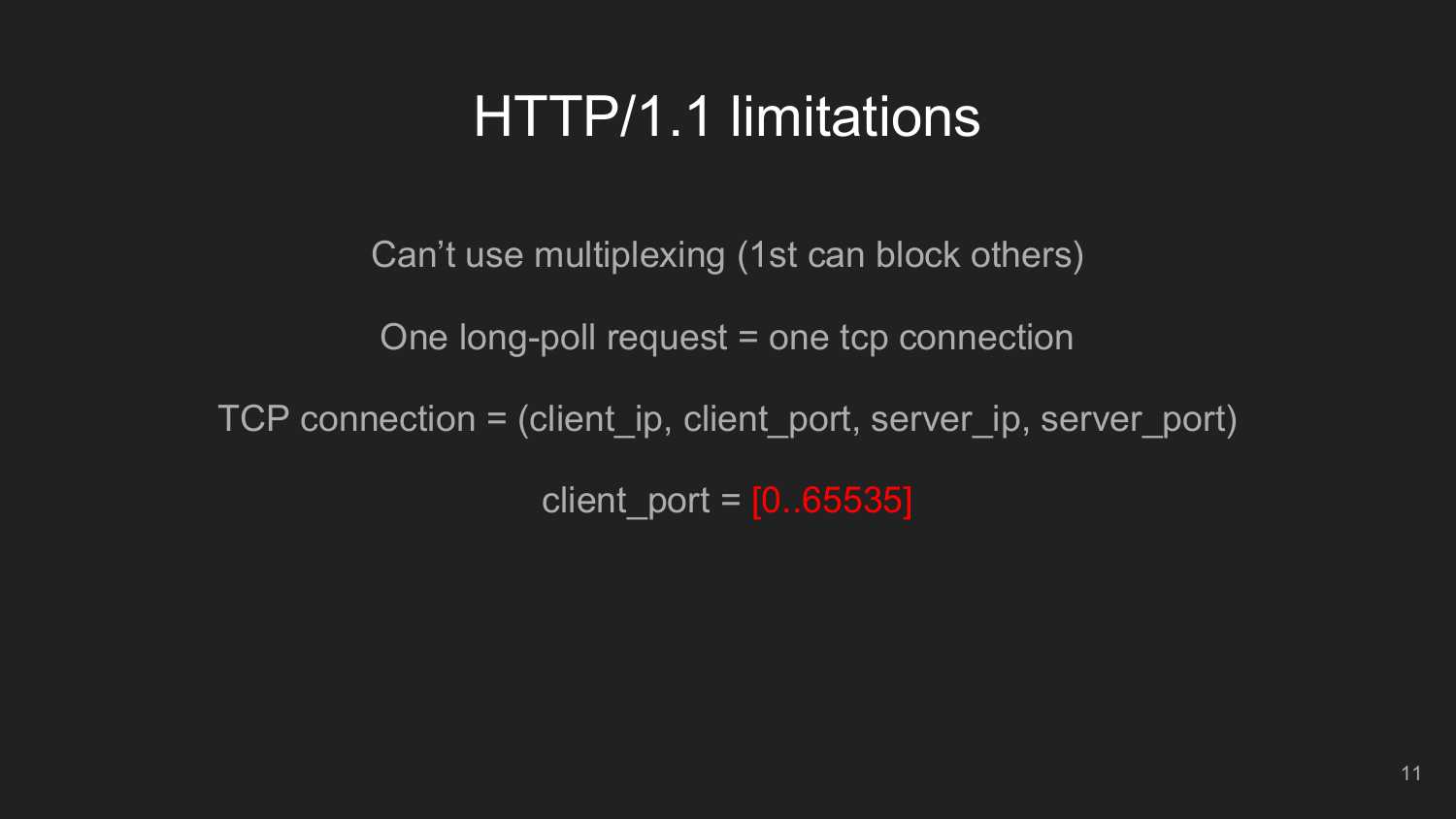### HTTP/1.1 limitations

Can't use multiplexing (1st can block others)

One long-poll request = one tcp connection

TCP connection = (client\_ip, client\_port, server\_ip, server\_port)

client\_port =  $[0..65535]$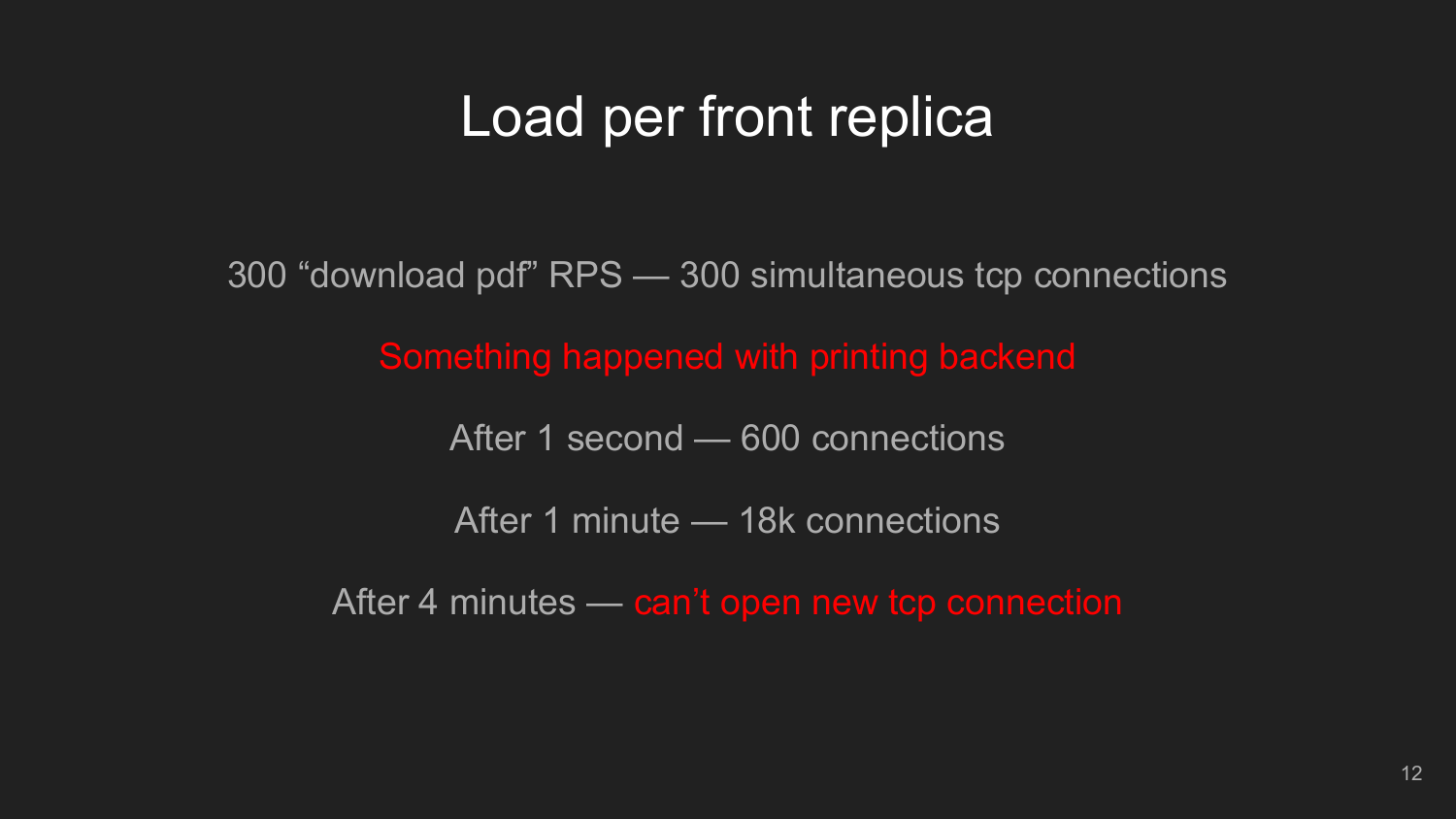### Load per front replica

300 "download pdf" RPS — 300 simultaneous tcp connections

Something happened with printing backend

After 1 second — 600 connections

After 1 minute — 18k connections

After 4 minutes — can't open new tcp connection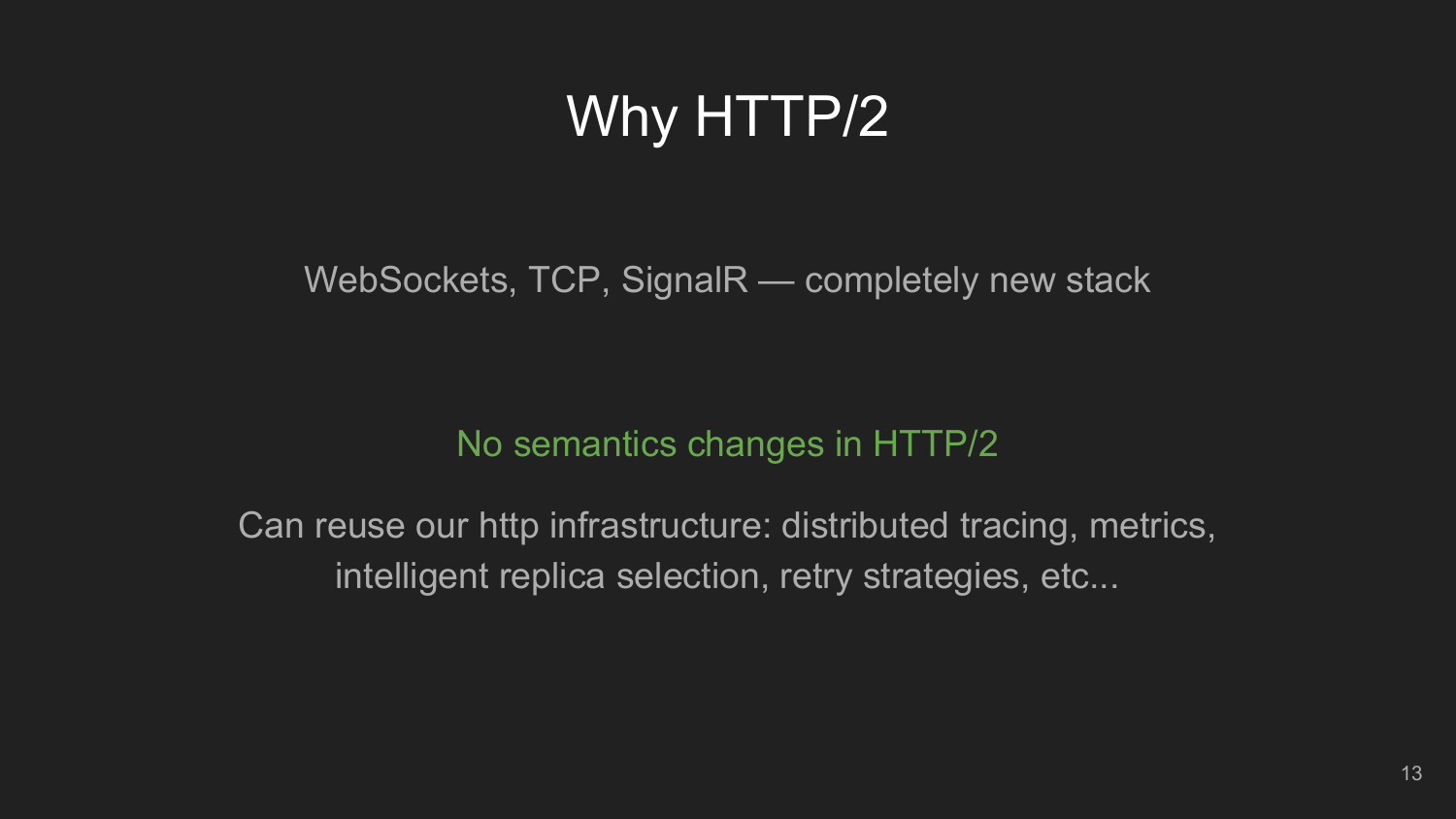# Why HTTP/2

WebSockets, TCP, SignalR — completely new stack

#### No semantics changes in HTTP/2

Can reuse our http infrastructure: distributed tracing, metrics, intelligent replica selection, retry strategies, etc...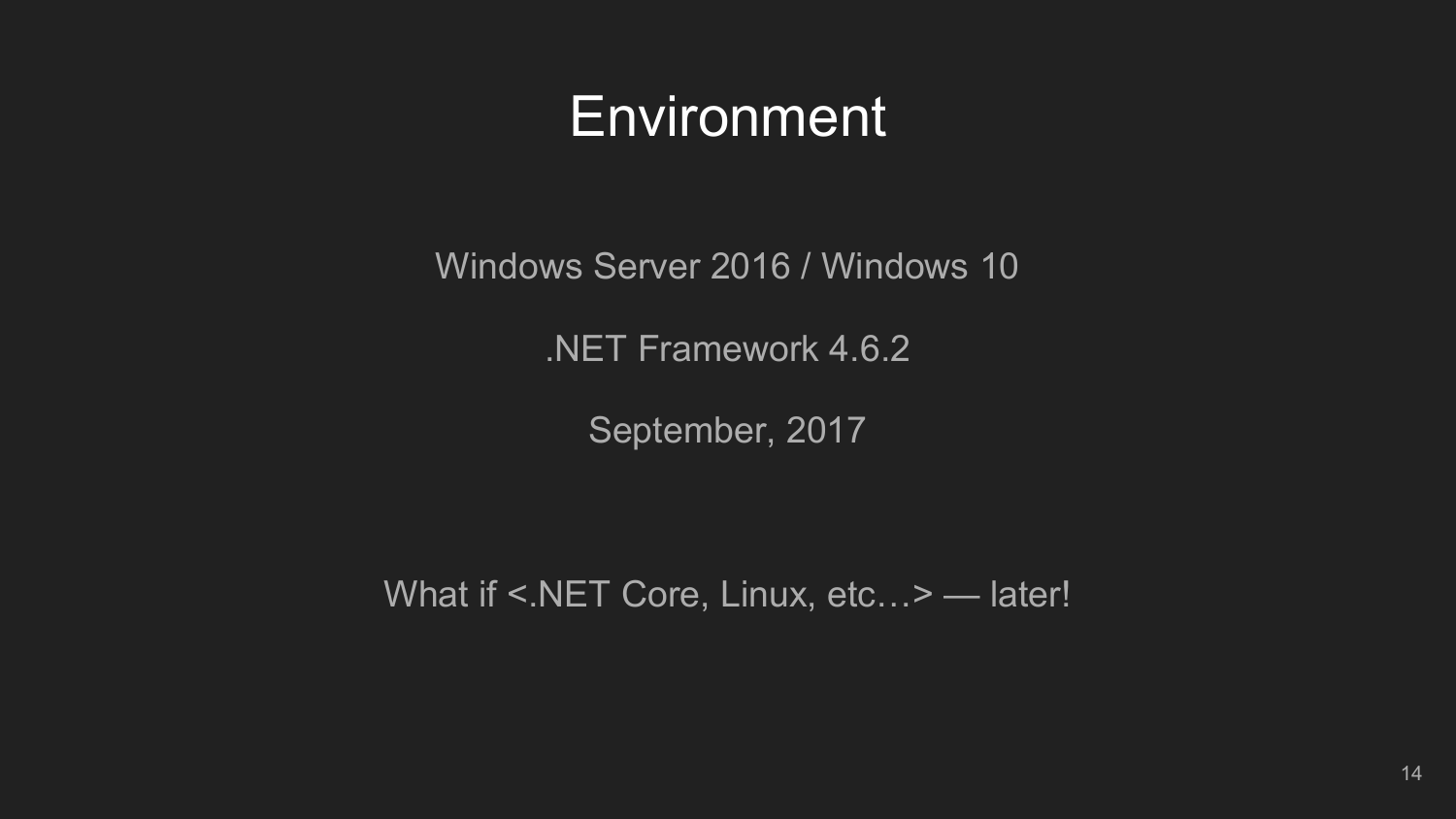### **Environment**

Windows Server 2016 / Windows 10

.NET Framework 4.6.2

September, 2017

What if <.NET Core, Linux, etc...> - later!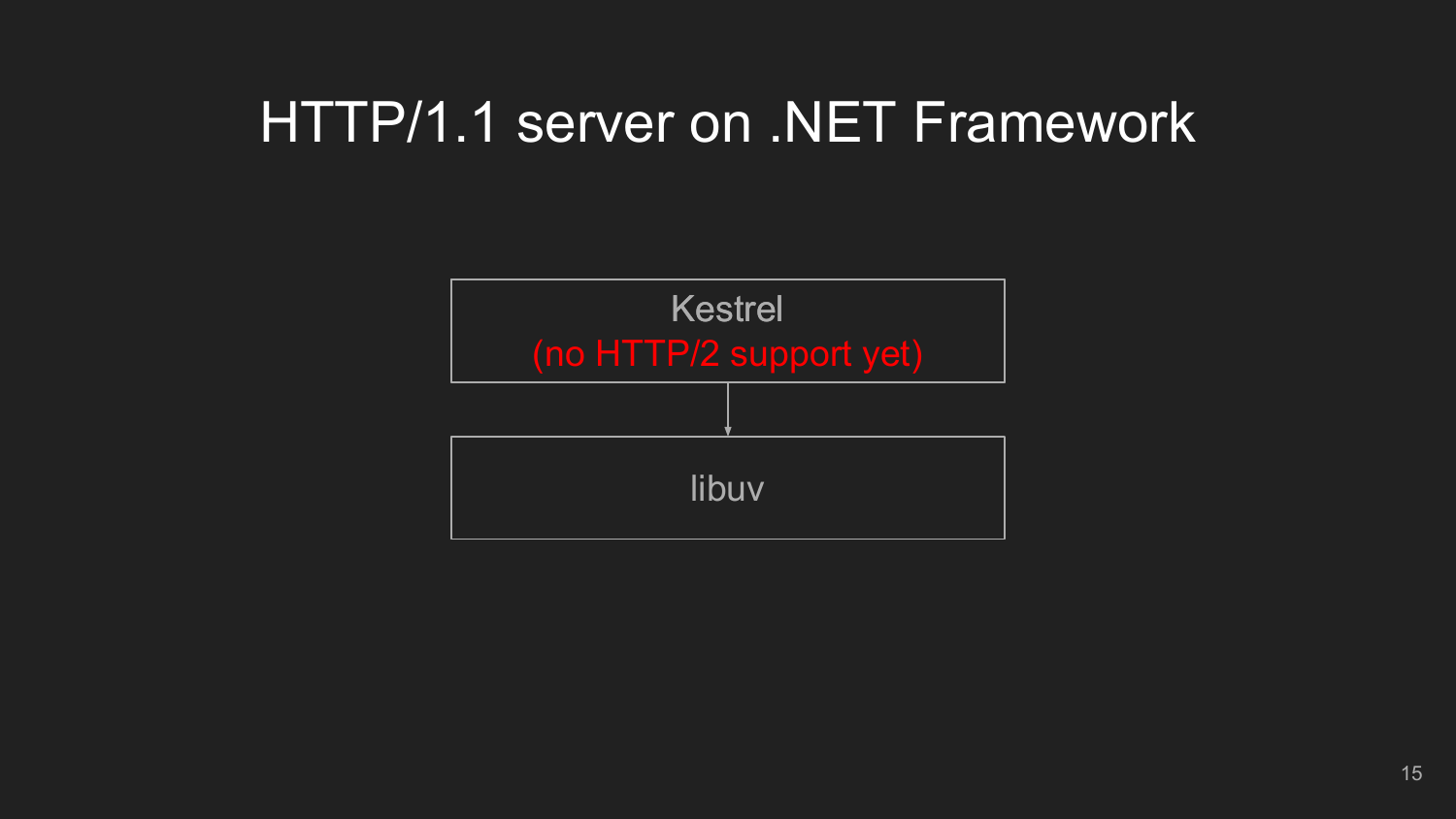### HTTP/1.1 server on .NET Framework

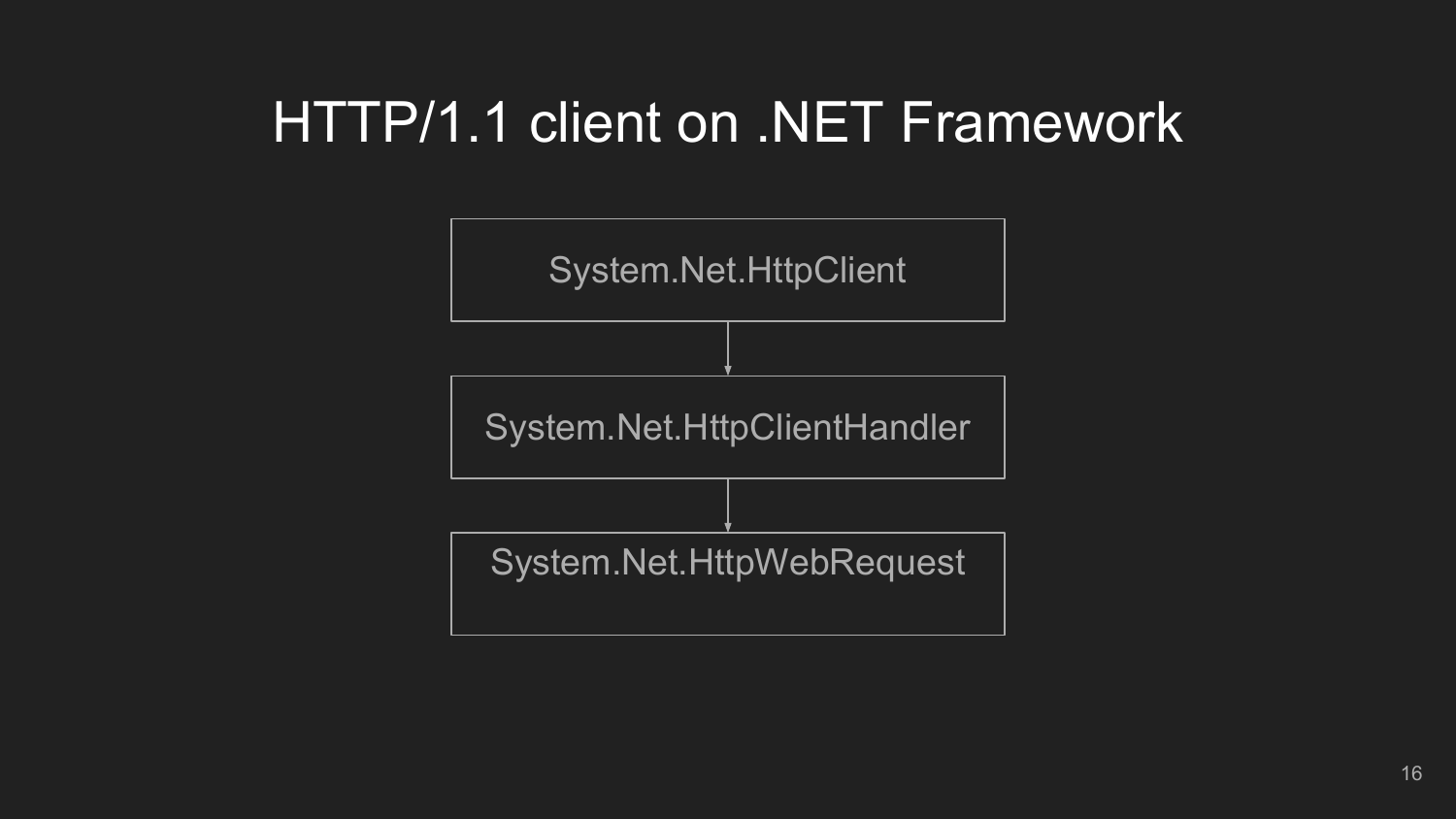### HTTP/1.1 client on .NET Framework

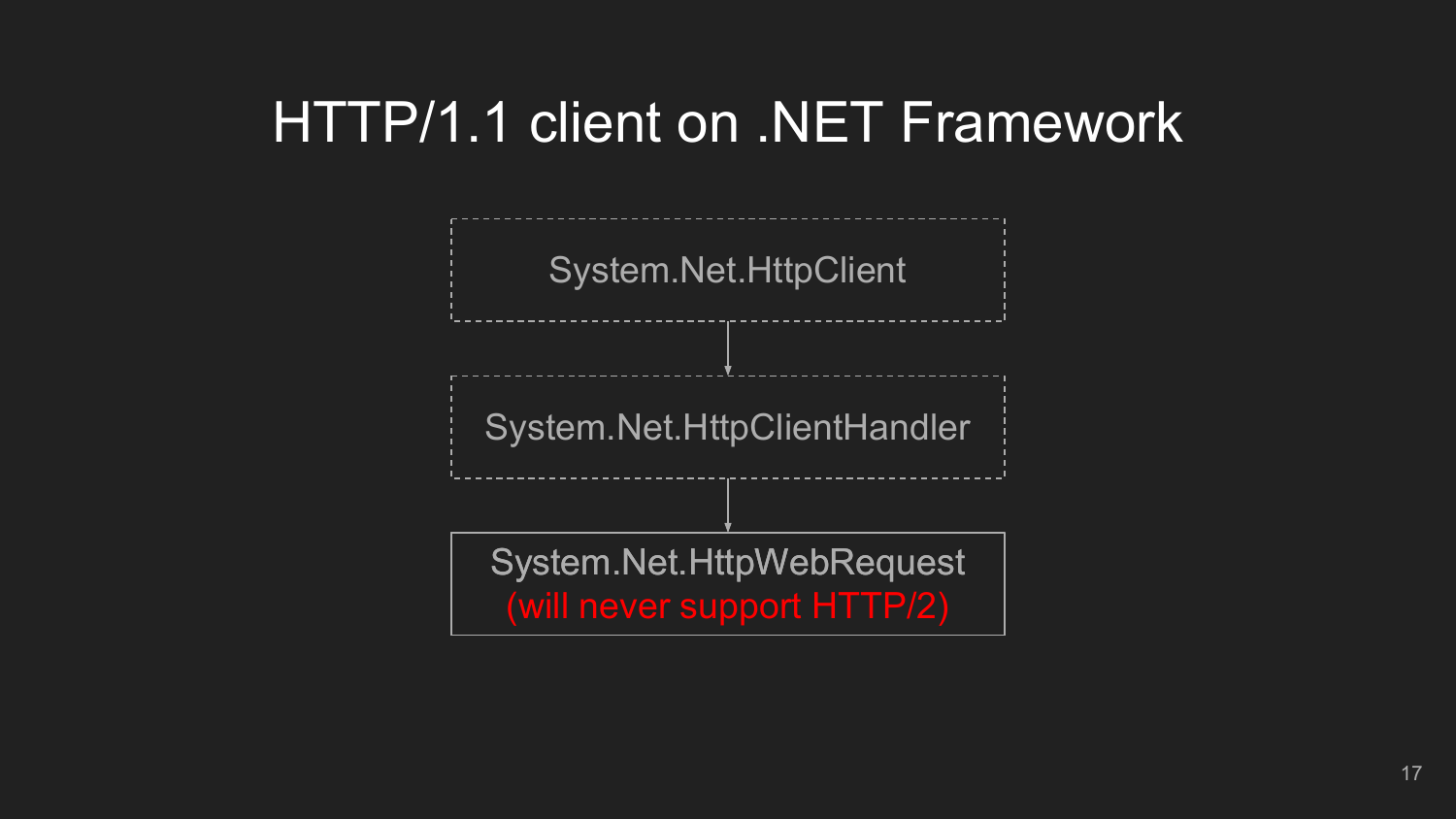### HTTP/1.1 client on .NET Framework

System.Net.HttpClient

System.Net.HttpClientHandler

System.Net.HttpWebRequest (will never support HTTP/2)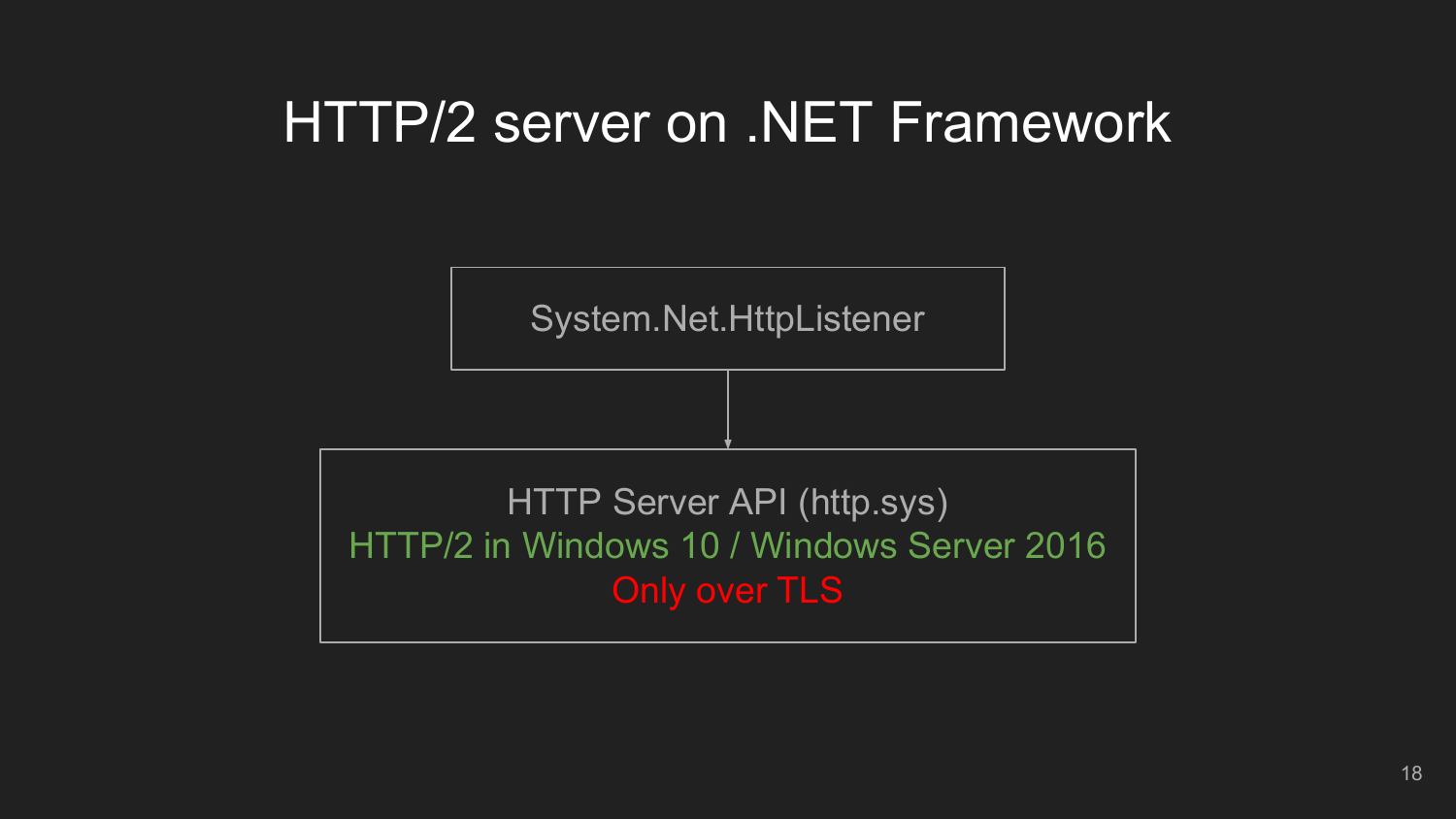### HTTP/2 server on .NET Framework

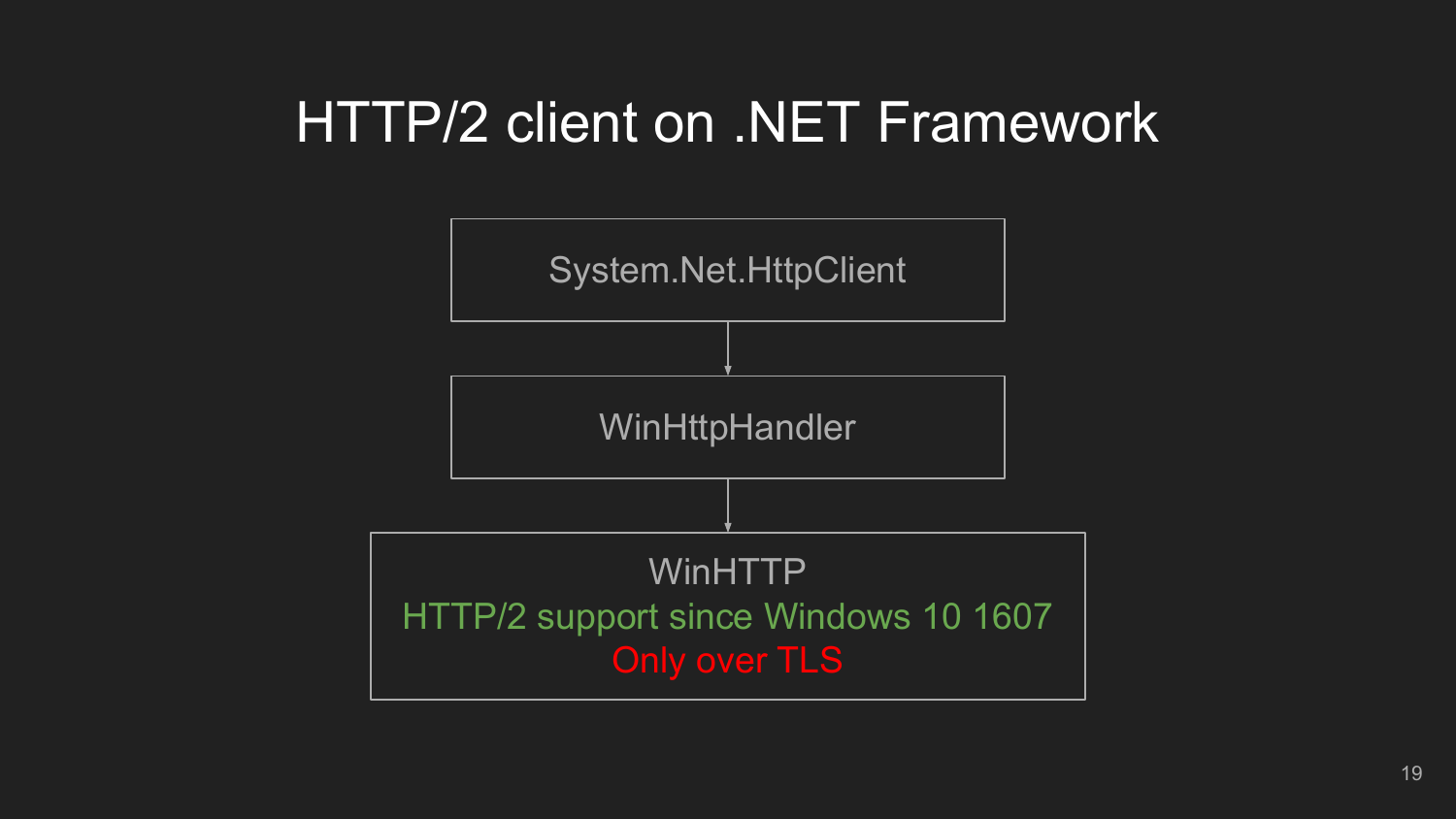### HTTP/2 client on .NET Framework

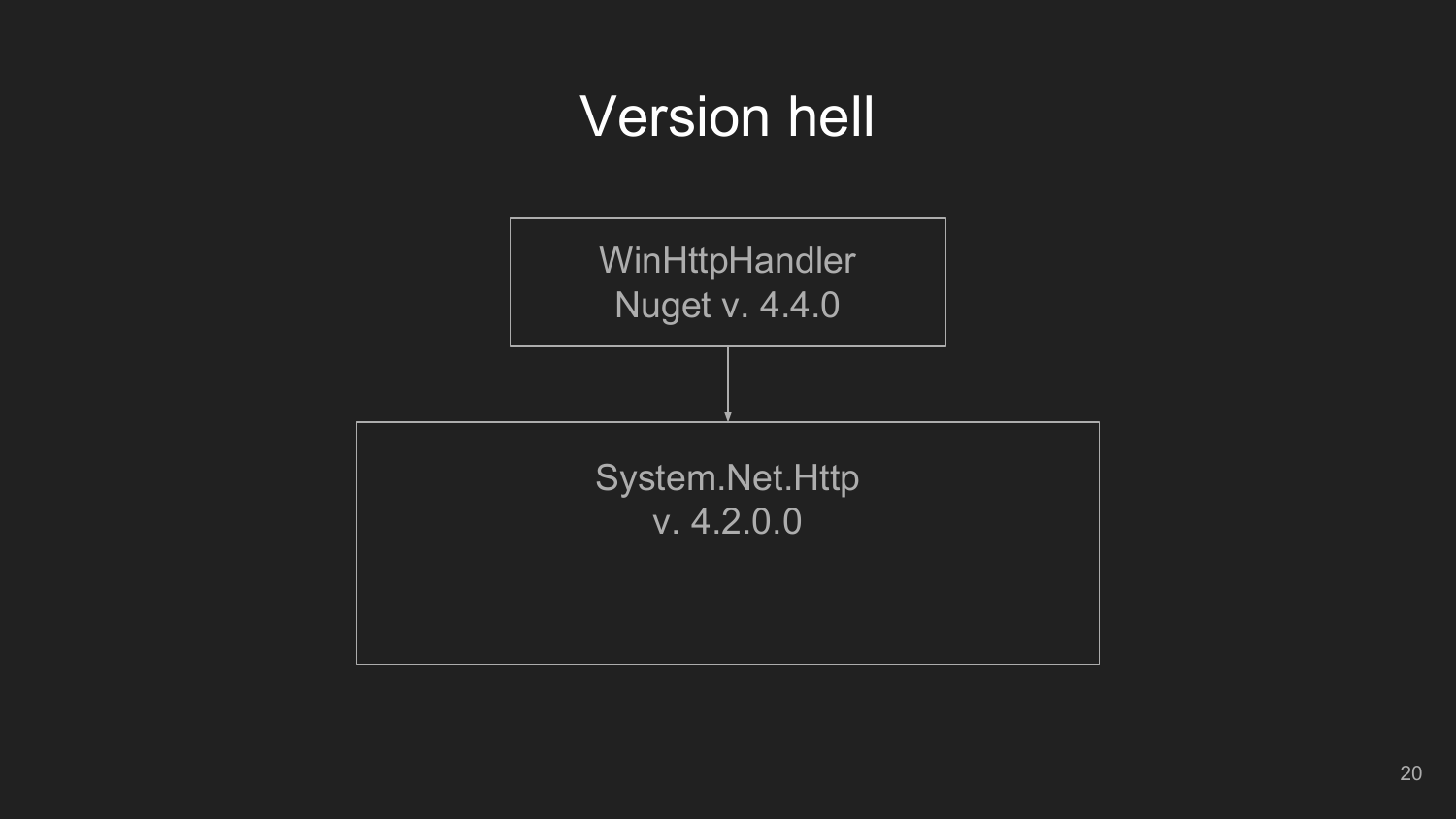### Version hell

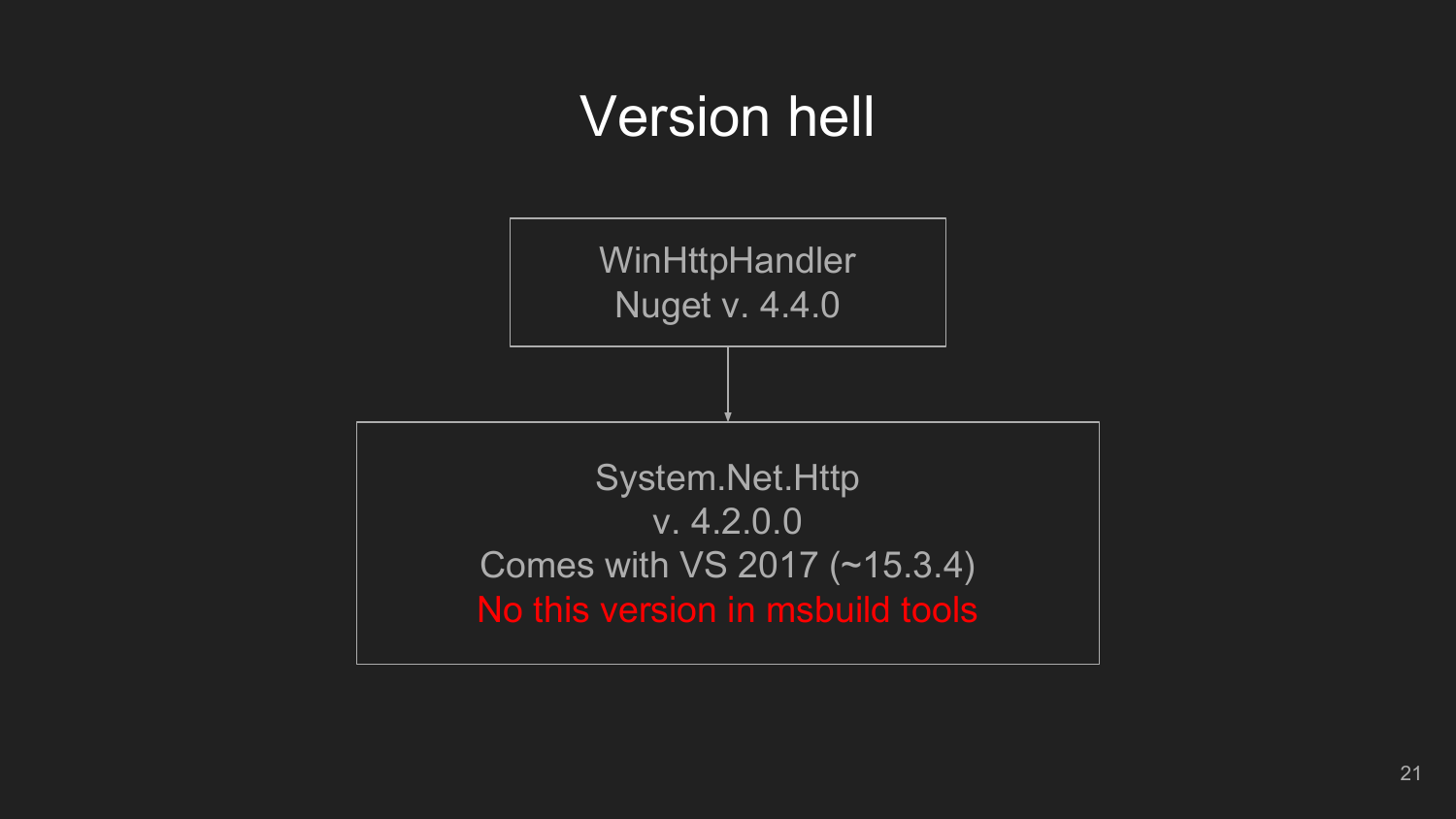### Version hell

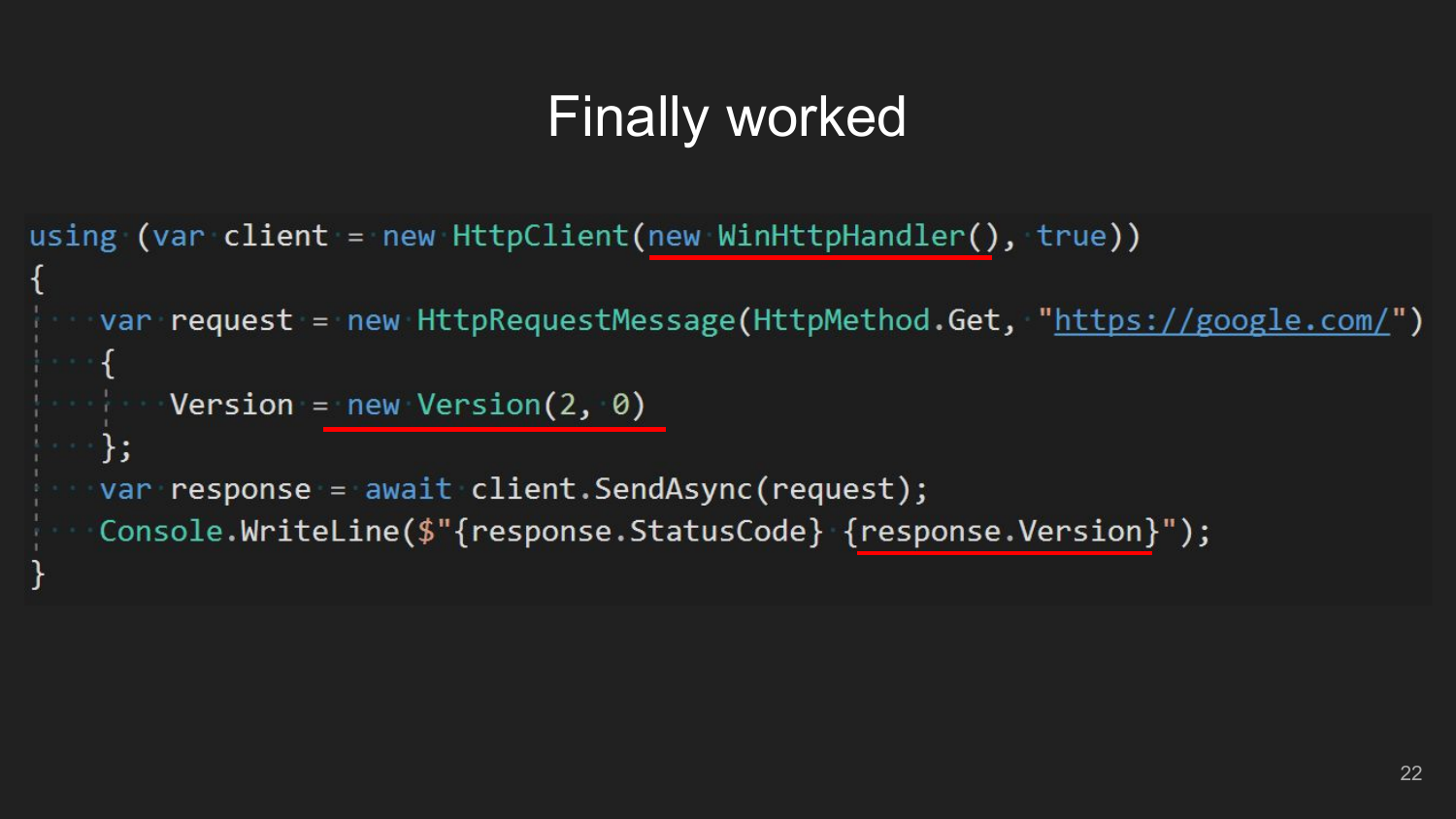# **Finally worked**

```
using (var client = new HtptClient(new WinHttpHandler(), true))
  var request = new HttpRequestMessage(HttpMethod.Get, "https://google.com/")
  \rightarrow \rightarrowSolution Version = new Version(2, \theta)
 \left\{ \cdot \right\}var response = await client.SendAsync(request);
    Console.WriteLine($"{response.StatusCode} {response.Version}");
```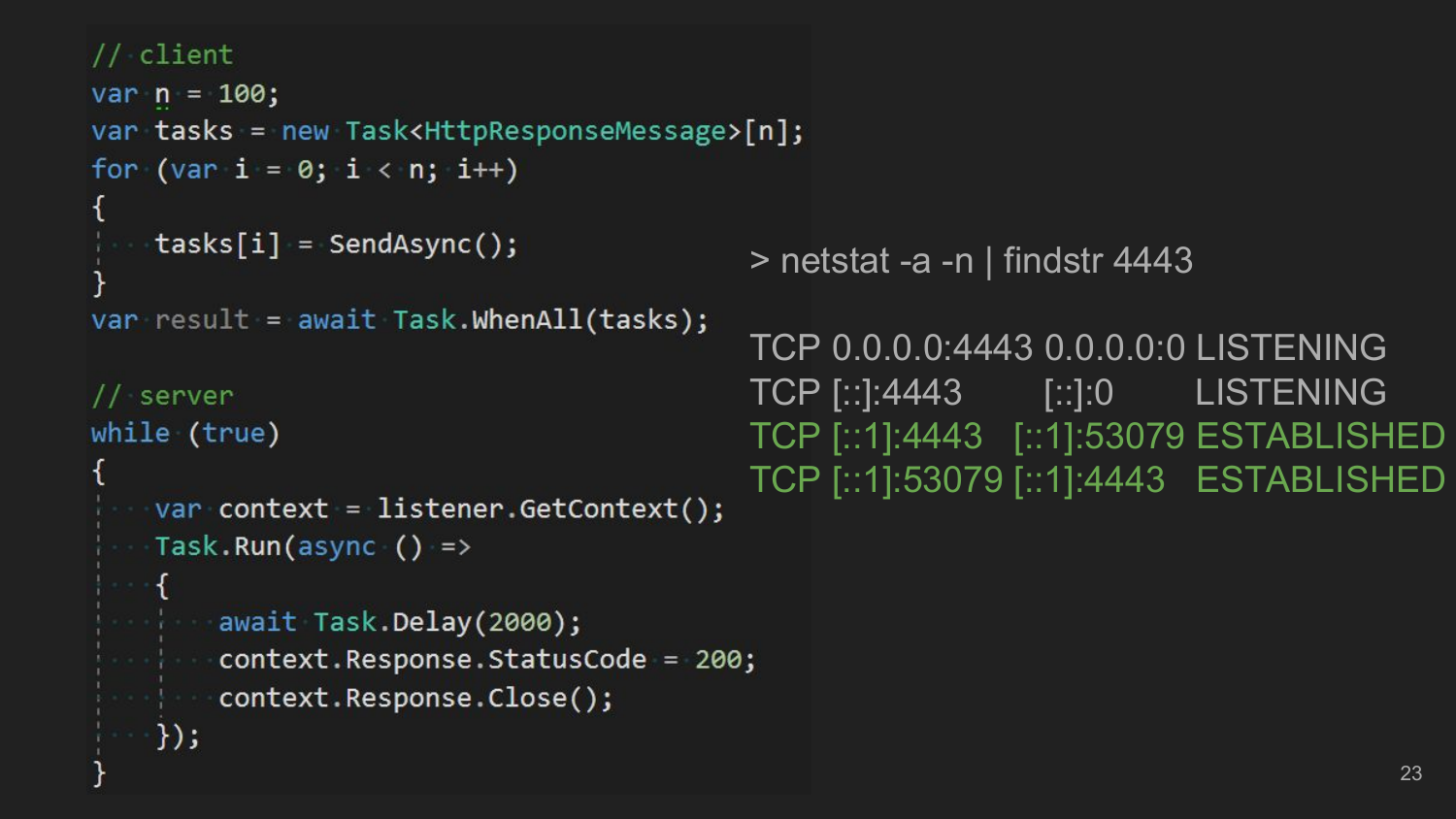```
// client
var n = 100;var tasks = new Task<HttpResponseMessage>[n];
for (var i = 0; i < n; i++)tasks[i] = SendAsync();> netstat -a -n | findstr 4443
var result = await Task.WhenAll(tasks);
                                       TCP 0.0.0.0:4443 0.0.0.0:0 LISTENING
                                       TCP [::]:4443 [::]:0 LISTENING
// server
while (true)
                                       TCP [::1]:4443 [::1]:53079 ESTABLISHED
                                       TCP [::1]:53079 [::1]:4443 ESTABLISHEDvar context = listener.GetContext();
| Task.Run(async () =>
 await Task.Delay(2000);
context.Response.StatusCode = 200;
 context.Response.Close();
 \rightarrow });
```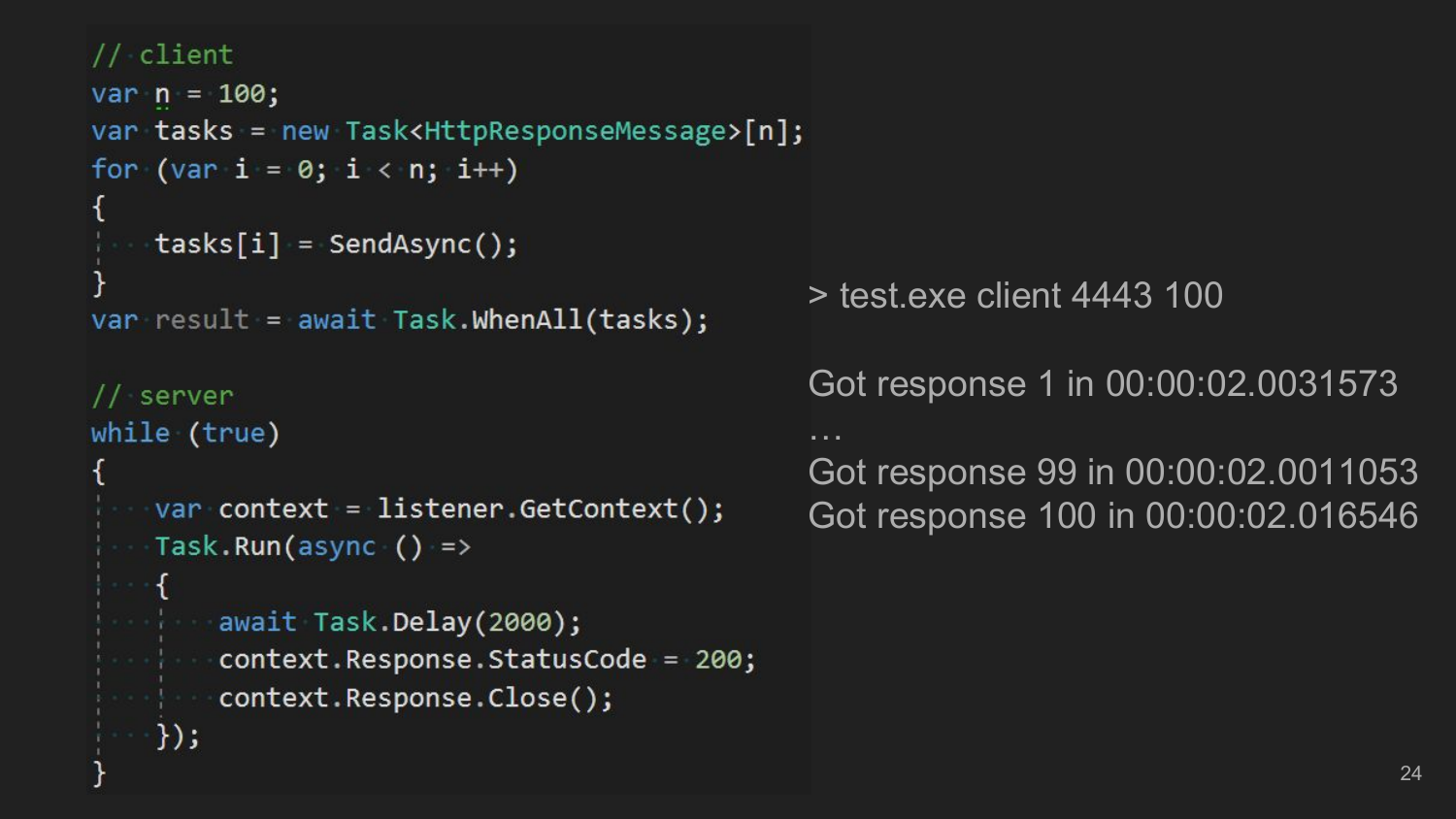#### // client

```
var n = 100;var tasks = new Task<HttpResponseMessage>[n];
for (var i = 0; i < n; i++)tasks[i] = SendAsync();
```

```
var result = await Task.WhenAll(tasks);
```

```
server
while (true)
```
});

```
var context = listener.GetContext();
- Task.Run(async () =>
```

```
await Task.Delay(2000);
context.Response.StatusCode = 200;
context.Response.Close();
```
> test.exe client 4443 100

Got response 1 in 00:00:02.0031573 … Got response 99 in 00:00:02.0011053 Got response 100 in 00:00:02.016546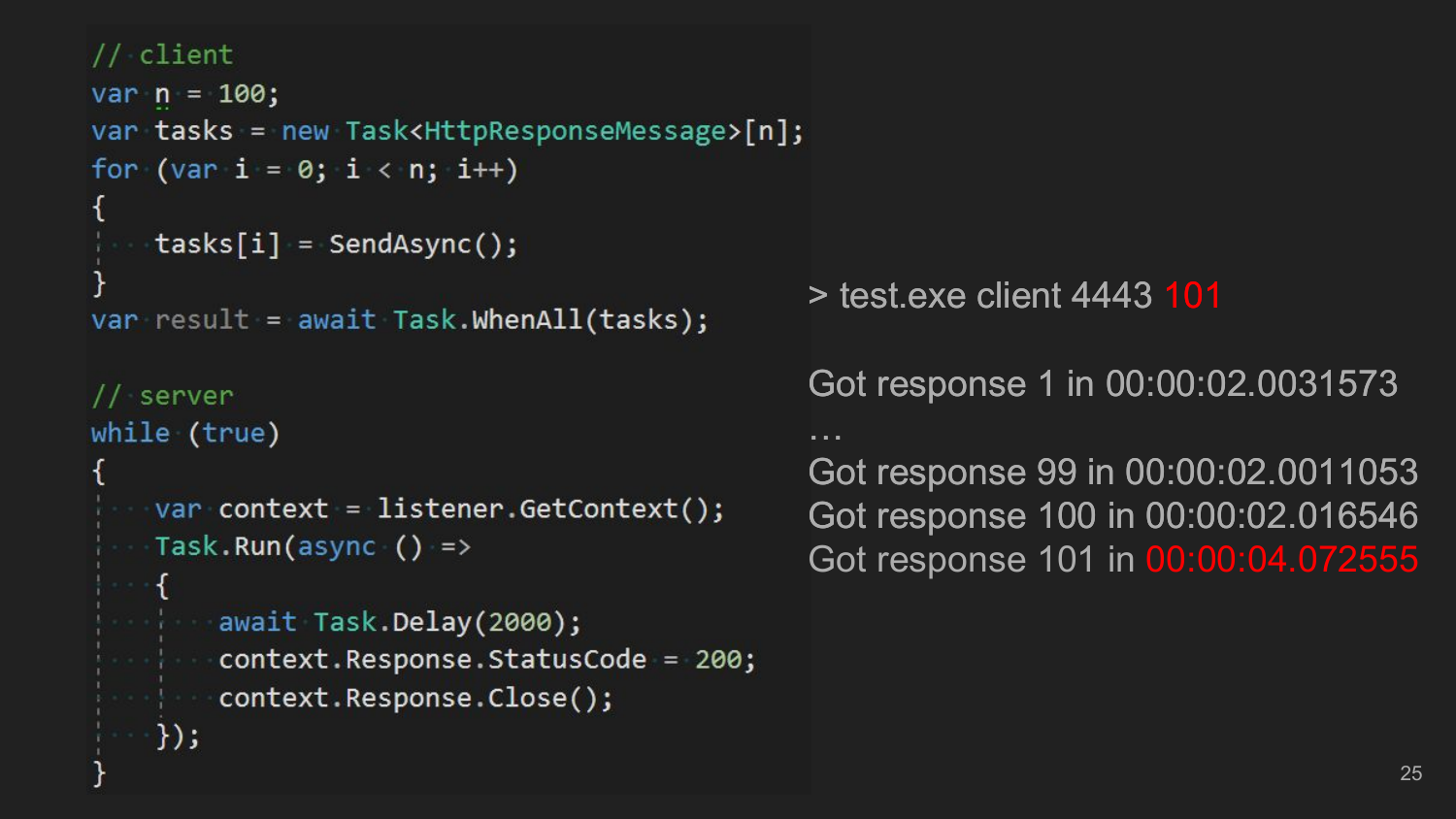#### // client

```
var n = 100;var tasks = new Task<HttpResponseMessage>[n];
for (var i = 0; i < n; i++)tasks[i] = SendAsync();
```

```
var result = await Task.WhenAll(tasks);
```

```
// server
while (true)
```
});

```
var context = listener.GetContext();
- Task.Run(async () =>
```

```
await Task.Delay(2000);
context.Response.StatusCode = 200;
context.Response.Close();
```
> test.exe client 4443 101

… …

Got response 1 in 00:00:02.0031573

Got response 99 in 00:00:02.0011053 Got response 100 in 00:00:02.016546 Got response 101 in 00:00:04.072555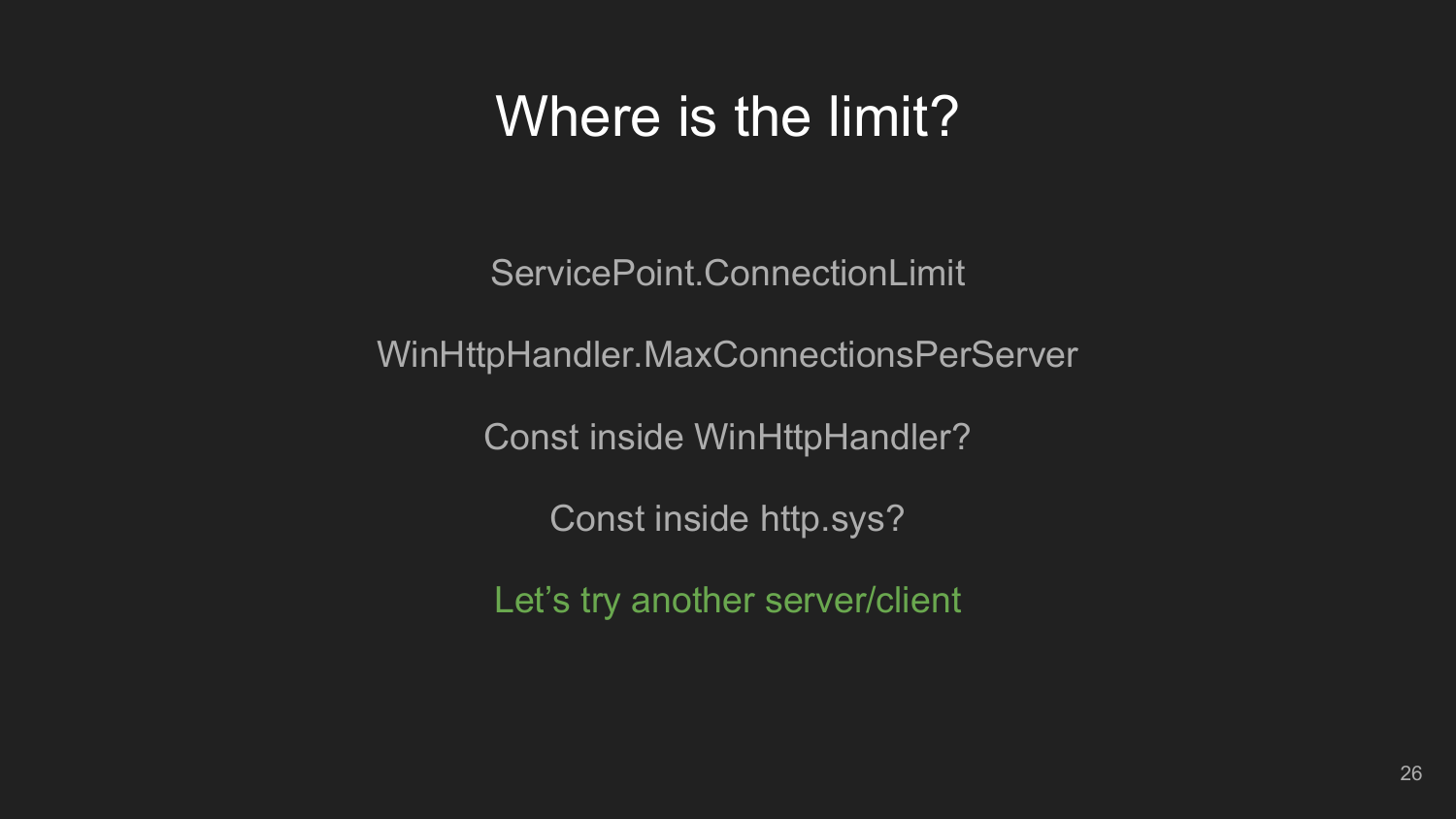### Where is the limit?

ServicePoint.ConnectionLimit

WinHttpHandler.MaxConnectionsPerServer

Const inside WinHttpHandler?

Const inside http.sys?

Let's try another server/client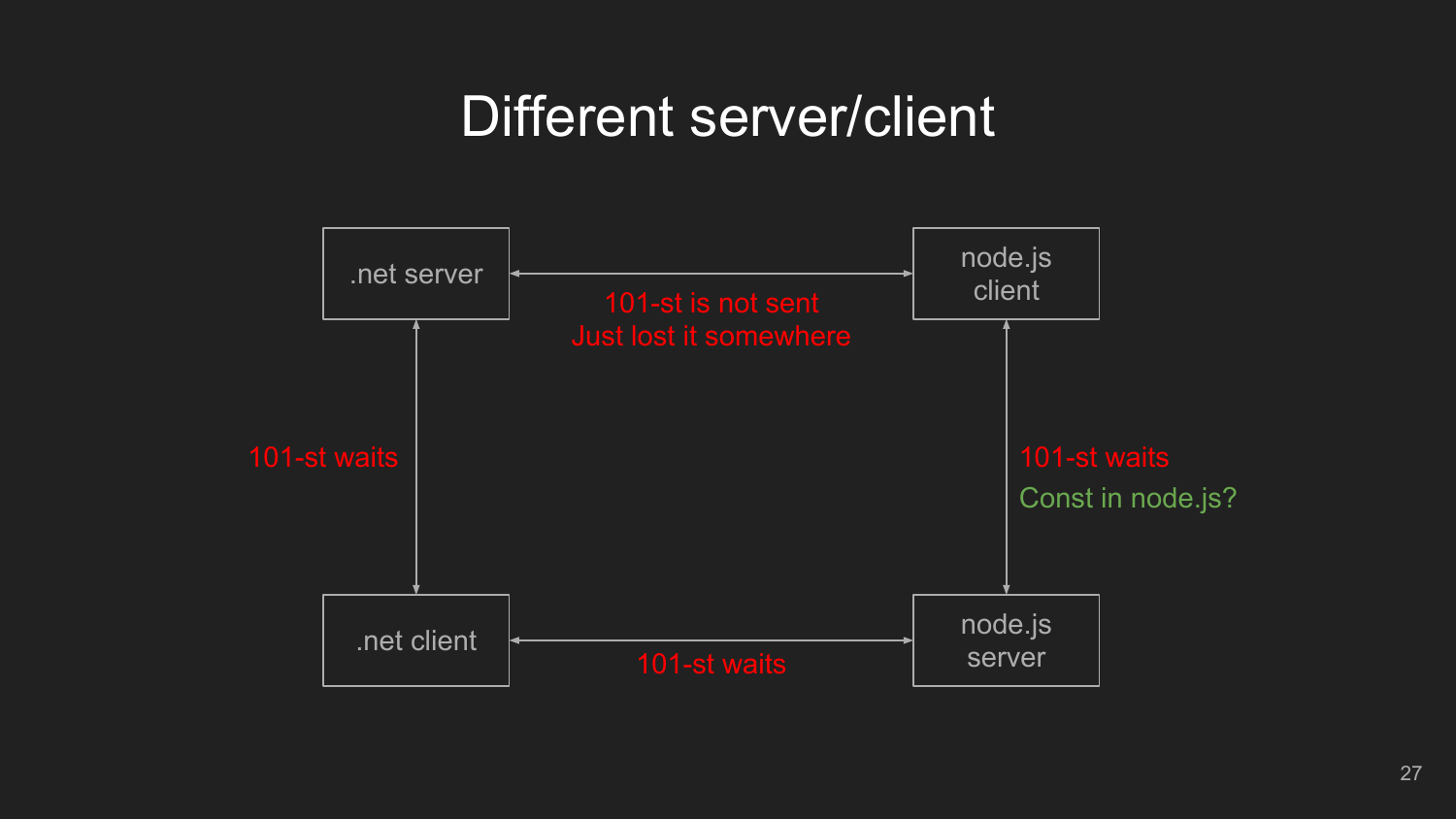### Different server/client

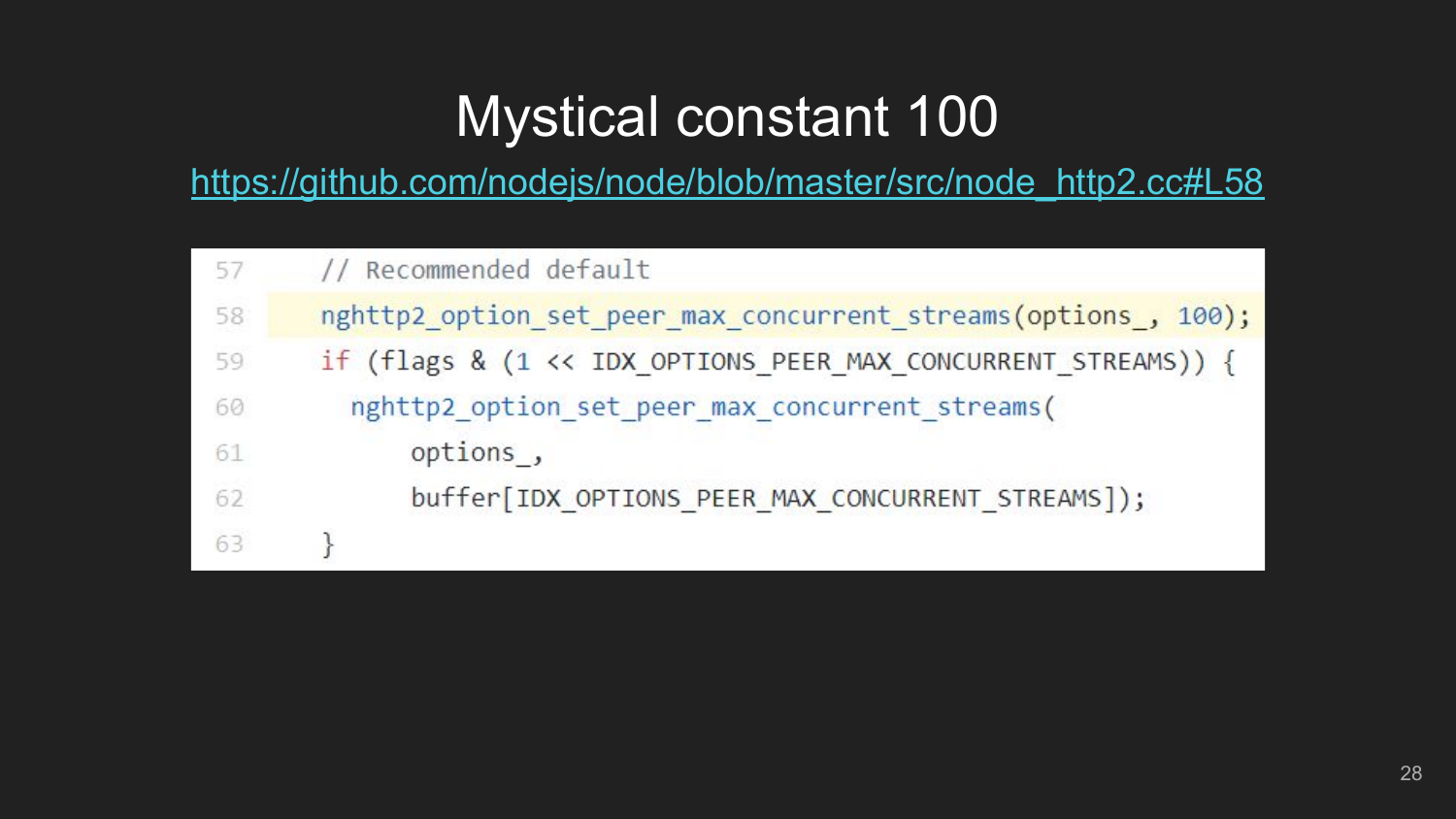# **Mystical constant 100**

https://github.com/nodejs/node/blob/master/src/node http2.cc#L58

| 57 | // Recommended default                                        |
|----|---------------------------------------------------------------|
| 58 | nghttp2 option set peer max concurrent streams(options, 100); |
| 59 | if (flags & (1 << IDX_OPTIONS_PEER_MAX CONCURRENT STREAMS)) { |
| 60 | nghttp2_option_set_peer_max_concurrent_streams(               |
| 61 | options,                                                      |
| 62 | buffer[IDX OPTIONS PEER MAX CONCURRENT STREAMS]);             |
| 63 |                                                               |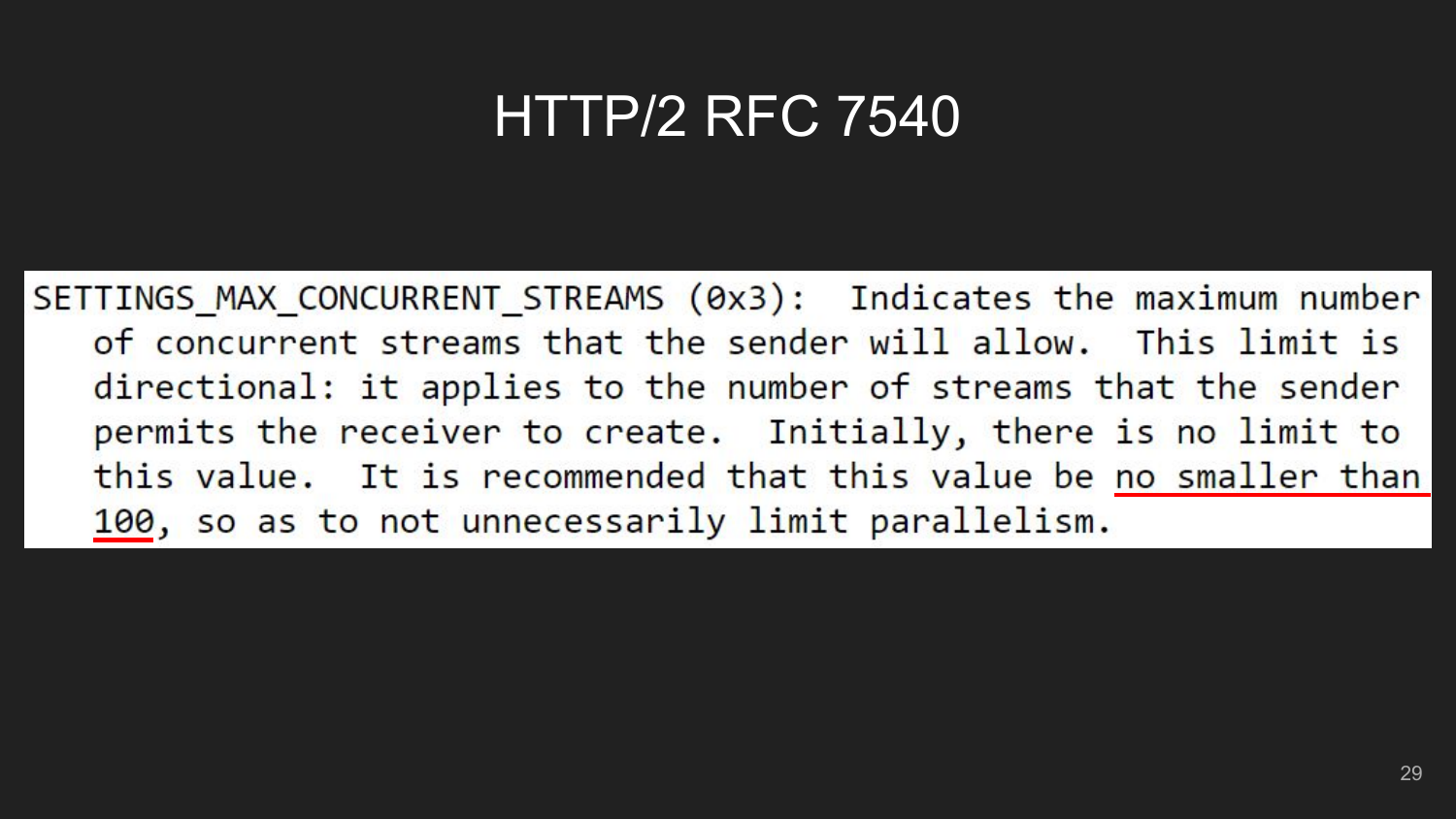### HTTP/2 RFC 7540

SETTINGS MAX CONCURRENT STREAMS (0x3): Indicates the maximum number of concurrent streams that the sender will allow. This limit is directional: it applies to the number of streams that the sender permits the receiver to create. Initially, there is no limit to this value. It is recommended that this value be no smaller than 100, so as to not unnecessarily limit parallelism.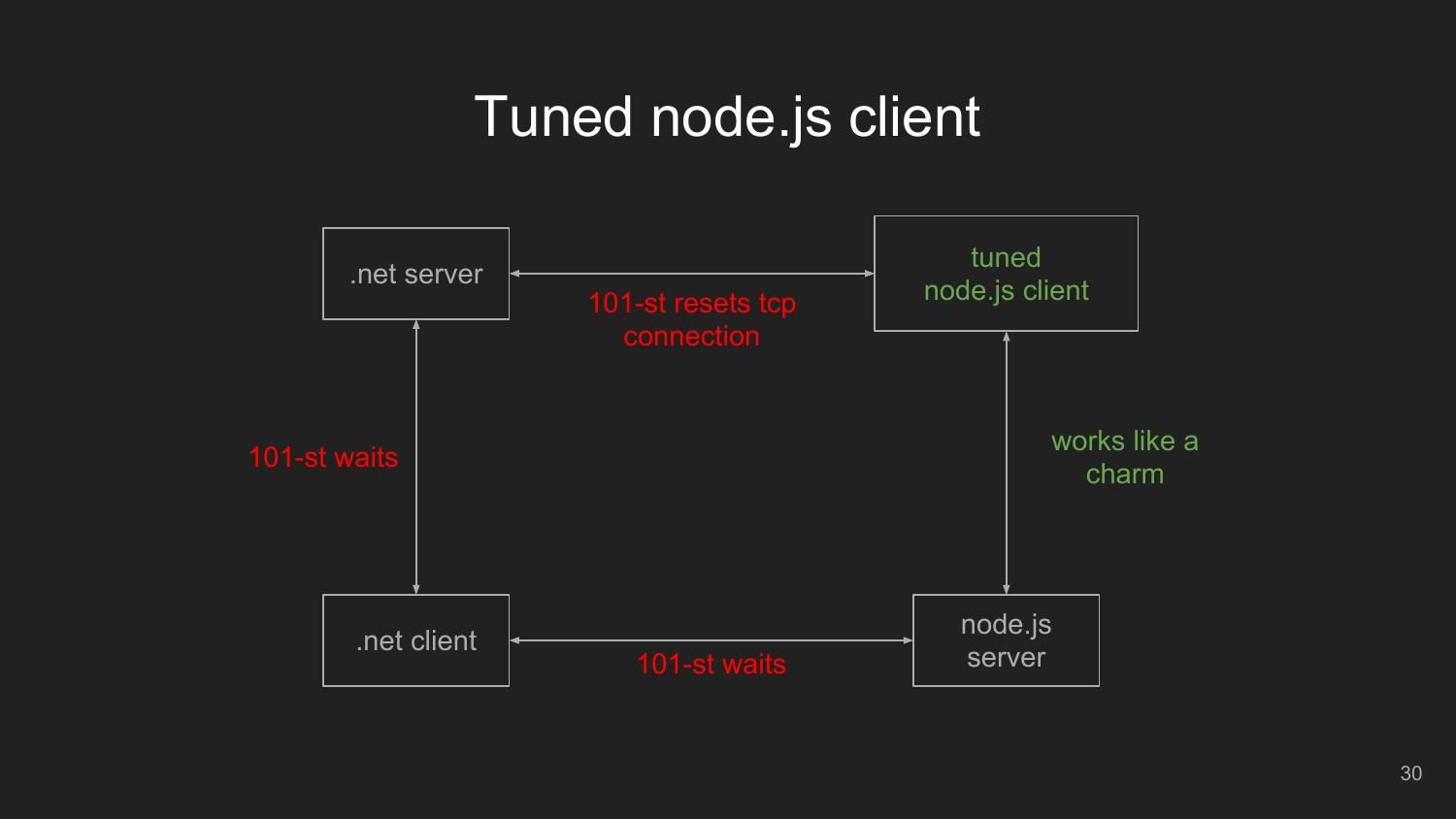### Tuned node.js client

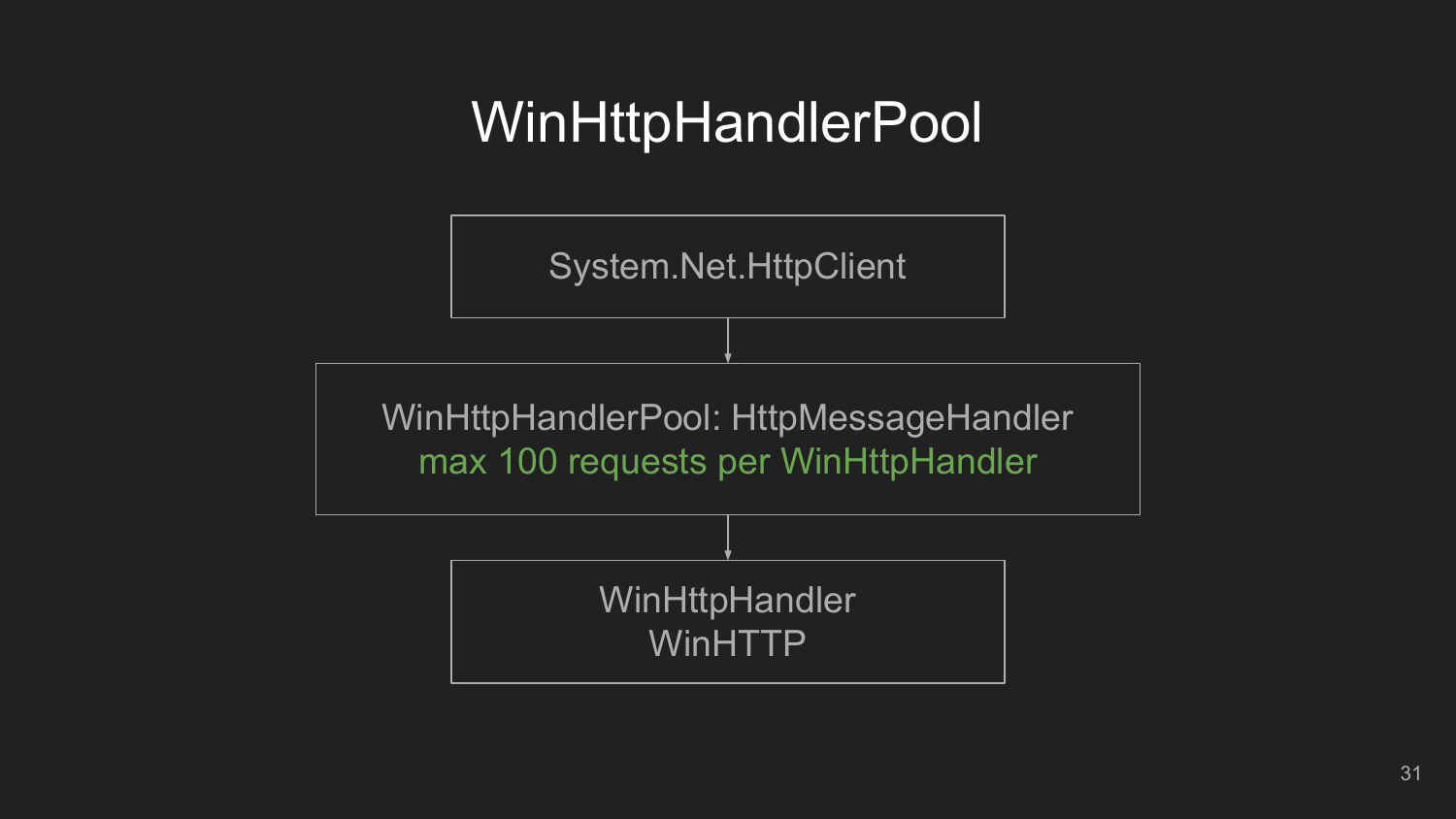### WinHttpHandlerPool

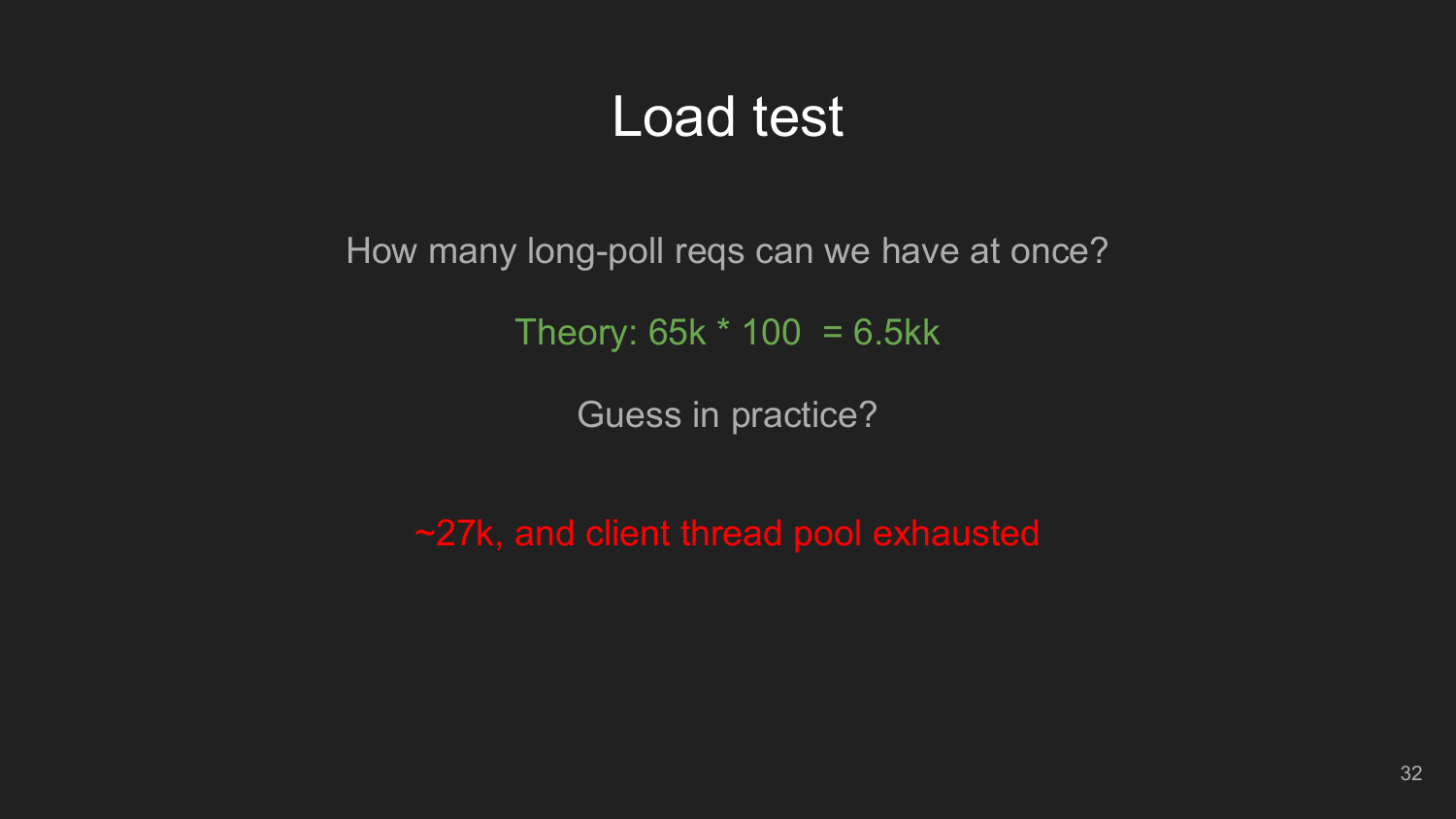### Load test

How many long-poll reqs can we have at once?

Theory:  $65k * 100 = 6.5kk$ 

Guess in practice?

~27k, and client thread pool exhausted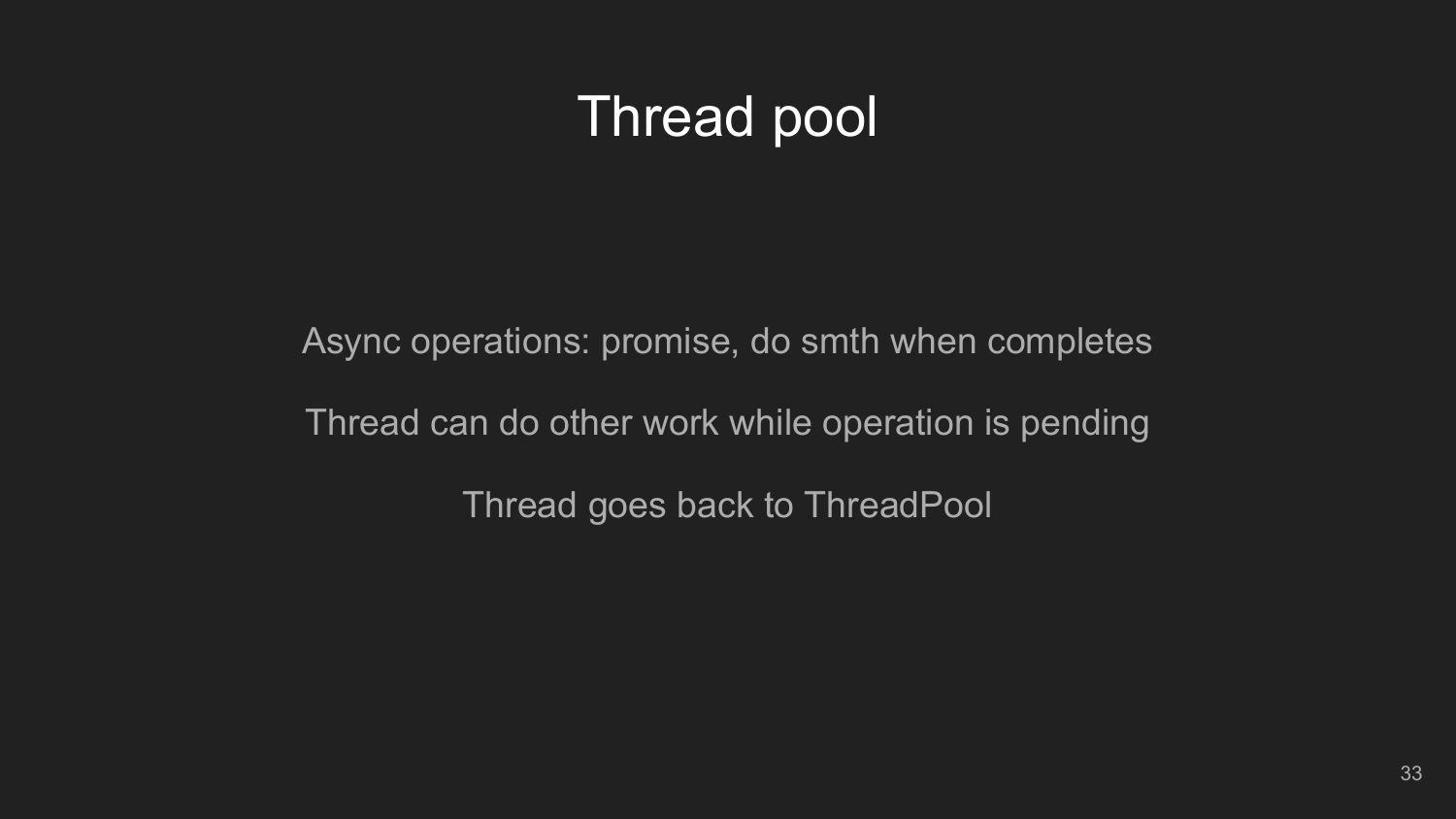### Thread pool

Async operations: promise, do smth when completes Thread can do other work while operation is pending Thread goes back to ThreadPool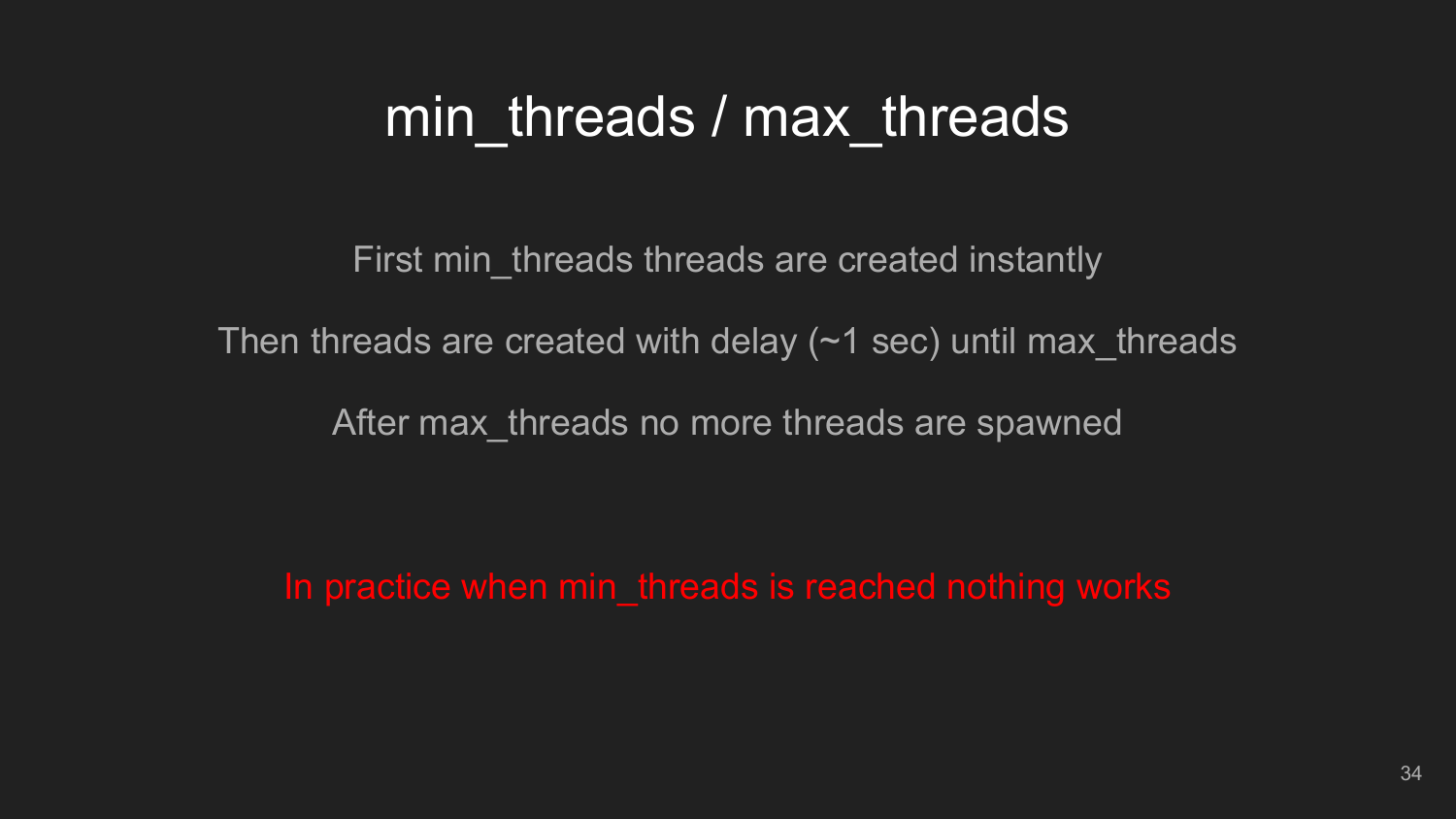### min threads / max threads

First min threads threads are created instantly

Then threads are created with delay  $(\sim 1 \text{ sec})$  until max threads

After max\_threads no more threads are spawned

In practice when min\_threads is reached nothing works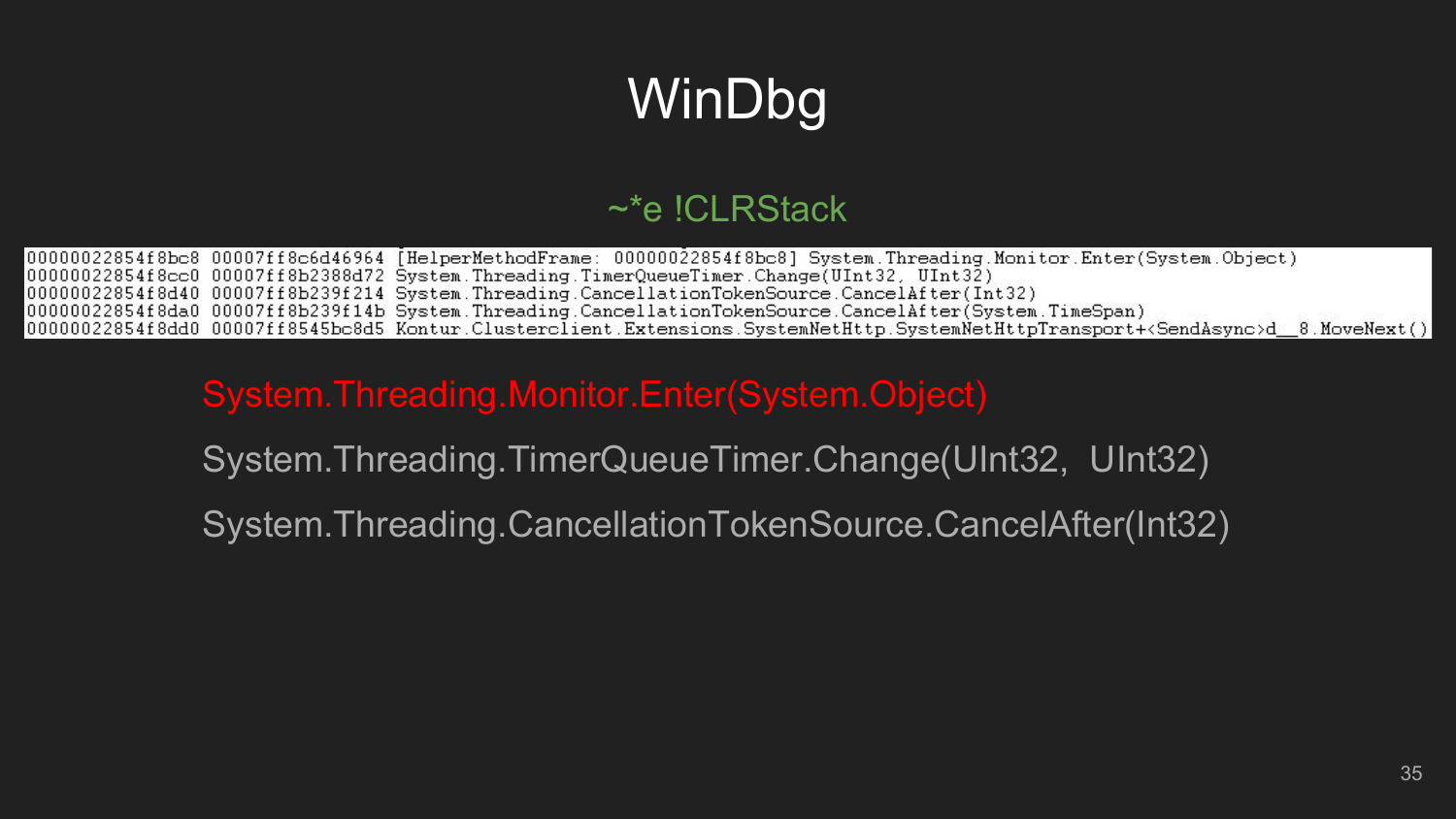# WinDbg

#### $\sim$ \*e !CLRStack

000000022854f8bc8 00007ff8c6d46964 [HelperMethodFrame: 00000022854f8bc8] System.Threading.Monitor.Enter(System.Object) 00000022854f8cc0 00007ff8b2388d72 System.Threading.TimerQueueTimer.Change(UInt32, UInt32) 00000022854f8d40 00007ff8b239f214 System.Threading.CancellationTokenSource.CancelAfter(Int32) 00000022854f8da0 00007ff8b239f14b System.Threading.CancellationTokenSource.CancelAfter(System.TimeSpan) (00000022854f8dd0\_00007ff8545bc8d5\_Kontur.Clusterclient.Extensions.SystemNetHttp.SystemNetHttpTransport+<SendAsvnc>d = 8.MoveNext();|

#### System.Threading.Monitor.Enter(System.Object)

System.Threading.TimerQueueTimer.Change(UInt32, UInt32)

System.Threading.CancellationTokenSource.CancelAfter(Int32)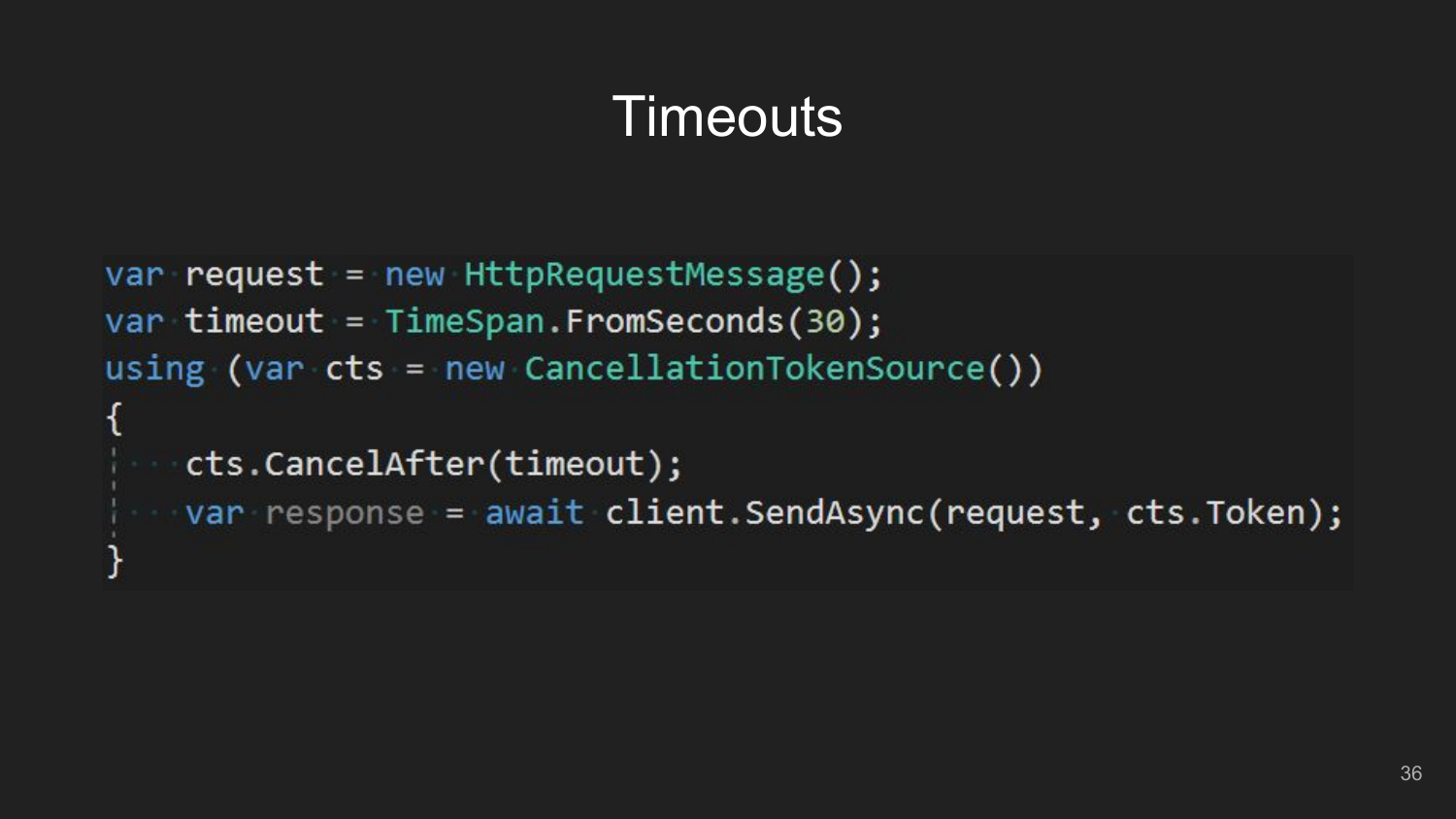### **Timeouts**

```
var request = new HttpRequestMessage();
var timeout = TimeSpan.FromSeconds(30);using (var cts = new CancellationTokenSource())
ł
    cts.CancelAfter(timeout);
 var response = await client.SendAsync(request, cts.Token);
```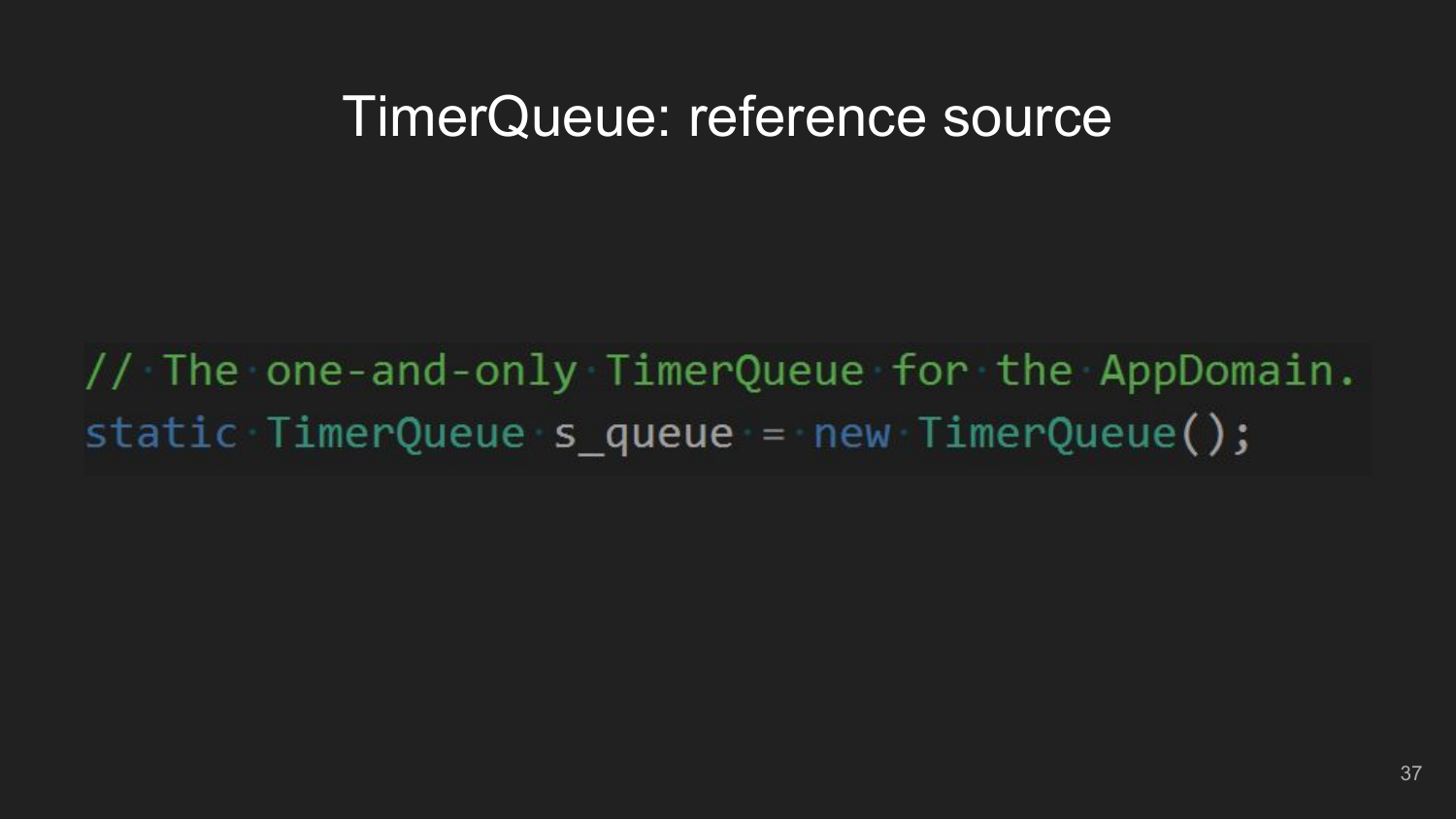// The one-and-only TimerQueue for the AppDomain. static TimerQueue s queue = new TimerQueue();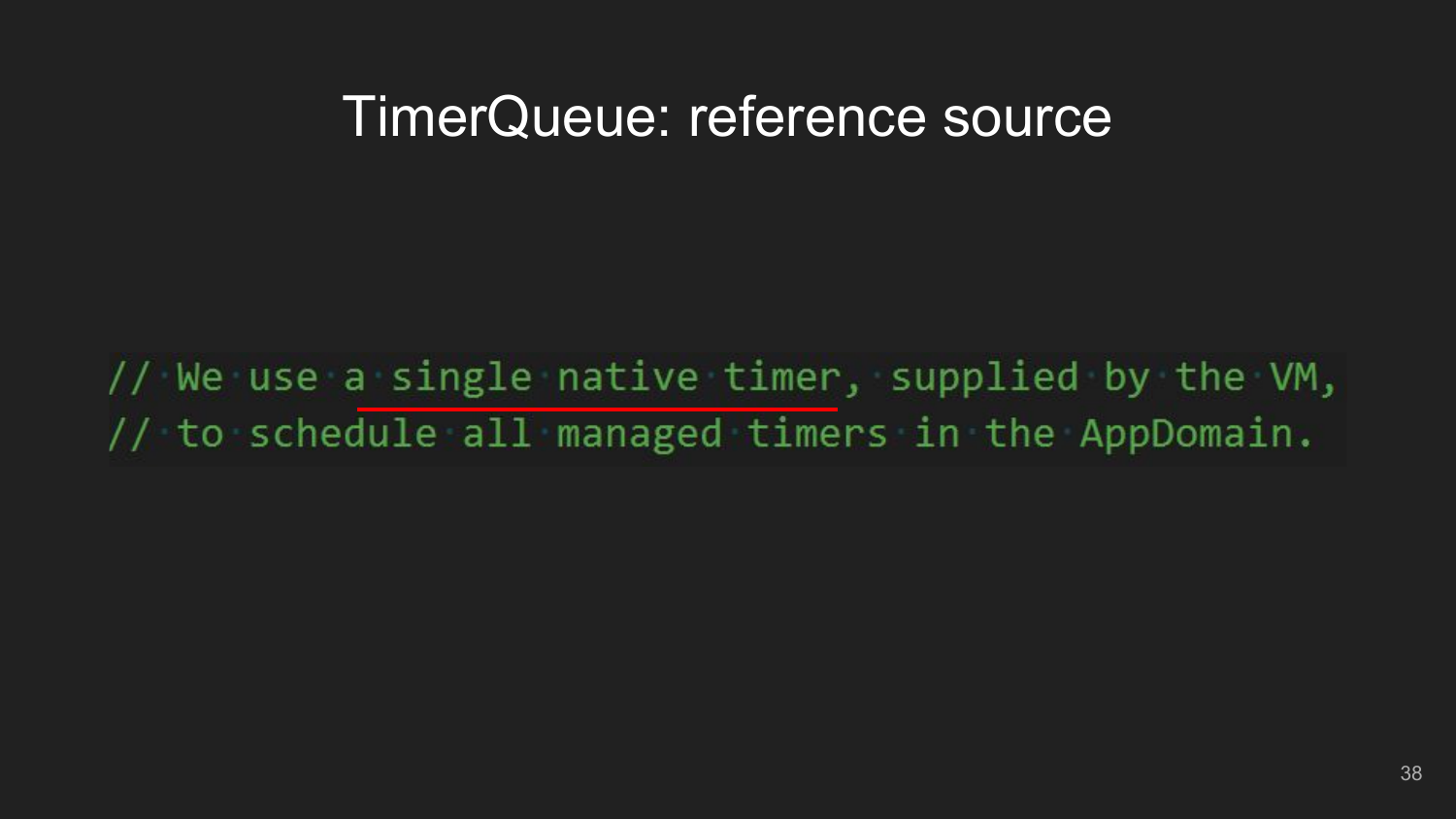// We use a single native timer, supplied by the VM, // to schedule all managed timers in the AppDomain.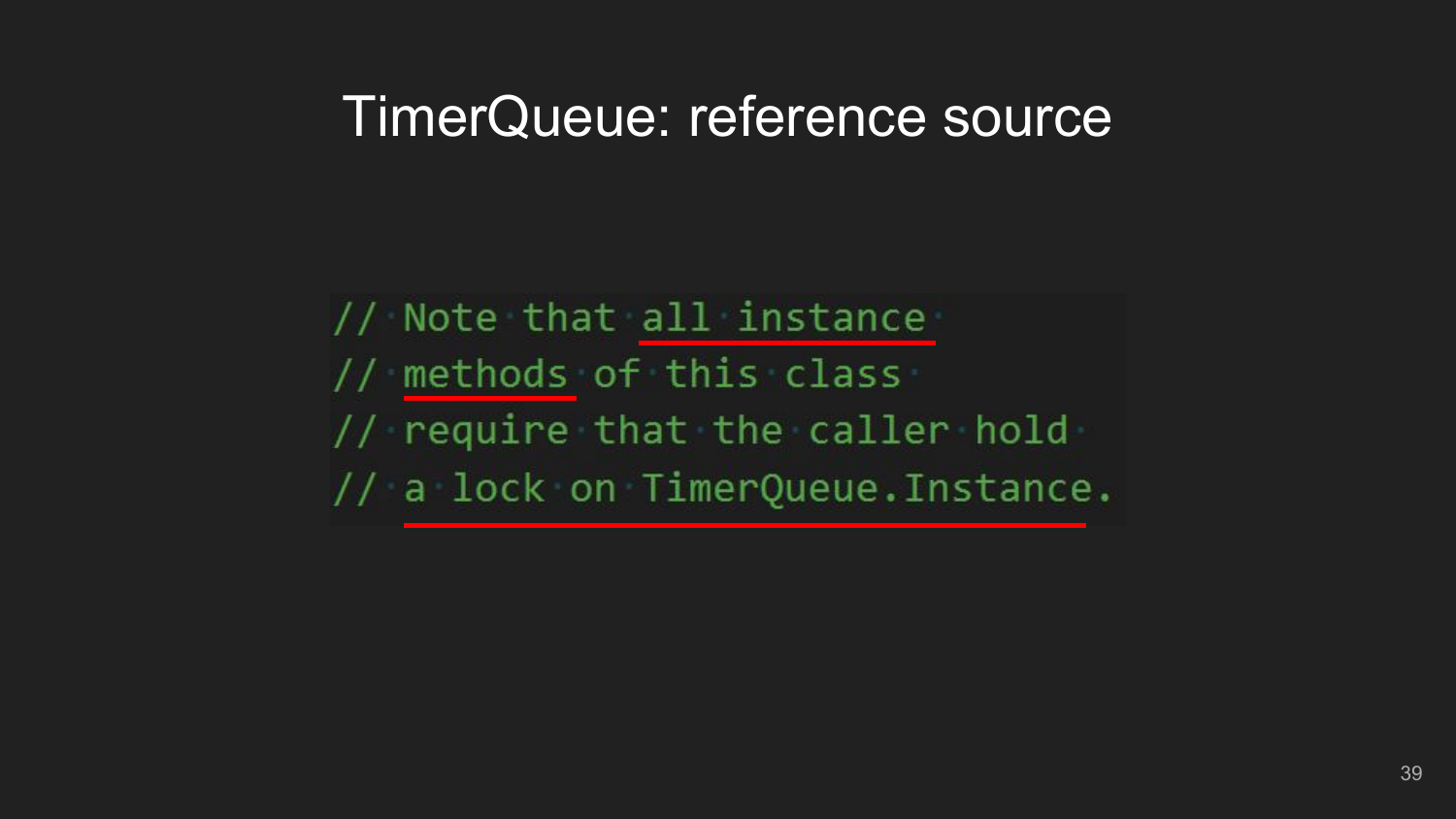// Note that all instance // methods of this class // require that the caller hold // a lock on TimerQueue. Instance.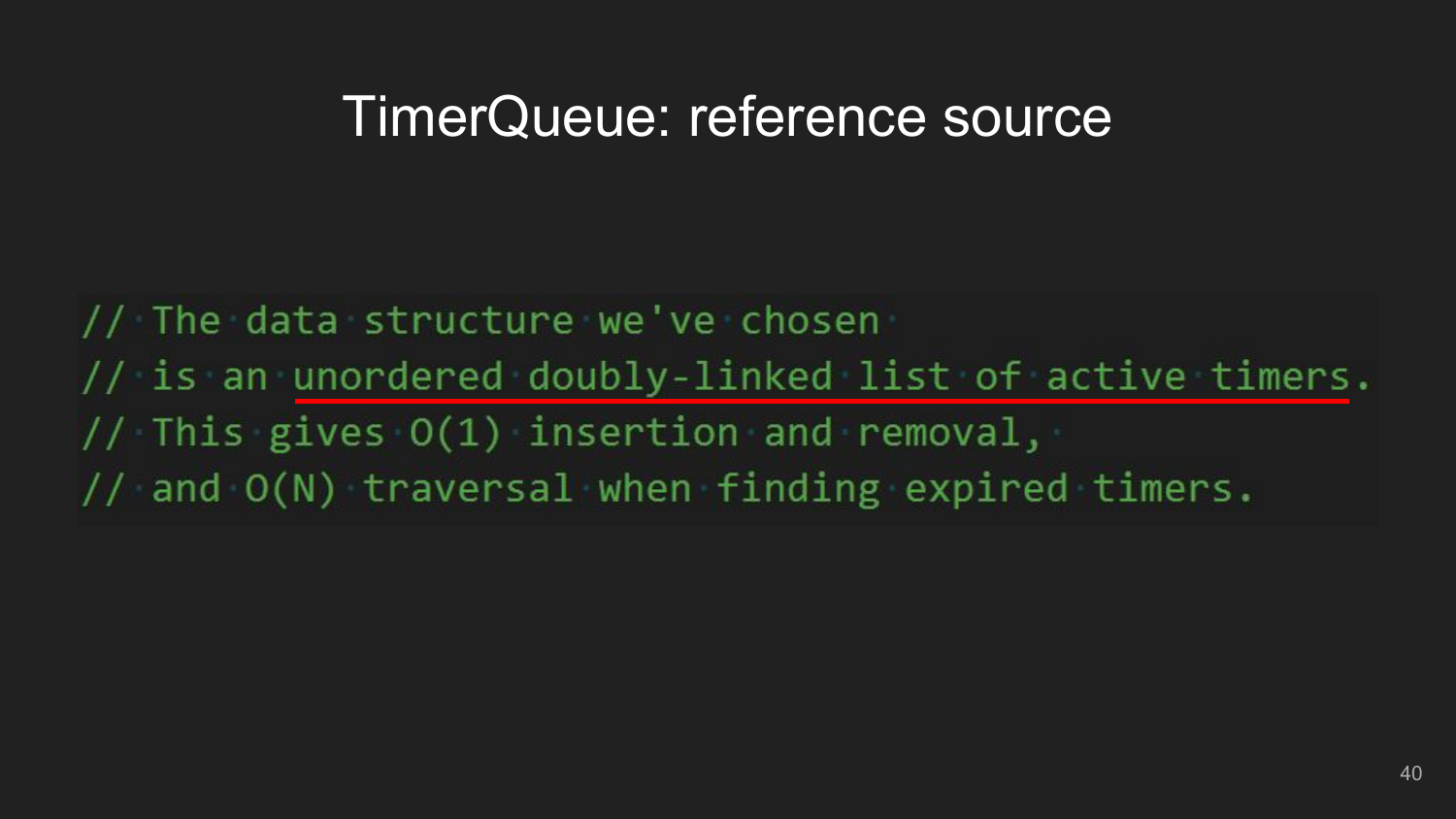// The data structure we've chosen // is an unordered doubly-linked list of active timers. // This gives  $O(1)$  insertion and removal, // and O(N) traversal when finding expired timers.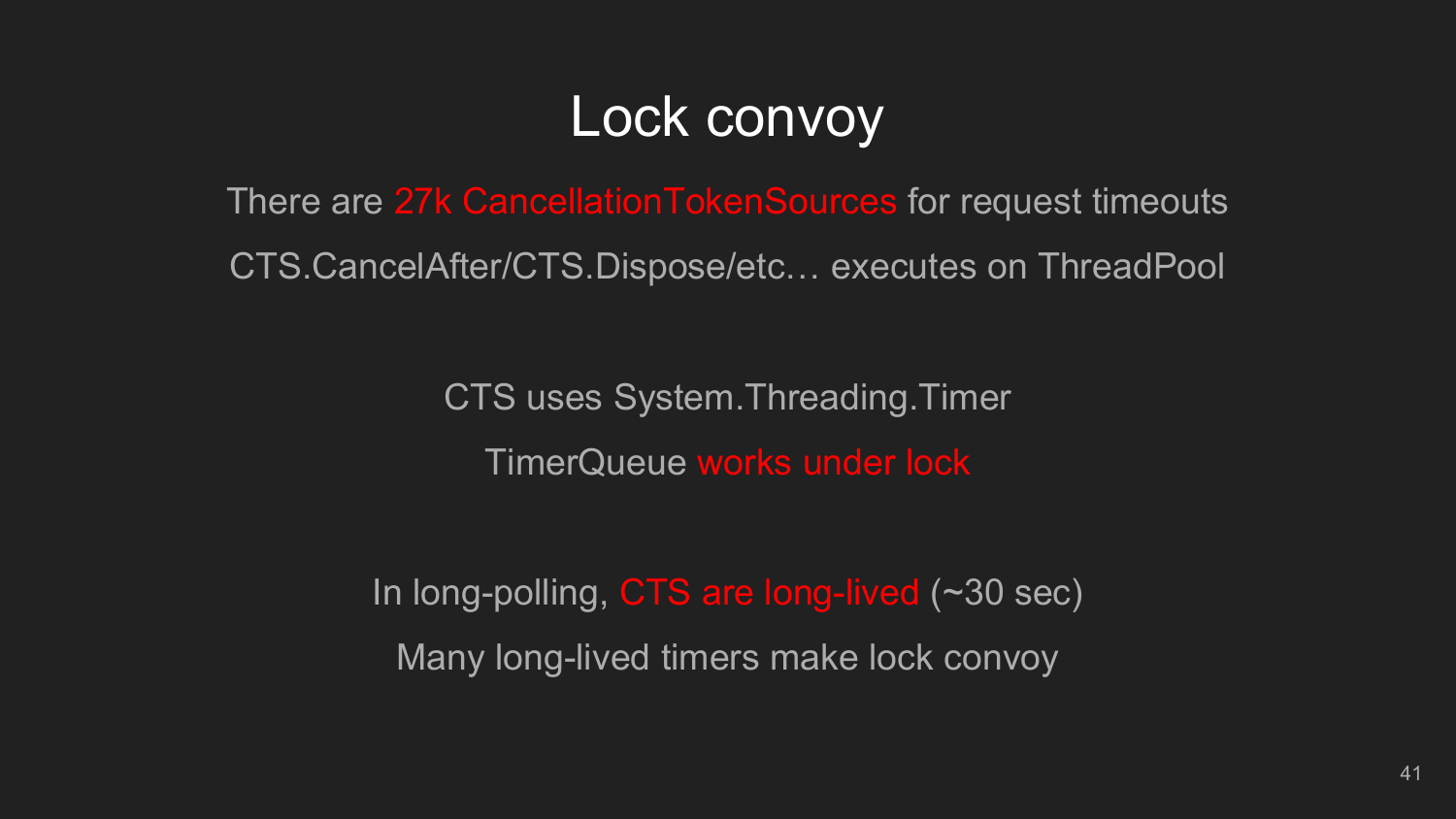# Lock convoy

There are 27k CancellationTokenSources for request timeouts CTS.CancelAfter/CTS.Dispose/etc… executes on ThreadPool

> CTS uses System.Threading.Timer TimerQueue works under lock

In long-polling, CTS are long-lived (~30 sec) Many long-lived timers make lock convoy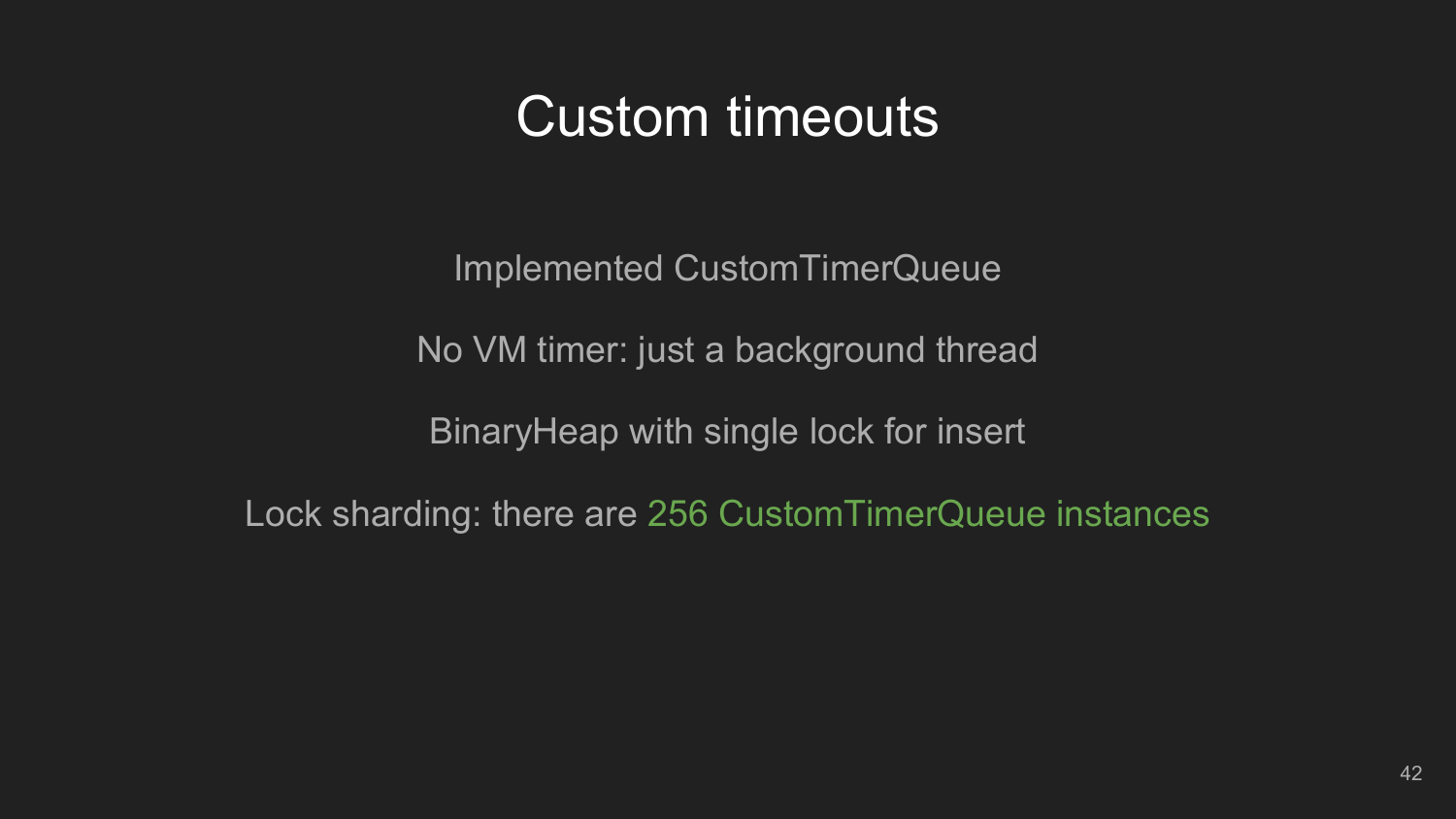### Custom timeouts

Implemented CustomTimerQueue

No VM timer: just a background thread

BinaryHeap with single lock for insert

Lock sharding: there are 256 CustomTimerQueue instances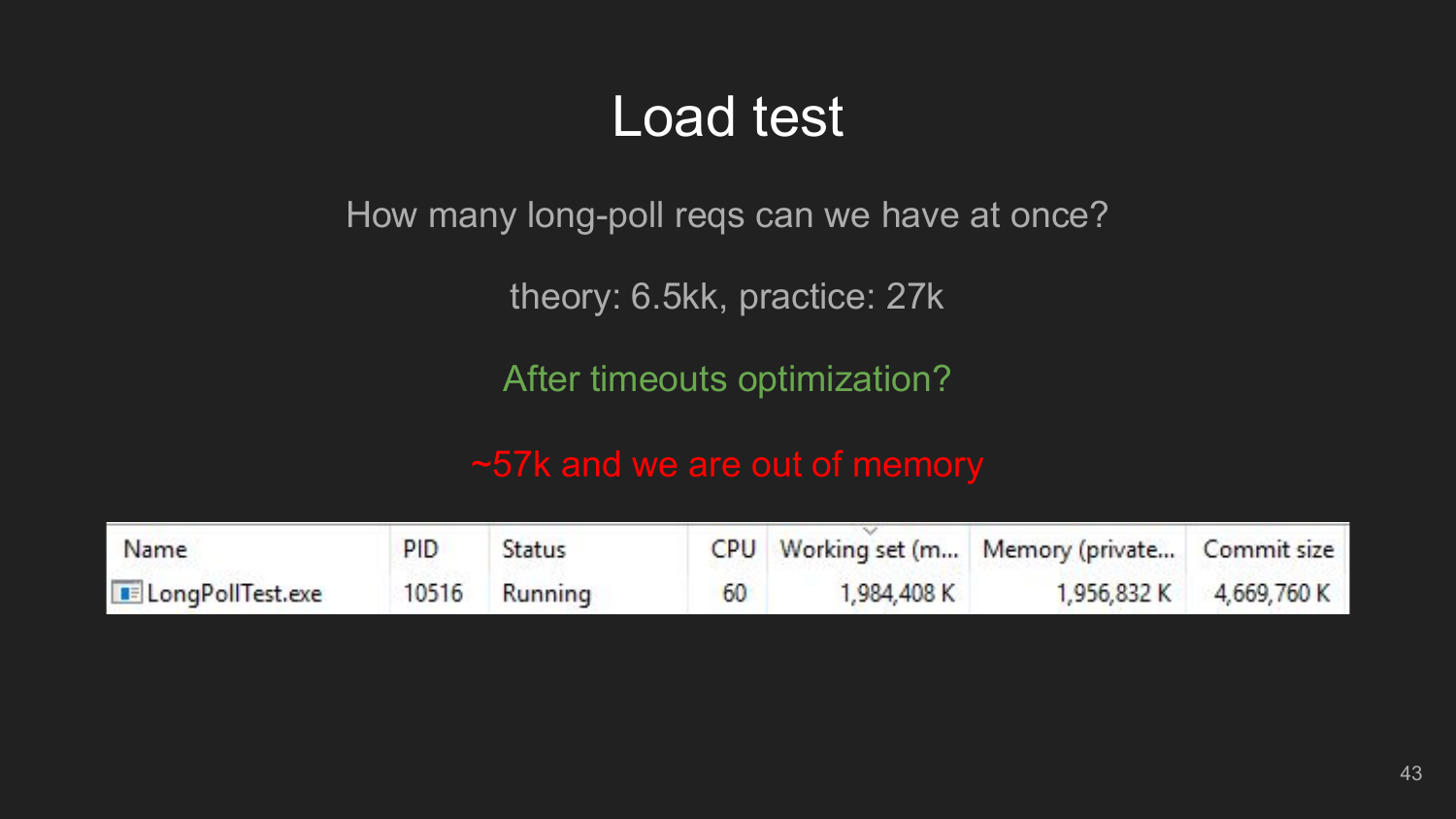### Load test

How many long-poll reqs can we have at once?

theory: 6.5kk, practice: 27k

After timeouts optimization?

~57k and we are out of memory

| Name                      | PID | Status        |    |             | CPU Working set (m Memory (private Commit size |                         |
|---------------------------|-----|---------------|----|-------------|------------------------------------------------|-------------------------|
| <b>B</b> LongPollTest.exe |     | 10516 Running | 60 | 1,984,408 K |                                                | 1,956,832 K 4,669,760 K |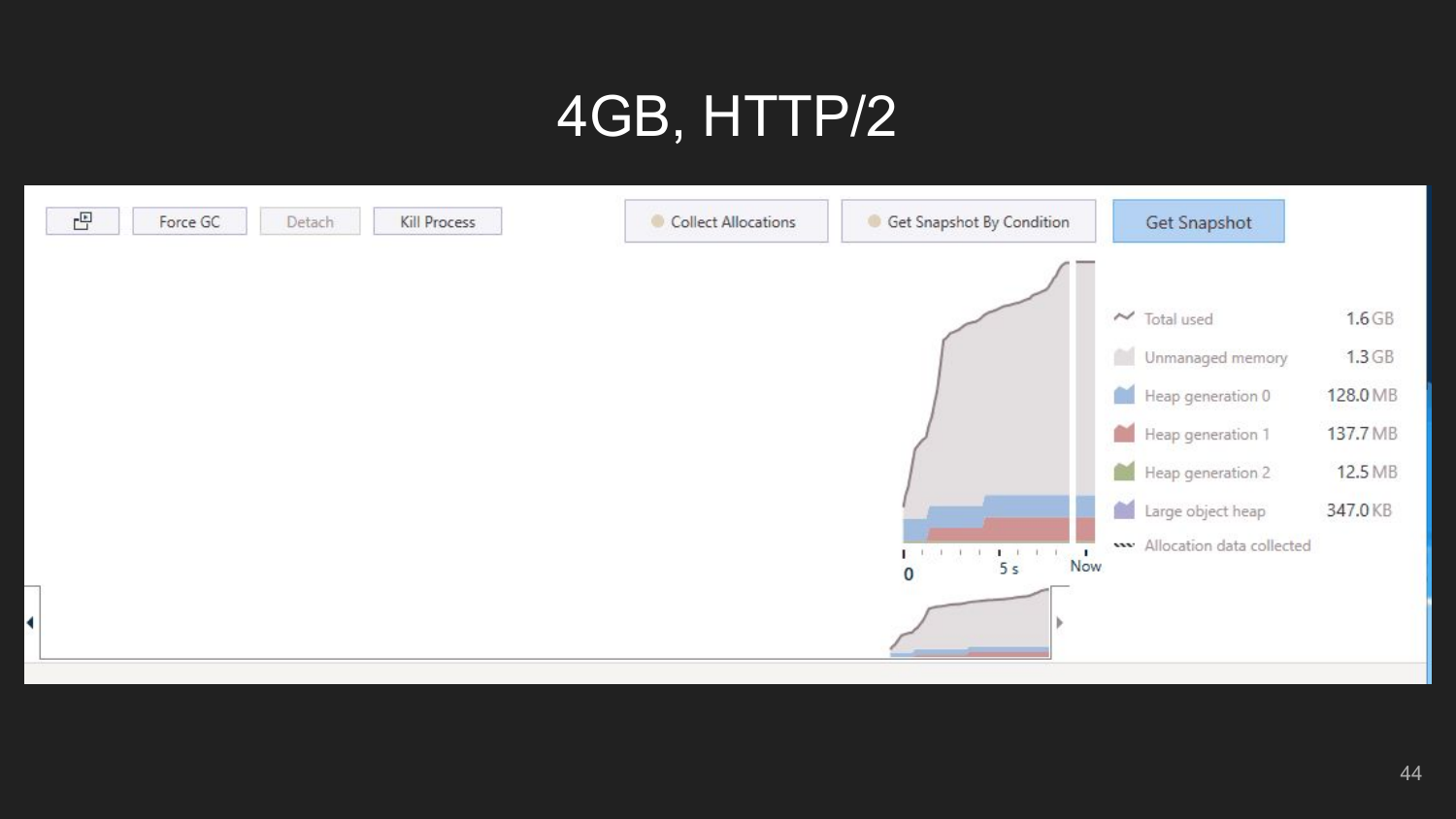# 4GB, HTTP/2

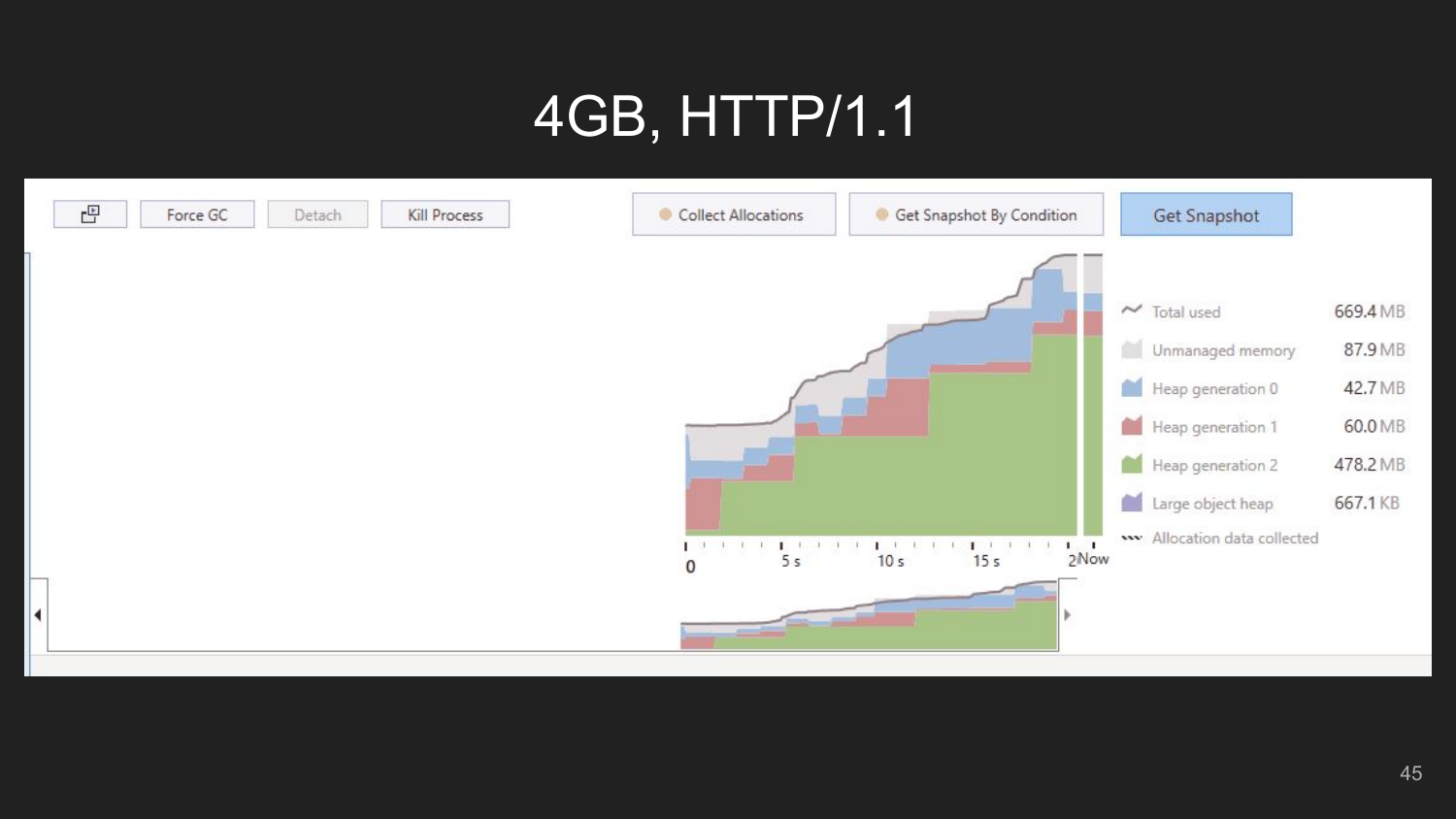# 4GB, HTTP/1.1

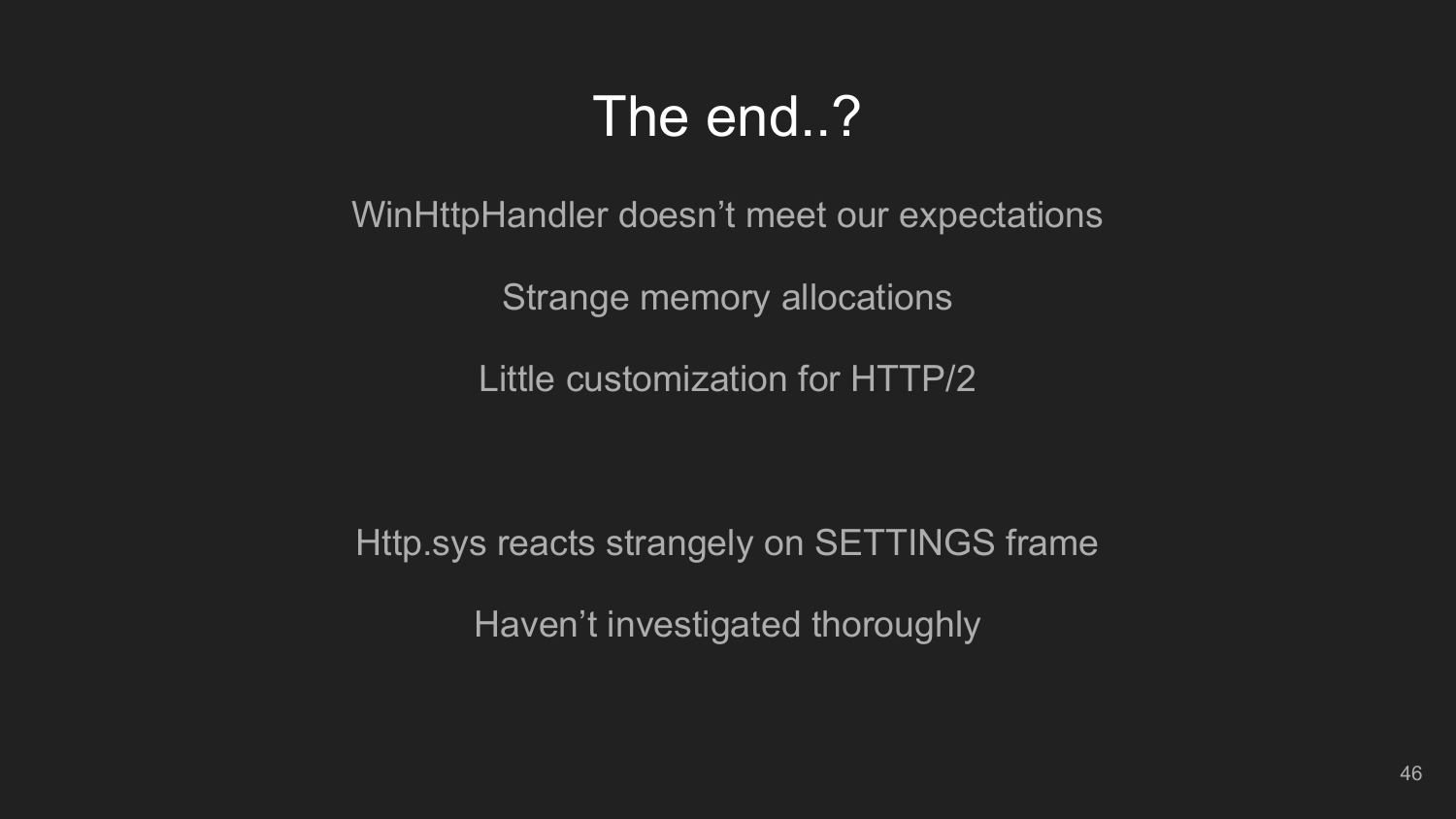### The end..?

WinHttpHandler doesn't meet our expectations

Strange memory allocations

Little customization for HTTP/2

Http.sys reacts strangely on SETTINGS frame Haven't investigated thoroughly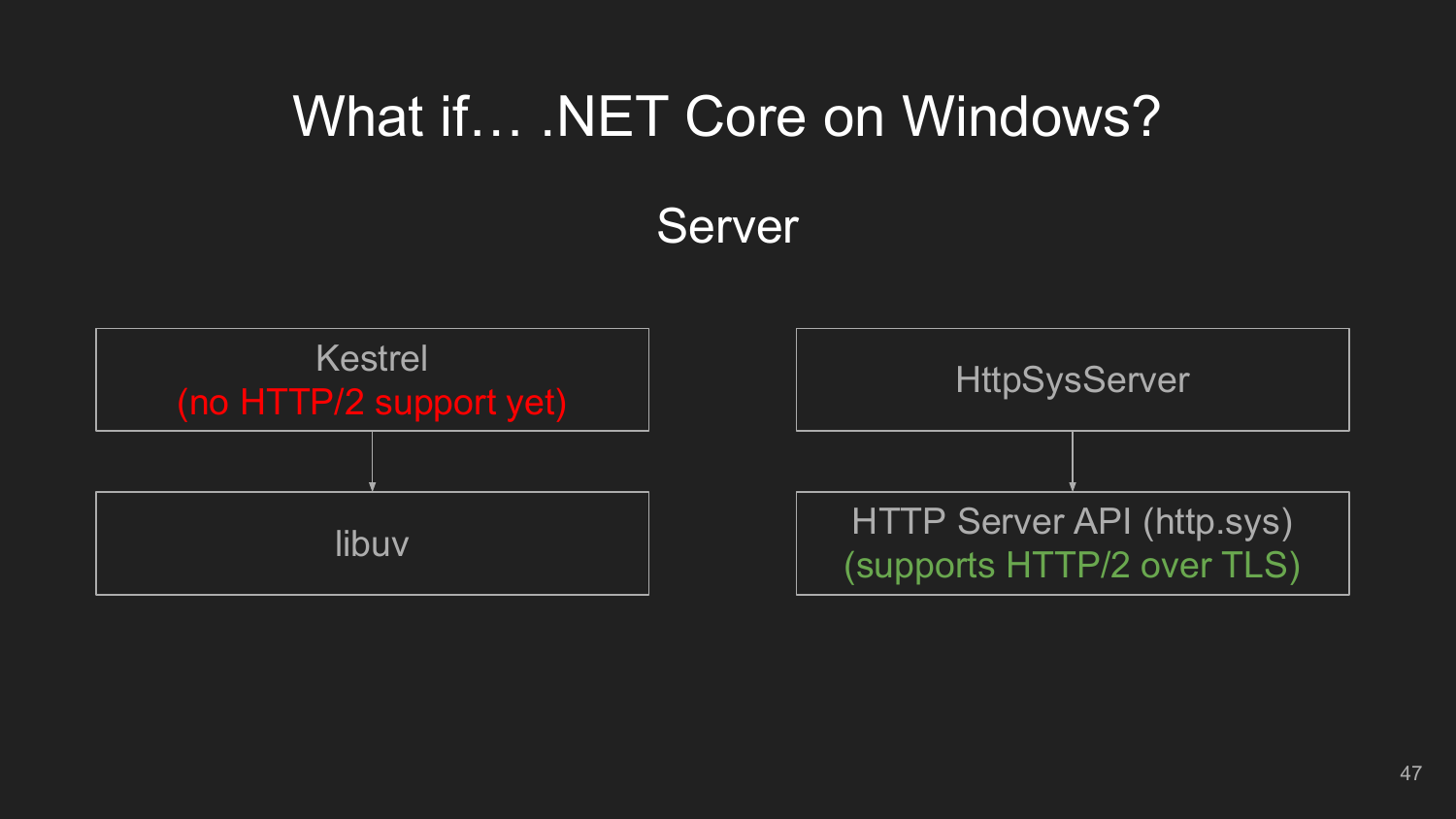### What if… .NET Core on Windows?

Server

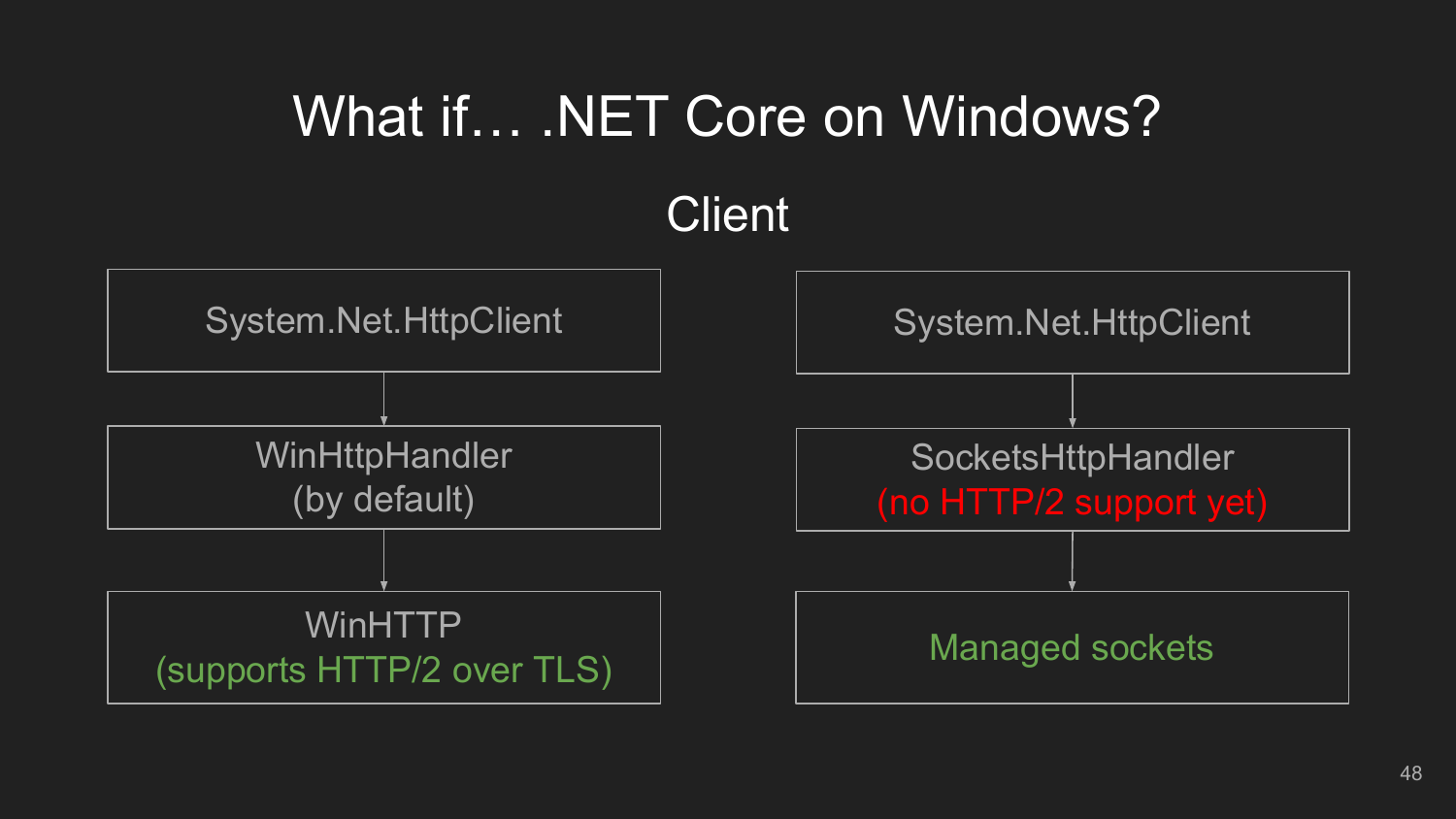# What if… .NET Core on Windows?



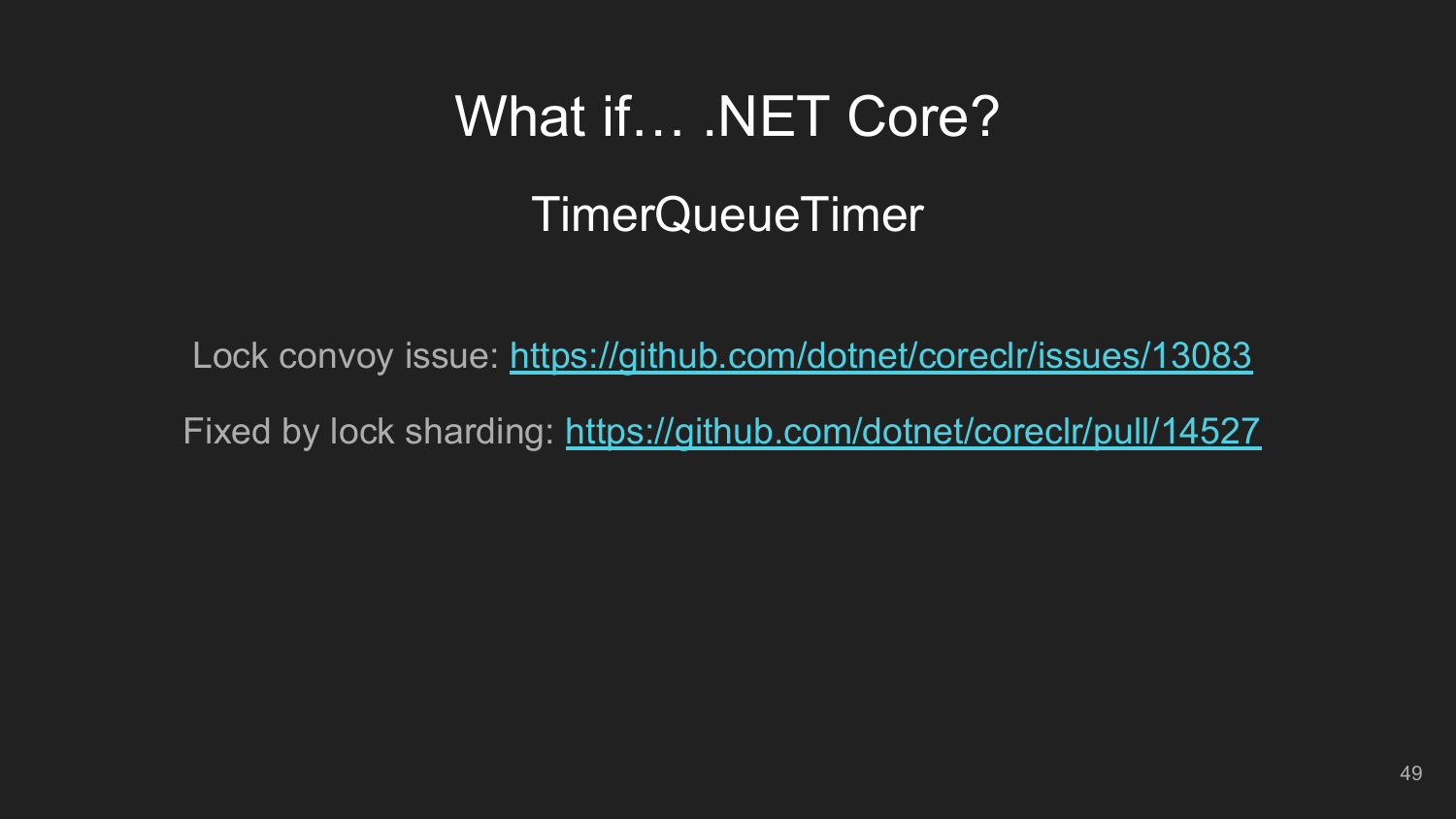# What if… .NET Core?

### TimerQueueTimer

Lock convoy issue:<https://github.com/dotnet/coreclr/issues/13083> Fixed by lock sharding: <https://github.com/dotnet/coreclr/pull/14527>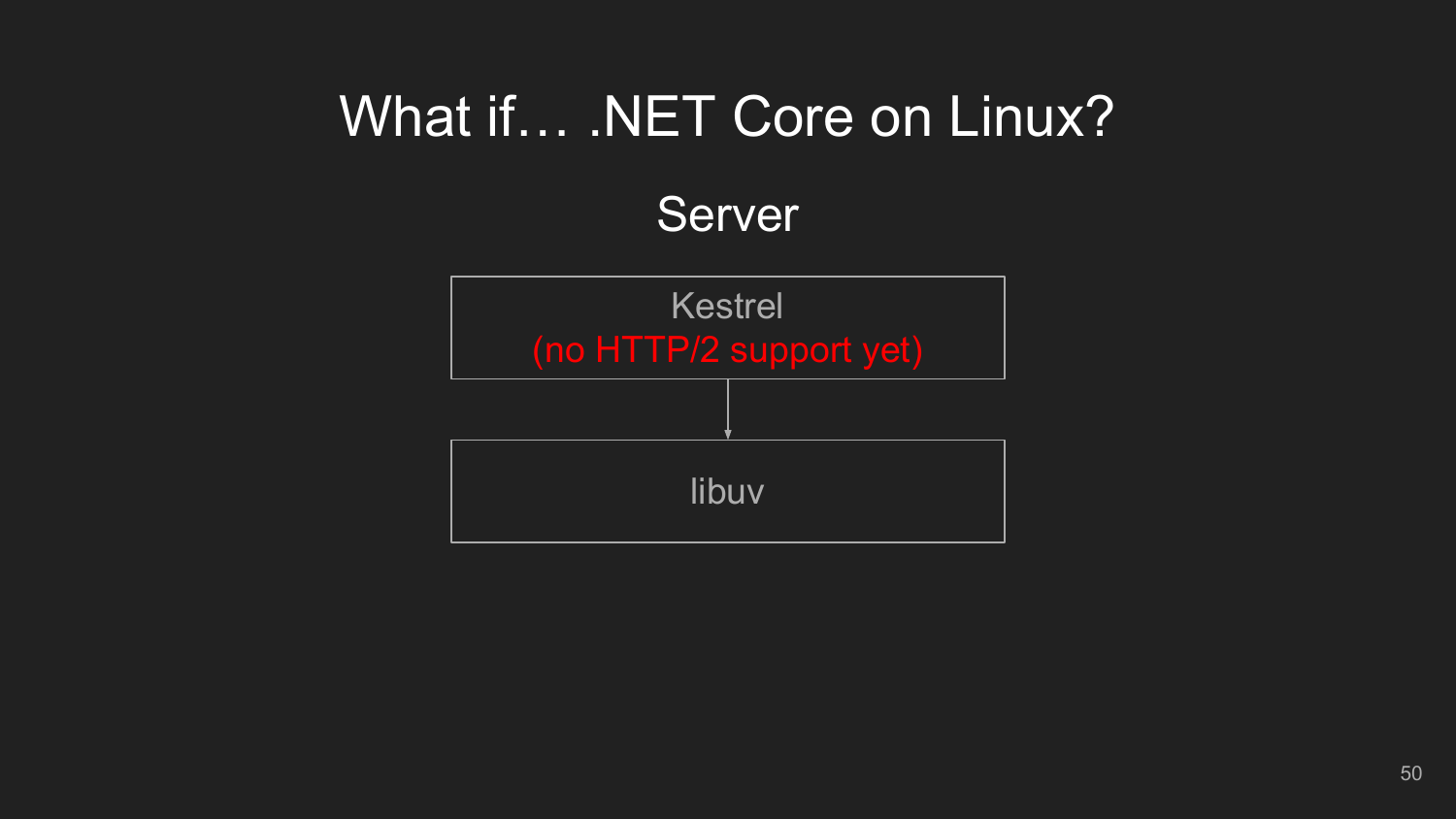# What if... . NET Core on Linux?

Server

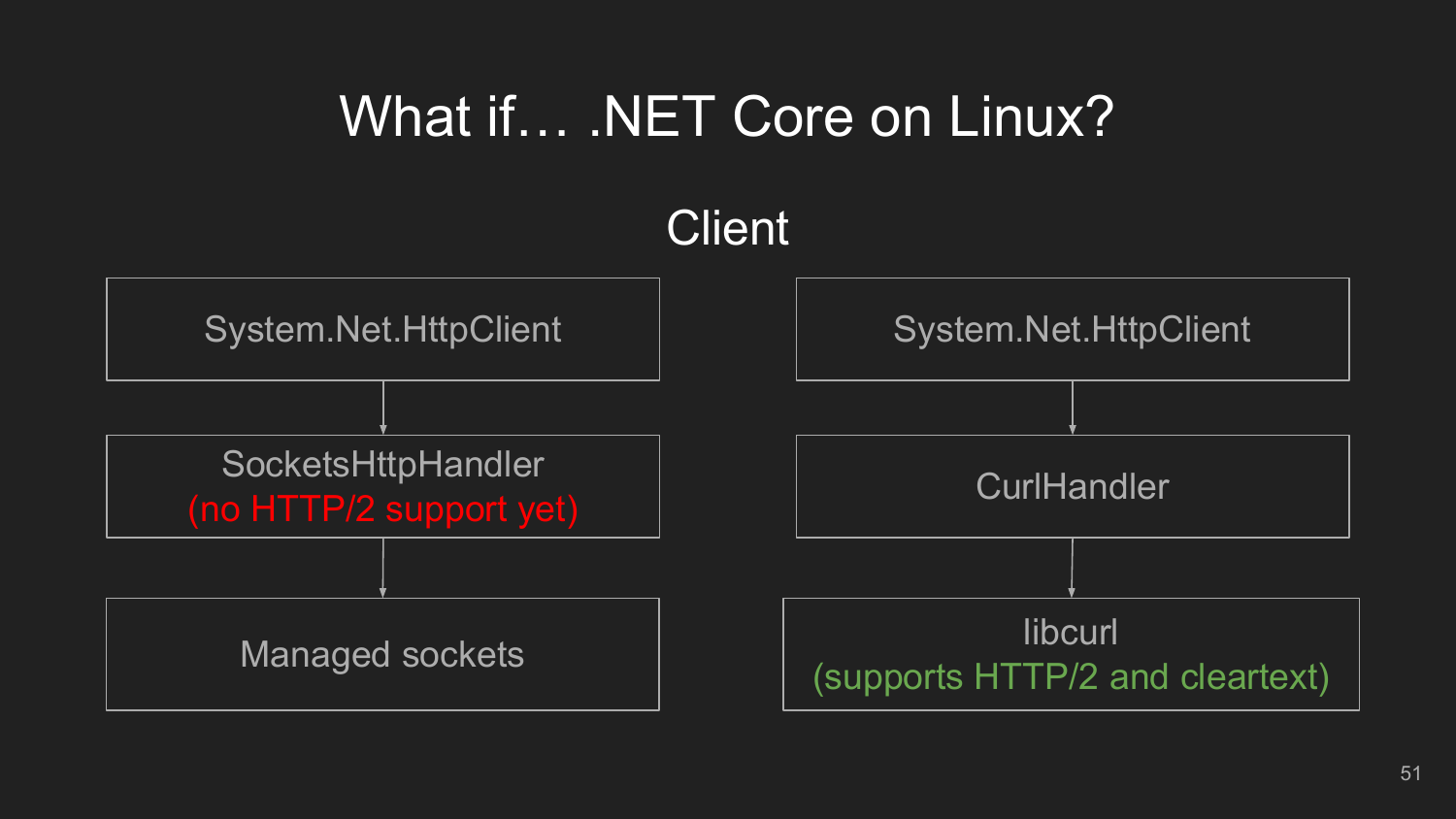# What if… .NET Core on Linux?

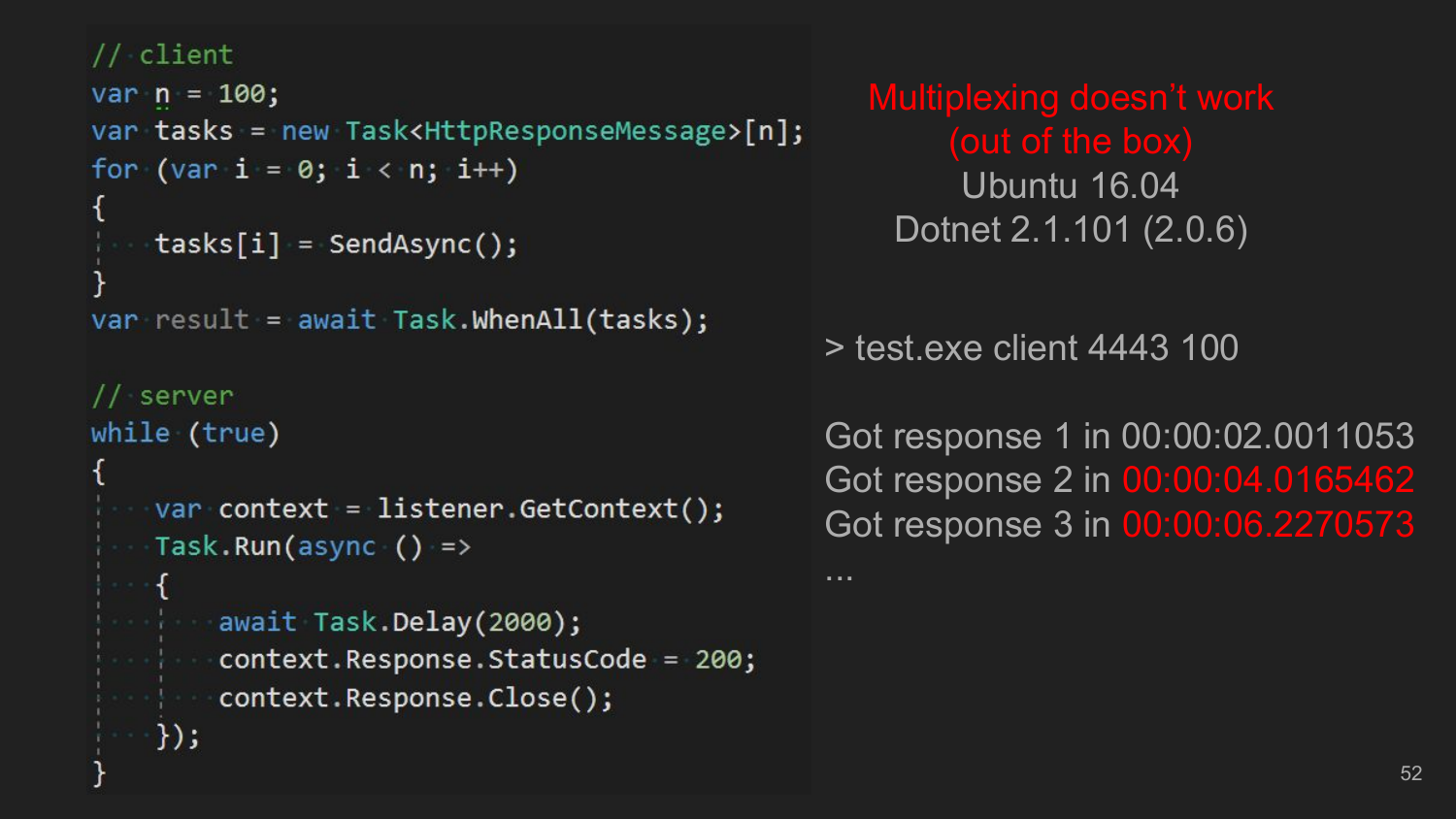#### // client

```
var n = 100;
var tasks = new Task<HttpResponseMessage>[n];
for (var i = 0; i < n; i++)
```

```
tasks[i] = SendAsync();
```

```
var result = await Task.WhenAll(tasks);
```

```
// server
while (true)
```
});

```
var context = listener.GetContext();
Task.Run(async () =>
```

```
await Task.Delay(2000);
context.Response.StatusCode = 200;
context.Response.Close();
```
Multiplexing doesn't work (out of the box) Ubuntu 16.04 Dotnet 2.1.101 (2.0.6)

> test.exe client 4443 100

...

Got response 1 in 00:00:02.0011053 Got response 2 in 00:00:04.0165462 Got response 3 in 00:00:06.2270573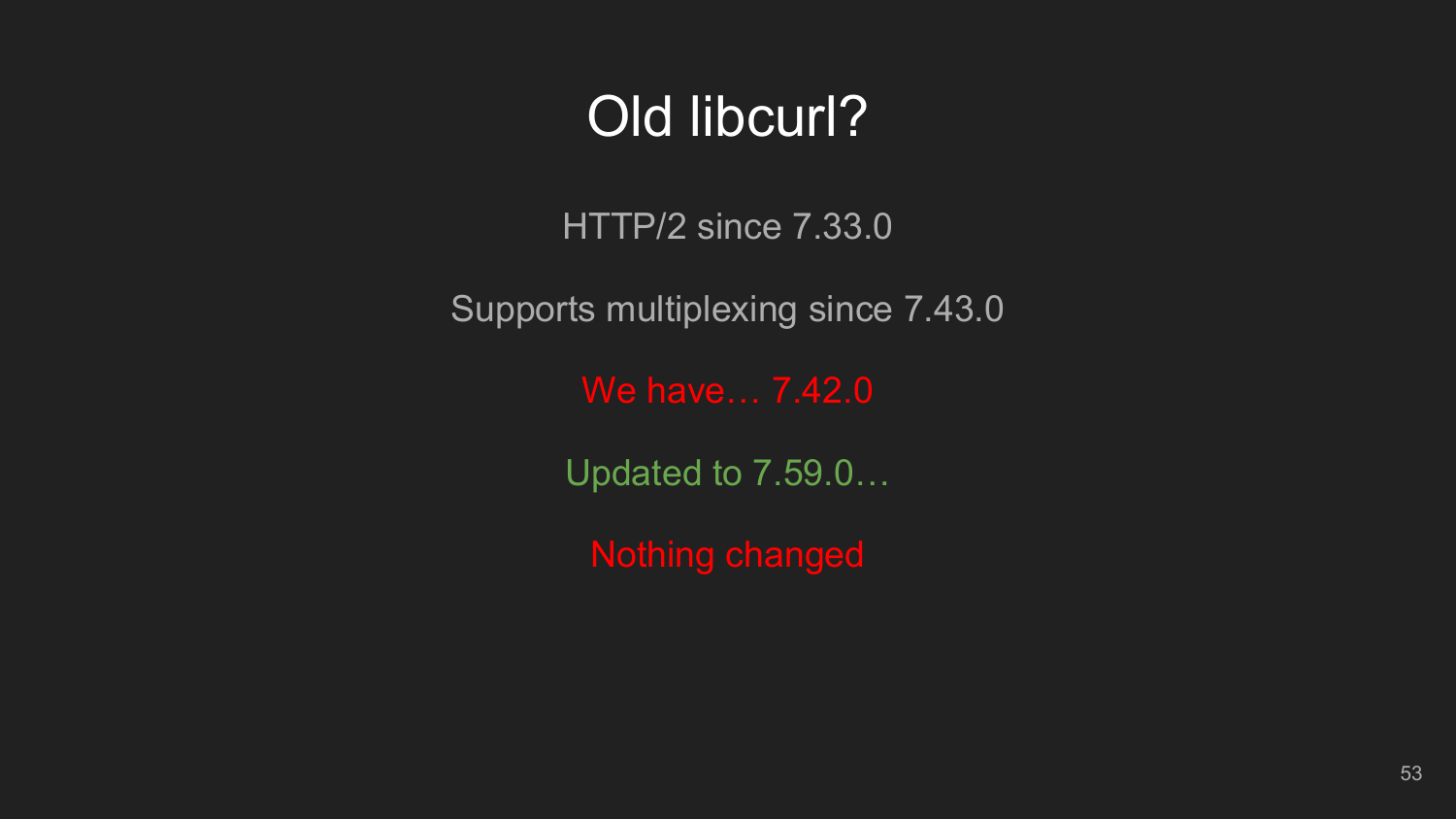### Old libcurl?

HTTP/2 since 7.33.0

Supports multiplexing since 7.43.0

We have… 7.42.0

Updated to 7.59.0…

Nothing changed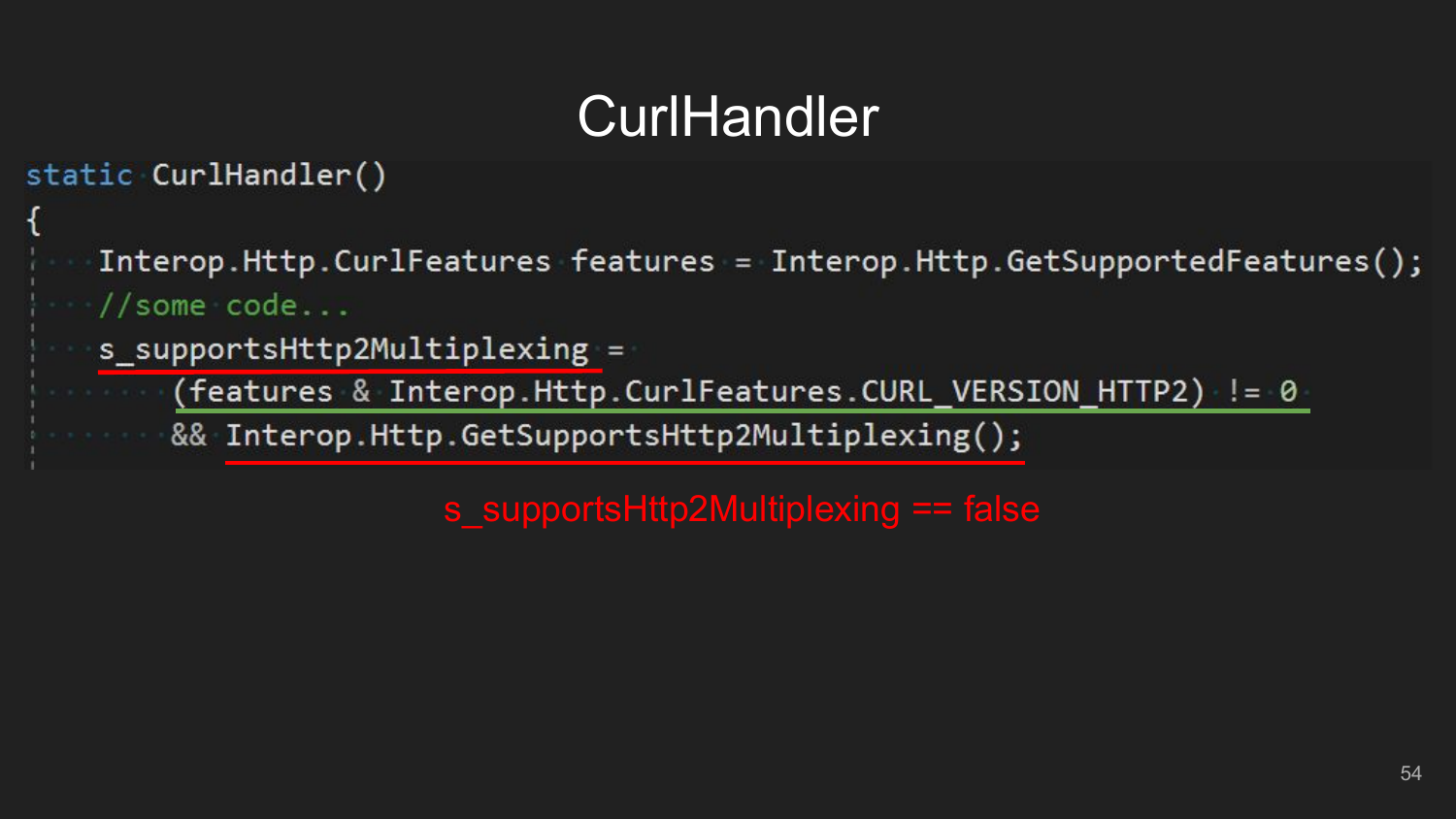# CurlHandler

```
static CurlHandler()
```
Interop.Http.CurlFeatures features = Interop.Http.GetSupportedFeatures();  $\frac{1}{2}$  //some code ...

- s supportsHttp2Multiplexing =
- (features & Interop.Http.CurlFeatures.CURL VERSION HTTP2) != 0

8& Interop.Http.GetSupportsHttp2Multiplexing();

s\_supportsHttp2Multiplexing == false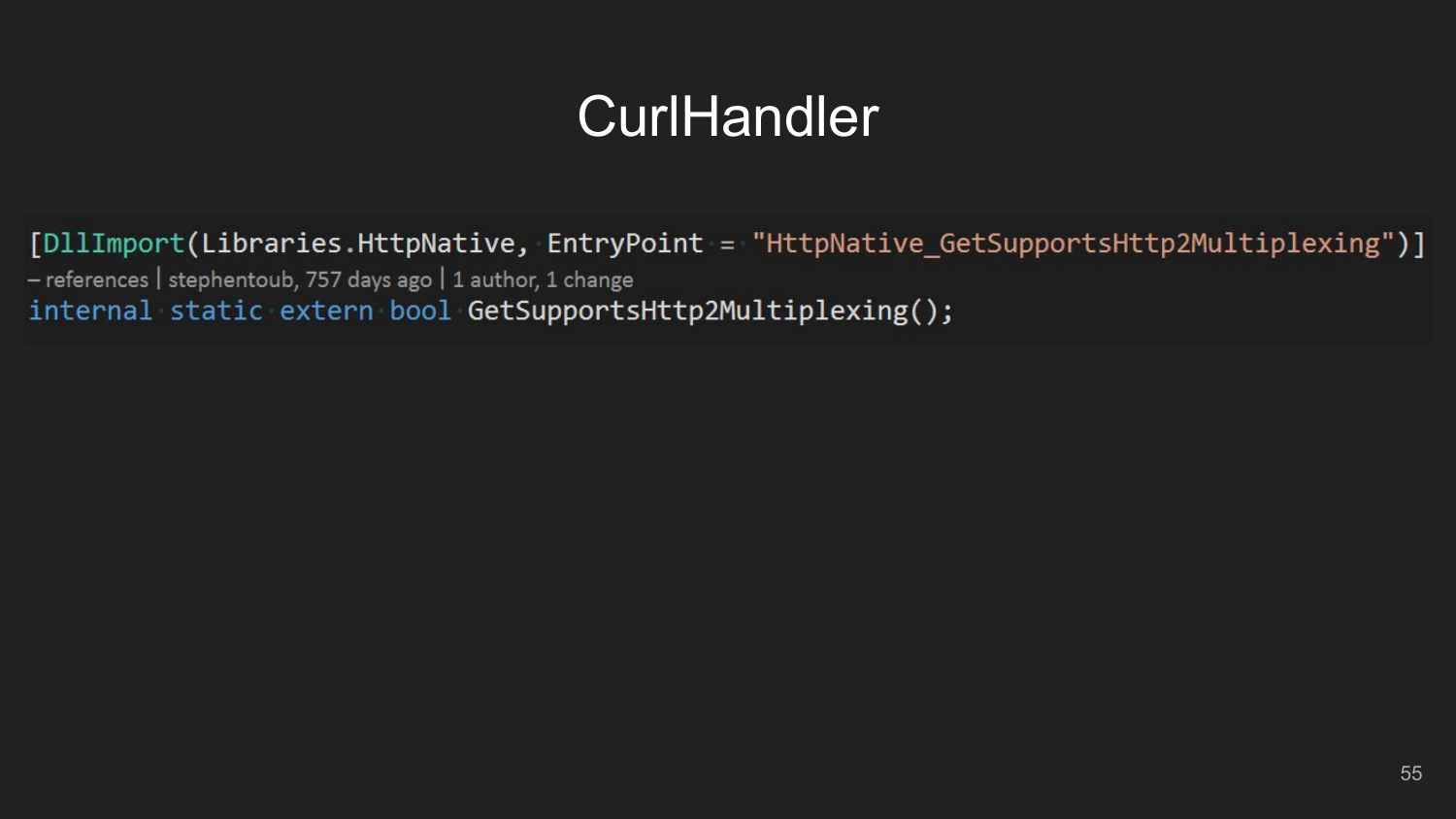### **CurlHandler**

[DllImport(Libraries.HttpNative, EntryPoint = "HttpNative GetSupportsHttp2Multiplexing")] - references | stephentoub, 757 days ago | 1 author, 1 change internal static extern bool GetSupportsHttp2Multiplexing();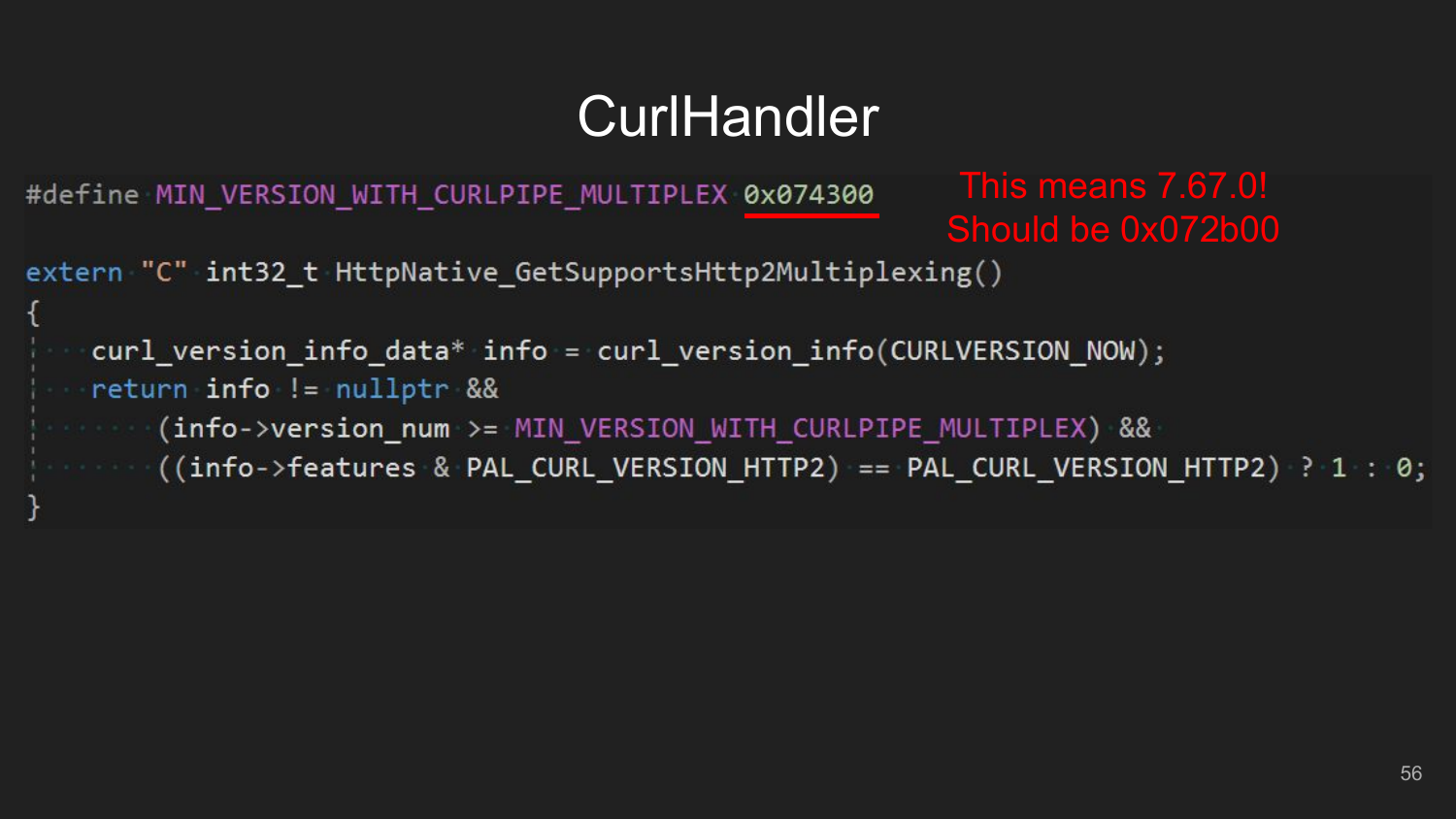# CurlHandler

#define MIN VERSION WITH CURLPIPE MULTIPLEX 0x074300

This means 7.67.0! Should be 0x072b00

extern "C" int32 t HttpNative GetSupportsHttp2Multiplexing()

```
curl version info data* info = curl version info(CURLVERSION NOW);
   return info != nullptr &&
(info->version_num >= MIN_VERSION_WITH_CURLPIPE_MULTIPLEX) &&
((info->features & PAL_CURL_VERSION_HTTP2) == PAL_CURL_VERSION_HTTP2) ? 1 : 0;
```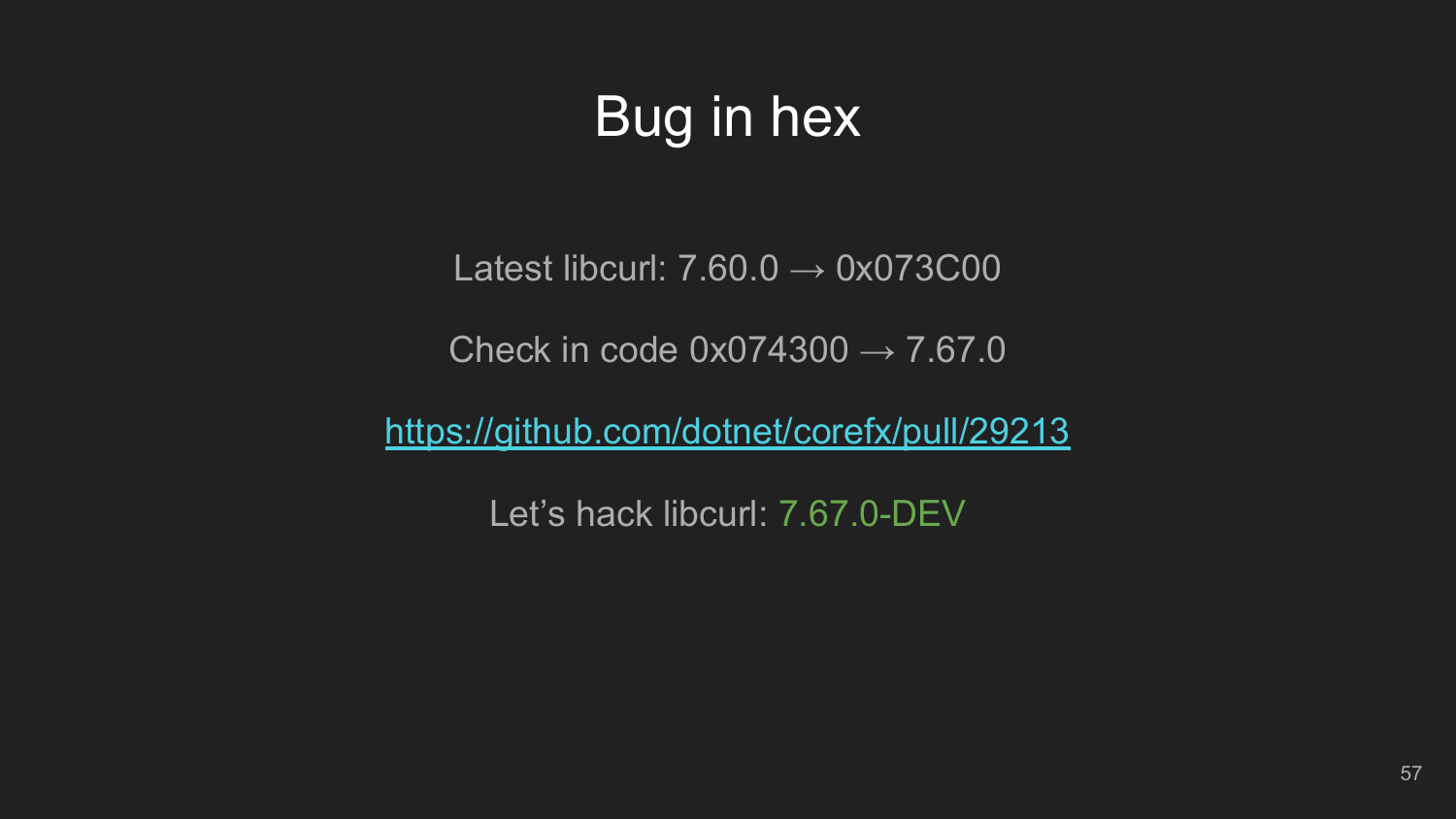# Bug in hex

Latest libcurl:  $7.60.0 \rightarrow 0 \times 073CO0$ 

Check in code  $0x074300 \rightarrow 7.67.0$ 

<https://github.com/dotnet/corefx/pull/29213>

Let's hack libcurl: 7.67.0-DEV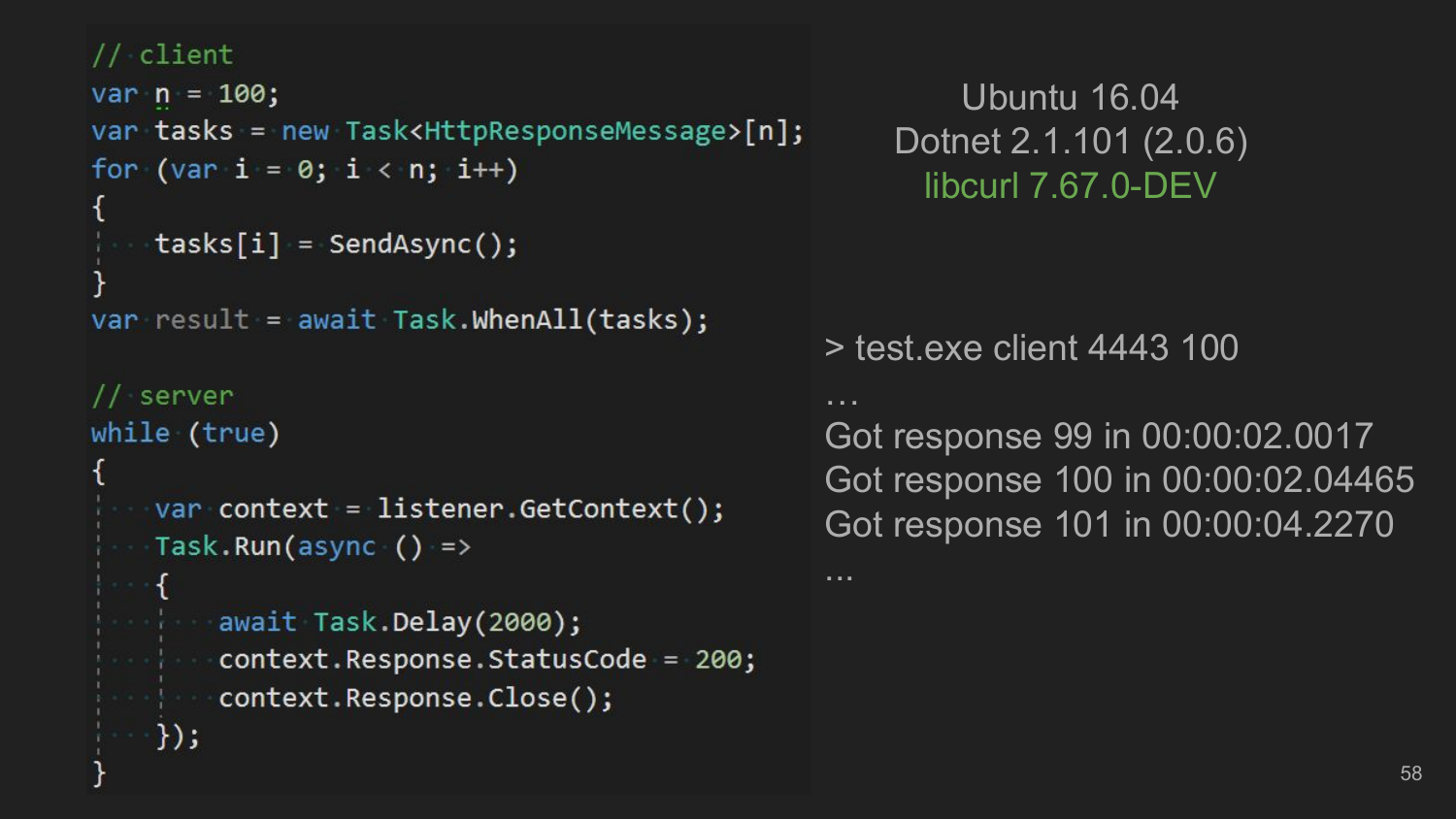#### // client

```
var n = 100;var tasks = new Task<HttpResponseMessage>[n];
for (var i = 0; i < n; i++)tasks[i] = SendAsync();var result = await Task.WhenAll(tasks);
  server
while (true)
   var context = listener.GetContext();
  Task.Run(async () =>
                                             ...
     await Task.Delay(2000);
     context.Response.StatusCode = 200;
 context.Response.Close();
  });
```
Ubuntu 16.04 Dotnet 2.1.101 (2.0.6) libcurl 7.67.0-DEV

> test.exe client 4443 100

Got response 99 in 00:00:02.0017 Got response 100 in 00:00:02.04465 Got response 101 in 00:00:04.2270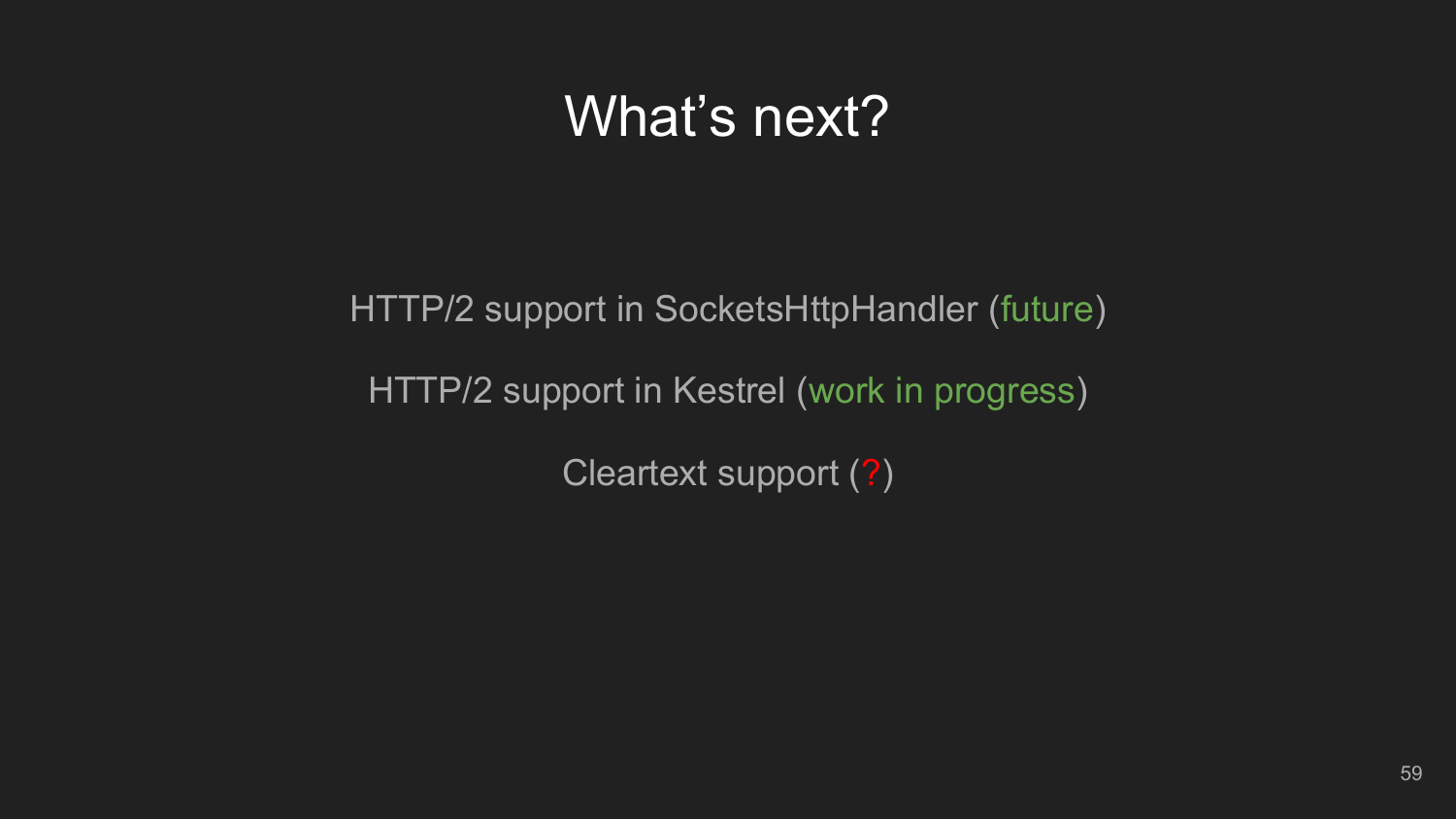### What's next?

HTTP/2 support in SocketsHttpHandler (future) HTTP/2 support in Kestrel (work in progress) Cleartext support (?)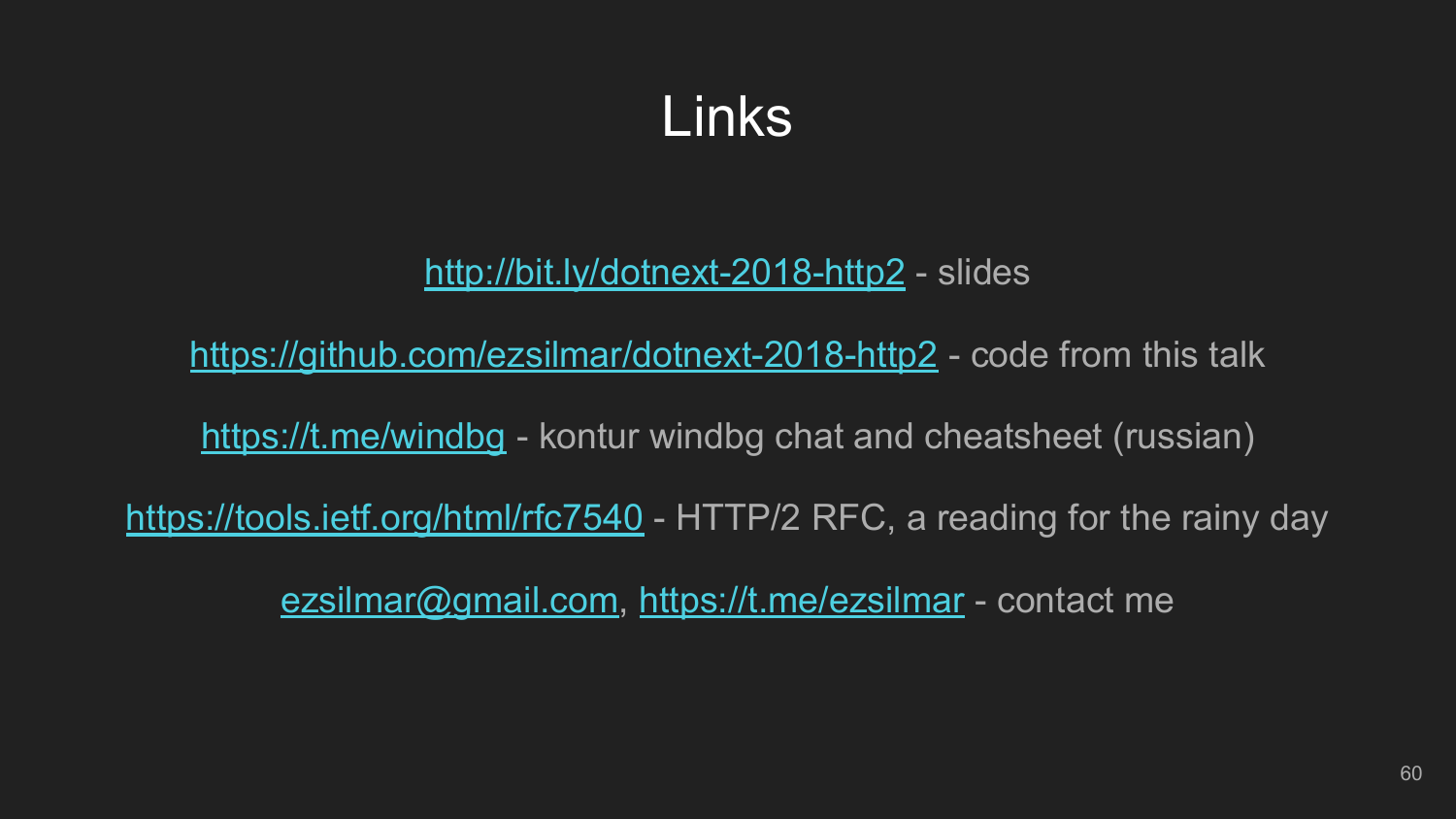### Links

#### <http://bit.ly/dotnext-2018-http2> - slides

<https://github.com/ezsilmar/dotnext-2018-http2> - code from this talk

<https://t.me/windbg> - kontur windbg chat and cheatsheet (russian)

<https://tools.ietf.org/html/rfc7540> - HTTP/2 RFC, a reading for the rainy day

[ezsilmar@gmail.com](mailto:ezsilmar@gmail.com),<https://t.me/ezsilmar> - contact me